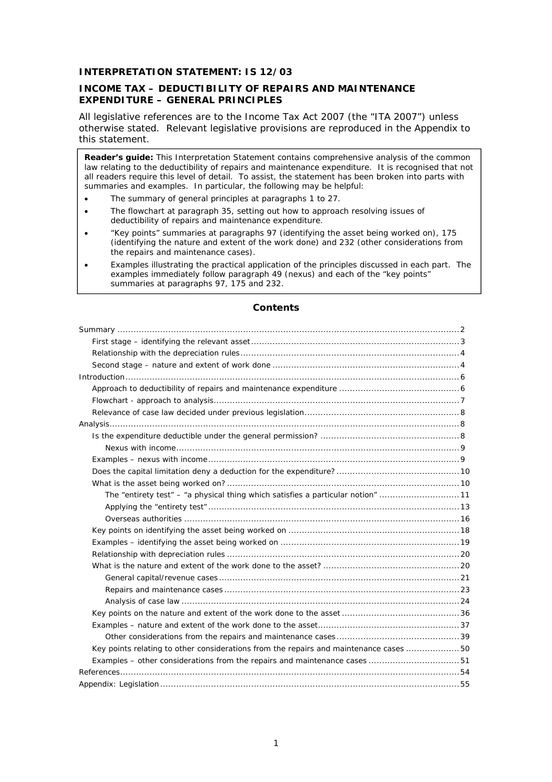## **INTERPRETATION STATEMENT: IS 12/03**

### **INCOME TAX – DEDUCTIBILITY OF REPAIRS AND MAINTENANCE EXPENDITURE – GENERAL PRINCIPLES**

All legislative references are to the Income Tax Act 2007 (the "ITA 2007") unless otherwise stated. Relevant legislative provisions are reproduced in the Appendix to this statement.

**Reader's guide:** This Interpretation Statement contains comprehensive analysis of the common law relating to the deductibility of repairs and maintenance expenditure. It is recognised that not all readers require this level of detail. To assist, the statement has been broken into parts with summaries and examples. In particular, the following may be helpful:

- The summary of general principles at paragraphs 1 to 27.
- The flowchart at paragraph 35, setting out how to approach resolving issues of deductibility of repairs and maintenance expenditure.
- "Key points" summaries at paragraphs 97 (identifying the asset being worked on), 175 (identifying the nature and extent of the work done) and 232 (other considerations from the repairs and maintenance cases).
- Examples illustrating the practical application of the principles discussed in each part. The examples immediately follow paragraph 49 (nexus) and each of the "key points" summaries at paragraphs 97, 175 and 232.

| The "entirety test" – "a physical thing which satisfies a particular notion" 11       |  |
|---------------------------------------------------------------------------------------|--|
|                                                                                       |  |
|                                                                                       |  |
|                                                                                       |  |
|                                                                                       |  |
|                                                                                       |  |
|                                                                                       |  |
|                                                                                       |  |
|                                                                                       |  |
|                                                                                       |  |
|                                                                                       |  |
|                                                                                       |  |
|                                                                                       |  |
| Key points relating to other considerations from the repairs and maintenance cases 50 |  |
| Examples – other considerations from the repairs and maintenance cases 51             |  |
|                                                                                       |  |
|                                                                                       |  |

### **Contents**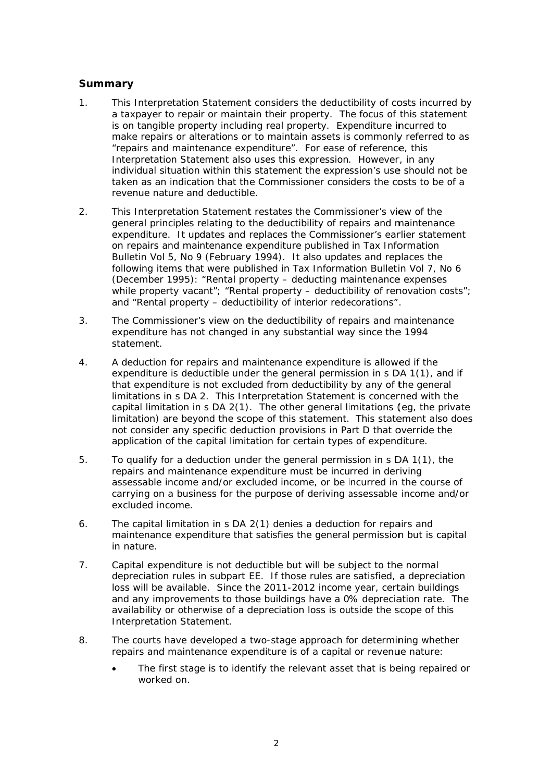# **Summary**

- $1<sup>1</sup>$ This Interpretation Statement considers the deductibility of costs incurred by a taxpayer to repair or maintain their property. The focus of this statement is on tangible property including real property. Expenditure incurred to make repairs or alterations or to maintain assets is commonly referred to as "repairs and maintenance expenditure". For ease of reference, this Interpretation Statement also uses this expression. However, in any individual situation within this statement the expression's use should not be taken as an indication that the Commissioner considers the costs to be of a revenue nature and deductible.
- This Interpretation Statement restates the Commissioner's view of the  $\mathcal{P}$ general principles relating to the deductibility of repairs and maintenance expenditure. It updates and replaces the Commissioner's earlier statement on repairs and maintenance expenditure published in Tax Information Bulletin Vol 5, No 9 (February 1994). It also updates and replaces the following items that were published in Tax Information Bulletin Vol 7, No 6 (December 1995): "Rental property – deducting maintenance expenses while property vacant"; "Rental property - deductibility of renovation costs"; and "Rental property - deductibility of interior redecorations".
- The Commissioner's view on the deductibility of repairs and maintenance 3. expenditure has not changed in any substantial way since the 1994 statement.
- $\overline{4}$ . A deduction for repairs and maintenance expenditure is allowed if the expenditure is deductible under the general permission in s DA 1(1), and if that expenditure is not excluded from deductibility by any of the general limitations in s DA 2. This Interpretation Statement is concerned with the capital limitation in s DA 2(1). The other general limitations (eg, the private limitation) are beyond the scope of this statement. This statement also does not consider any specific deduction provisions in Part D that override the application of the capital limitation for certain types of expenditure.
- 5. To qualify for a deduction under the general permission in s DA 1(1), the repairs and maintenance expenditure must be incurred in deriving assessable income and/or excluded income, or be incurred in the course of carrying on a business for the purpose of deriving assessable income and/or excluded income.
- The capital limitation in s DA 2(1) denies a deduction for repairs and 6. maintenance expenditure that satisfies the general permission but is capital in nature.
- $\overline{7}$ . Capital expenditure is not deductible but will be subject to the normal depreciation rules in subpart EE. If those rules are satisfied, a depreciation loss will be available. Since the 2011-2012 income year, certain buildings and any improvements to those buildings have a 0% depreciation rate. The availability or otherwise of a depreciation loss is outside the scope of this Interpretation Statement.
- 8. The courts have developed a two-stage approach for determining whether repairs and maintenance expenditure is of a capital or revenue nature:
	- The first stage is to identify the relevant asset that is being repaired or worked on.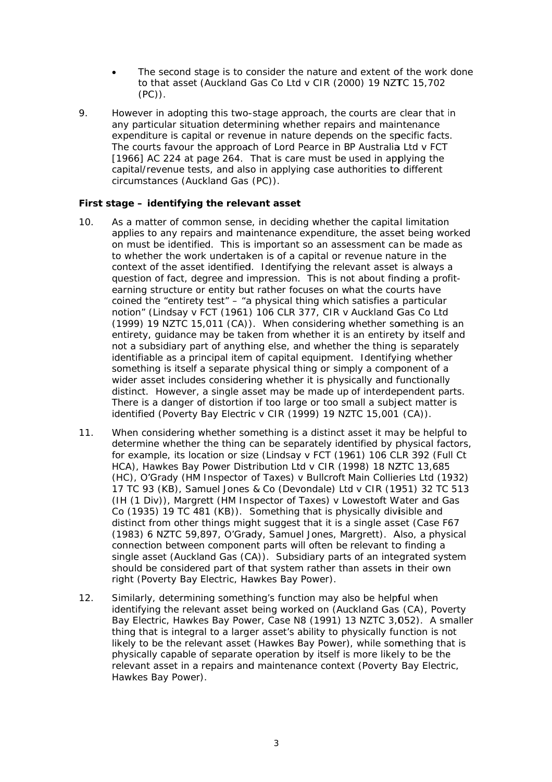- The second stage is to consider the nature and extent of the work done to that asset (Auckland Gas Co Ltd v CIR (2000) 19 NZTC 15,702  $(PC)$ .
- 9 However in adopting this two-stage approach, the courts are clear that in any particular situation determining whether repairs and maintenance expenditure is capital or revenue in nature depends on the specific facts. The courts favour the approach of Lord Pearce in BP Australia Ltd v FCT [1966] AC 224 at page 264. That is care must be used in applying the capital/revenue tests, and also in applying case authorities to different circumstances (Auckland Gas (PC)).

## First stage - identifying the relevant asset

- As a matter of common sense, in deciding whether the capital limitation  $10<sub>1</sub>$ applies to any repairs and maintenance expenditure, the asset being worked on must be identified. This is important so an assessment can be made as to whether the work undertaken is of a capital or revenue nature in the context of the asset identified. Identifying the relevant asset is always a question of fact, degree and impression. This is not about finding a profitearning structure or entity but rather focuses on what the courts have coined the "entirety test" - "a physical thing which satisfies a particular notion" (Lindsay v FCT (1961) 106 CLR 377, CIR v Auckland Gas Co Ltd (1999) 19 NZTC 15,011 (CA)). When considering whether something is an entirety, quidance may be taken from whether it is an entirety by itself and not a subsidiary part of anything else, and whether the thing is separately identifiable as a principal item of capital equipment. Identifying whether something is itself a separate physical thing or simply a component of a wider asset includes considering whether it is physically and functionally distinct. However, a single asset may be made up of interdependent parts. There is a danger of distortion if too large or too small a subject matter is identified (Poverty Bay Electric v CIR (1999) 19 NZTC 15,001 (CA)).
- When considering whether something is a distinct asset it may be helpful to  $11.$ determine whether the thing can be separately identified by physical factors, for example, its location or size (Lindsay v FCT (1961) 106 CLR 392 (Full Ct HCA). Hawkes Bay Power Distribution Ltd v CIR (1998) 18 NZTC 13.685 (HC), O'Grady (HM Inspector of Taxes) v Bullcroft Main Collieries Ltd (1932) 17 TC 93 (KB), Samuel Jones & Co (Devondale) Ltd v CIR (1951) 32 TC 513 (IH (1 Div)), Margrett (HM Inspector of Taxes) v Lowestoft Water and Gas Co (1935) 19 TC 481 (KB)). Something that is physically divisible and distinct from other things might suggest that it is a single asset (Case F67 (1983) 6 NZTC 59.897, O'Grady, Samuel Jones, Margrett). Also, a physical connection between component parts will often be relevant to finding a single asset (Auckland Gas (CA)). Subsidiary parts of an integrated system should be considered part of that system rather than assets in their own right (Poverty Bay Electric, Hawkes Bay Power).
- Similarly, determining something's function may also be helpful when  $12.$ identifying the relevant asset being worked on (Auckland Gas (CA), Poverty Bay Electric, Hawkes Bay Power, Case N8 (1991) 13 NZTC 3,052). A smaller thing that is integral to a larger asset's ability to physically function is not likely to be the relevant asset (Hawkes Bay Power), while something that is physically capable of separate operation by itself is more likely to be the relevant asset in a repairs and maintenance context (Poverty Bay Electric, Hawkes Bay Power).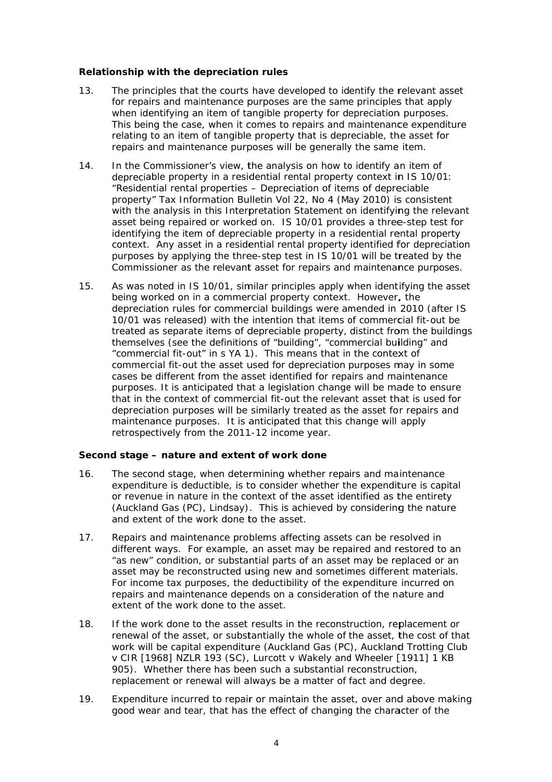### Relationship with the depreciation rules

- $13.$ The principles that the courts have developed to identify the relevant asset for repairs and maintenance purposes are the same principles that apply when identifying an item of tangible property for depreciation purposes. This being the case, when it comes to repairs and maintenance expenditure relating to an item of tangible property that is depreciable, the asset for repairs and maintenance purposes will be generally the same item.
- $14.$ In the Commissioner's view, the analysis on how to identify an item of depreciable property in a residential rental property context in IS 10/01: "Residential rental properties - Depreciation of items of depreciable property" Tax Information Bulletin Vol 22, No 4 (May 2010) is consistent with the analysis in this Interpretation Statement on identifying the relevant asset being repaired or worked on. IS 10/01 provides a three-step test for identifying the item of depreciable property in a residential rental property context. Any asset in a residential rental property identified for depreciation purposes by applying the three-step test in IS 10/01 will be treated by the Commissioner as the relevant asset for repairs and maintenance purposes.
- $15.$ As was noted in IS 10/01, similar principles apply when identifying the asset being worked on in a commercial property context. However, the depreciation rules for commercial buildings were amended in 2010 (after IS 10/01 was released) with the intention that items of commercial fit-out be treated as separate items of depreciable property, distinct from the buildings themselves (see the definitions of "building", "commercial building" and "commercial fit-out" in s YA 1). This means that in the context of commercial fit-out the asset used for depreciation purposes may in some cases be different from the asset identified for repairs and maintenance purposes. It is anticipated that a legislation change will be made to ensure that in the context of commercial fit-out the relevant asset that is used for depreciation purposes will be similarly treated as the asset for repairs and maintenance purposes. It is anticipated that this change will apply retrospectively from the 2011-12 income year.

### Second stage - nature and extent of work done

- $16.$ The second stage, when determining whether repairs and maintenance expenditure is deductible, is to consider whether the expenditure is capital or revenue in nature in the context of the asset identified as the entirety  $(Auckland Gas (PC)$ , Lindsay). This is achieved by considering the nature and extent of the work done to the asset.
- Repairs and maintenance problems affecting assets can be resolved in  $17<sub>1</sub>$ different ways. For example, an asset may be repaired and restored to an "as new" condition, or substantial parts of an asset may be replaced or an asset may be reconstructed using new and sometimes different materials. For income tax purposes, the deductibility of the expenditure incurred on repairs and maintenance depends on a consideration of the nature and extent of the work done to the asset.
- $18.$ If the work done to the asset results in the reconstruction, replacement or renewal of the asset, or substantially the whole of the asset, the cost of that work will be capital expenditure (Auckland Gas (PC), Auckland Trotting Club v CIR [1968] NZLR 193 (SC), Lurcott v Wakely and Wheeler [1911] 1 KB 905). Whether there has been such a substantial reconstruction, replacement or renewal will always be a matter of fact and degree.
- 19. Expenditure incurred to repair or maintain the asset, over and above making good wear and tear, that has the effect of changing the character of the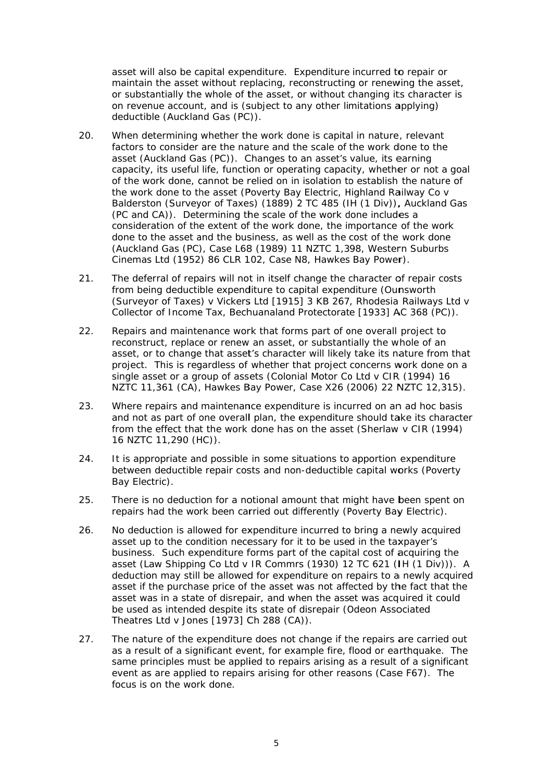asset will also be capital expenditure. Expenditure incurred to repair or maintain the asset without replacing, reconstructing or renewing the asset, or substantially the whole of the asset, or without changing its character is on revenue account, and is (subject to any other limitations applying) deductible (Auckland Gas (PC)).

- 20. When determining whether the work done is capital in nature, relevant factors to consider are the nature and the scale of the work done to the asset (Auckland Gas (PC)). Changes to an asset's value, its earning capacity, its useful life, function or operating capacity, whether or not a goal of the work done, cannot be relied on in isolation to establish the nature of the work done to the asset (Poverty Bay Electric, Highland Railway Co v Balderston (Surveyor of Taxes) (1889) 2 TC 485 (IH (1 Div)), Auckland Gas (PC and CA)). Determining the scale of the work done includes a consideration of the extent of the work done, the importance of the work done to the asset and the business, as well as the cost of the work done (Auckland Gas (PC), Case L68 (1989) 11 NZTC 1,398, Western Suburbs Cinemas Ltd (1952) 86 CLR 102, Case N8, Hawkes Bay Power).
- $21.$ The deferral of repairs will not in itself change the character of repair costs from being deductible expenditure to capital expenditure (Ounsworth (Surveyor of Taxes) v Vickers Ltd [1915] 3 KB 267, Rhodesia Railways Ltd v Collector of Income Tax. Bechuanaland Protectorate [1933] AC 368 (PC)).
- 22. Repairs and maintenance work that forms part of one overall project to reconstruct, replace or renew an asset, or substantially the whole of an asset, or to change that asset's character will likely take its nature from that project. This is regardless of whether that project concerns work done on a single asset or a group of assets (Colonial Motor Co Ltd y CIR (1994) 16 NZTC 11,361 (CA), Hawkes Bay Power, Case X26 (2006) 22 NZTC 12,315).
- $23.$ Where repairs and maintenance expenditure is incurred on an ad hoc basis and not as part of one overall plan, the expenditure should take its character from the effect that the work done has on the asset (Sherlaw v CIR (1994) 16 NZTC 11,290 (HC)).
- 24. It is appropriate and possible in some situations to apportion expenditure between deductible repair costs and non-deductible capital works (Poverty Bay Electric).
- 25. There is no deduction for a notional amount that might have been spent on repairs had the work been carried out differently (Poverty Bay Electric).
- No deduction is allowed for expenditure incurred to bring a newly acquired 26. asset up to the condition necessary for it to be used in the taxpayer's business. Such expenditure forms part of the capital cost of acquiring the asset (Law Shipping Co Ltd v IR Commrs (1930) 12 TC 621 (IH (1 Div))). A deduction may still be allowed for expenditure on repairs to a newly acquired asset if the purchase price of the asset was not affected by the fact that the asset was in a state of disrepair, and when the asset was acquired it could be used as intended despite its state of disrepair (Odeon Associated Theatres Ltd v Jones [1973] Ch 288 (CA)).
- The nature of the expenditure does not change if the repairs are carried out  $27<sub>1</sub>$ as a result of a significant event, for example fire, flood or earthquake. The same principles must be applied to repairs arising as a result of a significant event as are applied to repairs arising for other reasons (Case F67). The focus is on the work done.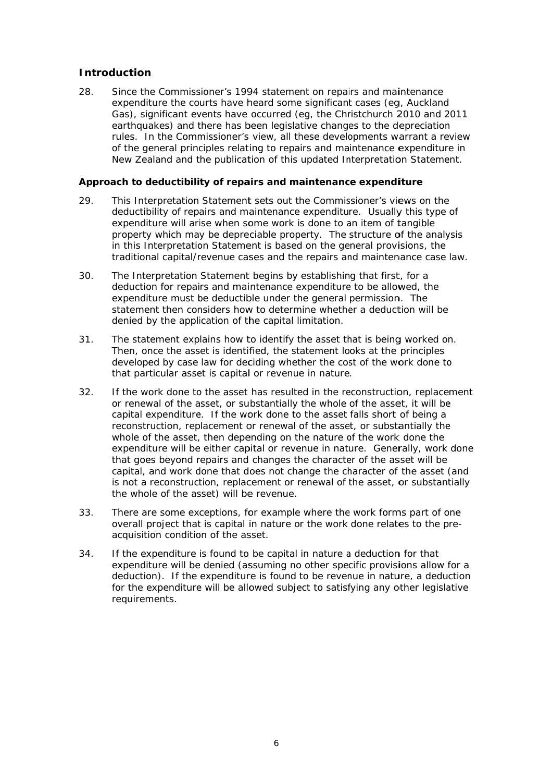# **Introduction**

 $28$ Since the Commissioner's 1994 statement on repairs and maintenance expenditure the courts have heard some significant cases (eg, Auckland Gas), significant events have occurred (eq. the Christchurch 2010 and 2011 earthquakes) and there has been legislative changes to the depreciation rules. In the Commissioner's view, all these developments warrant a review of the general principles relating to repairs and maintenance expenditure in New Zealand and the publication of this updated Interpretation Statement.

### Approach to deductibility of repairs and maintenance expenditure

- 29 This Interpretation Statement sets out the Commissioner's views on the deductibility of repairs and maintenance expenditure. Usually this type of expenditure will arise when some work is done to an item of tangible property which may be depreciable property. The structure of the analysis in this Interpretation Statement is based on the general provisions, the traditional capital/revenue cases and the repairs and maintenance case law.
- 30. The Interpretation Statement begins by establishing that first, for a deduction for repairs and maintenance expenditure to be allowed, the expenditure must be deductible under the general permission. The statement then considers how to determine whether a deduction will be denied by the application of the capital limitation.
- $31.$ The statement explains how to identify the asset that is being worked on. Then, once the asset is identified, the statement looks at the principles developed by case law for deciding whether the cost of the work done to that particular asset is capital or revenue in nature.
- $32.$ If the work done to the asset has resulted in the reconstruction, replacement or renewal of the asset, or substantially the whole of the asset, it will be capital expenditure. If the work done to the asset falls short of being a reconstruction, replacement or renewal of the asset, or substantially the whole of the asset, then depending on the nature of the work done the expenditure will be either capital or revenue in nature. Generally, work done that goes beyond repairs and changes the character of the asset will be capital, and work done that does not change the character of the asset (and is not a reconstruction, replacement or renewal of the asset, or substantially the whole of the asset) will be revenue.
- 33. There are some exceptions, for example where the work forms part of one overall project that is capital in nature or the work done relates to the preacquisition condition of the asset.
- 34. If the expenditure is found to be capital in nature a deduction for that expenditure will be denied (assuming no other specific provisions allow for a deduction). If the expenditure is found to be revenue in nature, a deduction for the expenditure will be allowed subject to satisfying any other legislative requirements.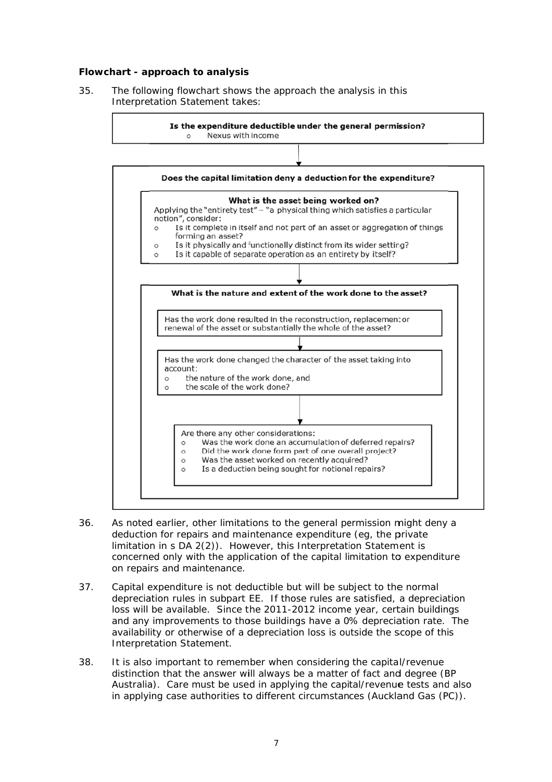### Flowchart - approach to analysis

35. The following flowchart shows the approach the analysis in this Interpretation Statement takes:



- 36. As noted earlier, other limitations to the general permission might deny a deduction for repairs and maintenance expenditure (eq. the private limitation in s DA 2(2)). However, this Interpretation Statement is concerned only with the application of the capital limitation to expenditure on repairs and maintenance.
- Capital expenditure is not deductible but will be subject to the normal 37. depreciation rules in subpart EE. If those rules are satisfied, a depreciation loss will be available. Since the 2011-2012 income year, certain buildings and any improvements to those buildings have a 0% depreciation rate. The availability or otherwise of a depreciation loss is outside the scope of this Interpretation Statement.
- 38. It is also important to remember when considering the capital/revenue distinction that the answer will always be a matter of fact and degree (BP Australia). Care must be used in applying the capital/revenue tests and also in applying case authorities to different circumstances (Auckland Gas (PC)).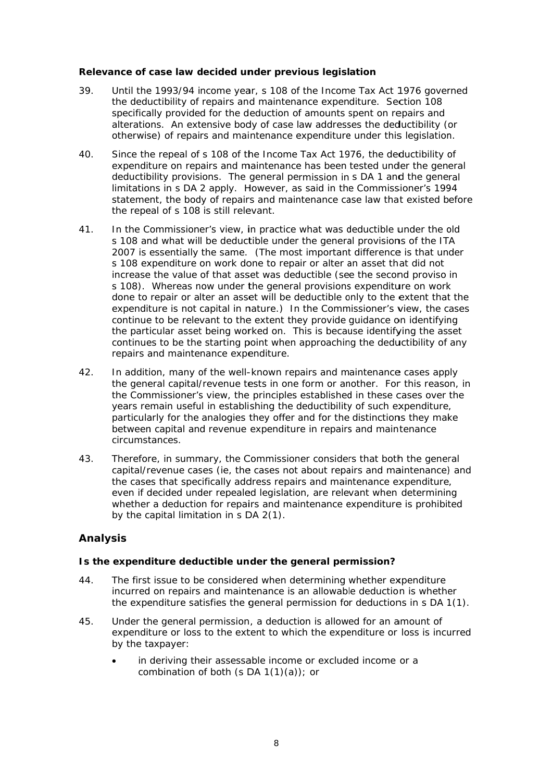### Relevance of case law decided under previous legislation

- 39. Until the 1993/94 income year, s 108 of the Income Tax Act 1976 governed the deductibility of repairs and maintenance expenditure. Section 108 specifically provided for the deduction of amounts spent on repairs and alterations. An extensive body of case law addresses the deductibility (or otherwise) of repairs and maintenance expenditure under this legislation.
- $40.$ Since the repeal of s 108 of the Income Tax Act 1976, the deductibility of expenditure on repairs and maintenance has been tested under the general deductibility provisions. The general permission in s DA 1 and the general limitations in s DA 2 apply. However, as said in the Commissioner's 1994 statement, the body of repairs and maintenance case law that existed before the repeal of s 108 is still relevant.
- 41. In the Commissioner's view, in practice what was deductible under the old s 108 and what will be deductible under the general provisions of the ITA 2007 is essentially the same. (The most important difference is that under s 108 expenditure on work done to repair or alter an asset that did not increase the value of that asset was deductible (see the second proviso in s 108). Whereas now under the general provisions expenditure on work done to repair or alter an asset will be deductible only to the extent that the expenditure is not capital in nature.) In the Commissioner's view, the cases continue to be relevant to the extent they provide guidance on identifying the particular asset being worked on. This is because identifying the asset continues to be the starting point when approaching the deductibility of any repairs and maintenance expenditure.
- $42.$ In addition, many of the well-known repairs and maintenance cases apply the general capital/revenue tests in one form or another. For this reason, in the Commissioner's view, the principles established in these cases over the vears remain useful in establishing the deductibility of such expenditure. particularly for the analogies they offer and for the distinctions they make between capital and revenue expenditure in repairs and maintenance circumstances.
- 43. Therefore, in summary, the Commissioner considers that both the general capital/revenue cases (ie, the cases not about repairs and maintenance) and the cases that specifically address repairs and maintenance expenditure, even if decided under repealed legislation, are relevant when determining whether a deduction for repairs and maintenance expenditure is prohibited by the capital limitation in s DA 2(1).

### **Analysis**

### Is the expenditure deductible under the general permission?

- 44. The first issue to be considered when determining whether expenditure incurred on repairs and maintenance is an allowable deduction is whether the expenditure satisfies the general permission for deductions in s DA 1(1).
- 45. Under the general permission, a deduction is allowed for an amount of expenditure or loss to the extent to which the expenditure or loss is incurred by the taxpayer:
	- in deriving their assessable income or excluded income or a combination of both  $(s DA 1(1)(a))$ ; or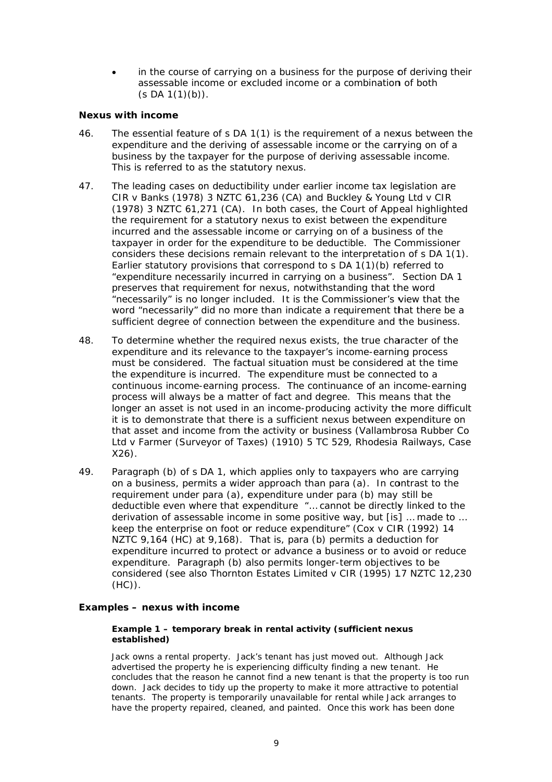in the course of carrying on a business for the purpose of deriving their assessable income or excluded income or a combination of both  $(s DA 1(1)(b)).$ 

### **Nexus with income**

- $46.$ The essential feature of s DA 1(1) is the requirement of a nexus between the expenditure and the deriving of assessable income or the carrying on of a business by the taxpayer for the purpose of deriving assessable income. This is referred to as the statutory nexus.
- 47. The leading cases on deductibility under earlier income tax legislation are CIR v Banks (1978) 3 NZTC 61,236 (CA) and Buckley & Young Ltd v CIR (1978) 3 NZTC 61,271 (CA). In both cases, the Court of Appeal highlighted the requirement for a statutory nexus to exist between the expenditure incurred and the assessable income or carrying on of a business of the taxpayer in order for the expenditure to be deductible. The Commissioner considers these decisions remain relevant to the interpretation of s DA 1(1). Earlier statutory provisions that correspond to  $s$  DA  $1(1)(b)$  referred to "expenditure necessarily incurred in carrying on a business". Section DA 1 preserves that requirement for nexus, notwithstanding that the word "necessarily" is no longer included. It is the Commissioner's view that the word "necessarily" did no more than indicate a requirement that there be a sufficient degree of connection between the expenditure and the business.
- 48. To determine whether the required nexus exists, the true character of the expenditure and its relevance to the taxpayer's income-earning process must be considered. The factual situation must be considered at the time the expenditure is incurred. The expenditure must be connected to a continuous income-earning process. The continuance of an income-earning process will always be a matter of fact and degree. This means that the longer an asset is not used in an income-producing activity the more difficult it is to demonstrate that there is a sufficient nexus between expenditure on that asset and income from the activity or business (Vallambrosa Rubber Co Ltd v Farmer (Surveyor of Taxes) (1910) 5 TC 529, Rhodesia Railways, Case  $X26$ ).
- 49. Paragraph (b) of s DA 1, which applies only to taxpayers who are carrying on a business, permits a wider approach than para (a). In contrast to the requirement under para (a), expenditure under para (b) may still be deductible even where that expenditure "... cannot be directly linked to the derivation of assessable income in some positive way, but [is] ... made to ... keep the enterprise on foot or reduce expenditure" (Cox v CIR (1992) 14 NZTC 9,164 (HC) at 9,168). That is, para (b) permits a deduction for expenditure incurred to protect or advance a business or to avoid or reduce expenditure. Paragraph (b) also permits longer-term objectives to be considered (see also Thornton Estates Limited v CIR (1995) 17 NZTC 12,230  $(HC)$ ).

### Examples - nexus with income

#### Example 1 - temporary break in rental activity (sufficient nexus established)

Jack owns a rental property. Jack's tenant has just moved out. Although Jack advertised the property he is experiencing difficulty finding a new tenant. He concludes that the reason he cannot find a new tenant is that the property is too run down. Jack decides to tidy up the property to make it more attractive to potential tenants. The property is temporarily unavailable for rental while Jack arranges to have the property repaired, cleaned, and painted. Once this work has been done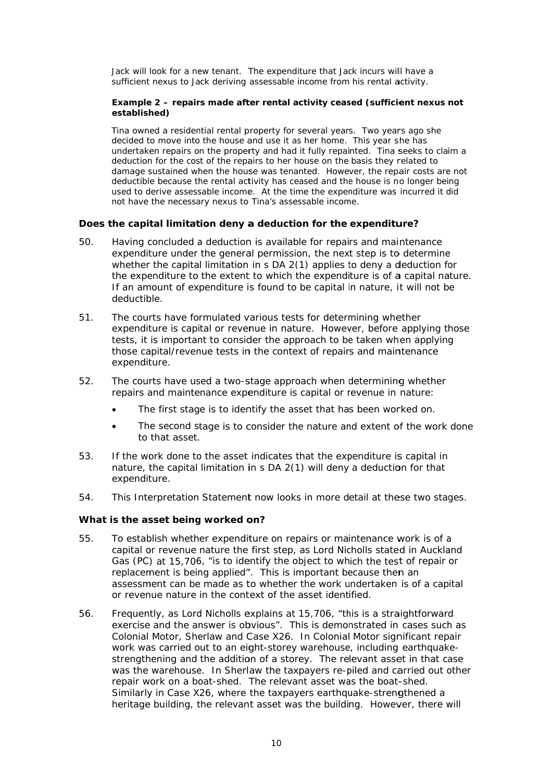Jack will look for a new tenant. The expenditure that Jack incurs will have a sufficient nexus to Jack deriving assessable income from his rental activity.

### Example 2 - repairs made after rental activity ceased (sufficient nexus not established)

Tina owned a residential rental property for several years. Two years ago she decided to move into the house and use it as her home. This year she has undertaken repairs on the property and had it fully repainted. Tina seeks to claim a deduction for the cost of the repairs to her house on the basis they related to damage sustained when the house was tenanted. However, the repair costs are not deductible because the rental activity has ceased and the house is no longer being used to derive assessable income. At the time the expenditure was incurred it did not have the necessary nexus to Tina's assessable income.

### Does the capital limitation deny a deduction for the expenditure?

- 50. Having concluded a deduction is available for repairs and maintenance expenditure under the general permission, the next step is to determine whether the capital limitation in s DA 2(1) applies to deny a deduction for the expenditure to the extent to which the expenditure is of a capital nature. If an amount of expenditure is found to be capital in nature, it will not be deductible.
- $51.$ The courts have formulated various tests for determining whether expenditure is capital or revenue in nature. However, before applying those tests, it is important to consider the approach to be taken when applying those capital/revenue tests in the context of repairs and maintenance expenditure.
- 52. The courts have used a two-stage approach when determining whether repairs and maintenance expenditure is capital or revenue in nature:
	- The first stage is to identify the asset that has been worked on.
	- The second stage is to consider the nature and extent of the work done  $\bullet$ to that asset.
- 53. If the work done to the asset indicates that the expenditure is capital in nature, the capital limitation in s DA 2(1) will deny a deduction for that expenditure.
- 54. This Interpretation Statement now looks in more detail at these two stages.

#### What is the asset being worked on?

- 55. To establish whether expenditure on repairs or maintenance work is of a capital or revenue nature the first step, as Lord Nicholls stated in Auckland Gas (PC) at 15,706, "is to identify the object to which the test of repair or replacement is being applied". This is important because then an assessment can be made as to whether the work undertaken is of a capital or revenue nature in the context of the asset identified.
- 56. Frequently, as Lord Nicholls explains at 15,706, "this is a straightforward exercise and the answer is obvious". This is demonstrated in cases such as Colonial Motor, Sherlaw and Case X26. In Colonial Motor significant repair work was carried out to an eight-storey warehouse, including earthquakestrengthening and the addition of a storey. The relevant asset in that case was the warehouse. In Sherlaw the taxpayers re-piled and carried out other repair work on a boat-shed. The relevant asset was the boat-shed. Similarly in Case X26, where the taxpayers earthquake-strengthened a heritage building, the relevant asset was the building. However, there will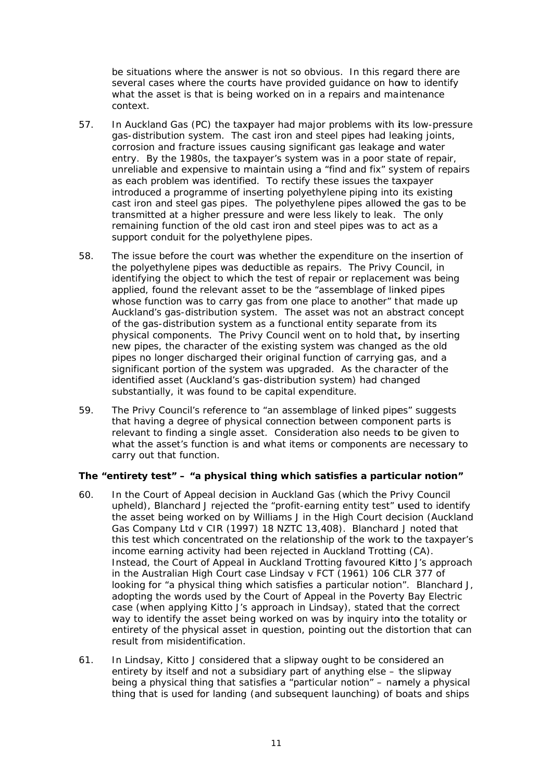be situations where the answer is not so obvious. In this regard there are several cases where the courts have provided guidance on how to identify what the asset is that is being worked on in a repairs and maintenance context.

- 57. In Auckland Gas (PC) the taxpayer had major problems with its low-pressure gas-distribution system. The cast iron and steel pipes had leaking joints, corrosion and fracture issues causing significant gas leakage and water entry. By the 1980s, the taxpayer's system was in a poor state of repair, unreliable and expensive to maintain using a "find and fix" system of repairs as each problem was identified. To rectify these issues the taxpayer introduced a programme of inserting polyethylene piping into its existing cast iron and steel gas pipes. The polyethylene pipes allowed the gas to be transmitted at a higher pressure and were less likely to leak. The only remaining function of the old cast iron and steel pipes was to act as a support conduit for the polyethylene pipes.
- 58. The issue before the court was whether the expenditure on the insertion of the polyethylene pipes was deductible as repairs. The Privy Council, in identifying the object to which the test of repair or replacement was being applied, found the relevant asset to be the "assemblage of linked pipes whose function was to carry gas from one place to another" that made up Auckland's gas-distribution system. The asset was not an abstract concept of the gas-distribution system as a functional entity separate from its physical components. The Privy Council went on to hold that, by inserting new pipes, the character of the existing system was changed as the old pipes no longer discharged their original function of carrying gas, and a significant portion of the system was upgraded. As the character of the identified asset (Auckland's gas-distribution system) had changed substantially, it was found to be capital expenditure.
- 59. The Privy Council's reference to "an assemblage of linked pipes" suggests that having a degree of physical connection between component parts is relevant to finding a single asset. Consideration also needs to be given to what the asset's function is and what items or components are necessary to carry out that function.

# The "entirety test" - "a physical thing which satisfies a particular notion"

- 60. In the Court of Appeal decision in Auckland Gas (which the Privy Council upheld), Blanchard J rejected the "profit-earning entity test" used to identify the asset being worked on by Williams J in the High Court decision (Auckland Gas Company Ltd v CIR (1997) 18 NZTC 13,408). Blanchard J noted that this test which concentrated on the relationship of the work to the taxpayer's income earning activity had been rejected in Auckland Trotting (CA). Instead, the Court of Appeal in Auckland Trotting favoured Kitto J's approach in the Australian High Court case Lindsay v FCT (1961) 106 CLR 377 of looking for "a physical thing which satisfies a particular notion". Blanchard J, adopting the words used by the Court of Appeal in the Poverty Bay Electric case (when applying Kitto J's approach in *Lindsay*), stated that the correct way to identify the asset being worked on was by inquiry into the totality or entirety of the physical asset in question, pointing out the distortion that can result from misidentification.
- In Lindsay, Kitto J considered that a slipway ought to be considered an  $61.$ entirety by itself and not a subsidiary part of anything else - the slipway being a physical thing that satisfies a "particular notion" – namely a physical thing that is used for landing (and subsequent launching) of boats and ships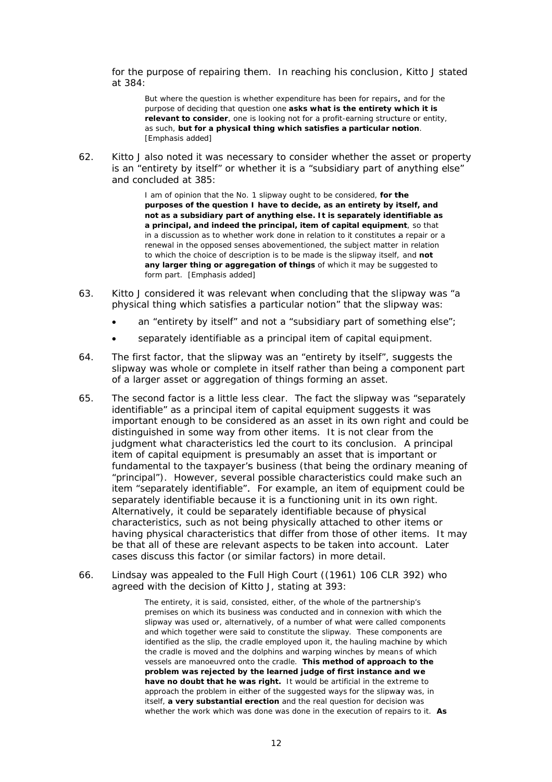for the purpose of repairing them. In reaching his conclusion, Kitto J stated at 384:

But where the question is whether expenditure has been for repairs, and for the purpose of deciding that question one asks what is the entirety which it is relevant to consider, one is looking not for a profit-earning structure or entity. as such, but for a physical thing which satisfies a particular notion. [Emphasis added]

 $62.$ Kitto J also noted it was necessary to consider whether the asset or property is an "entirety by itself" or whether it is a "subsidiary part of anything else" and concluded at 385:

> I am of opinion that the No. 1 slipway ought to be considered, for the purposes of the question I have to decide, as an entirety by itself, and not as a subsidiary part of anything else. It is separately identifiable as a principal, and indeed the principal, item of capital equipment, so that in a discussion as to whether work done in relation to it constitutes a repair or a renewal in the opposed senses abovementioned, the subject matter in relation to which the choice of description is to be made is the slipway itself, and not any larger thing or aggregation of things of which it may be suggested to form part. [Emphasis added]

- 63 Kitto J considered it was relevant when concluding that the slipway was "a physical thing which satisfies a particular notion" that the slipway was:
	- an "entirety by itself" and not a "subsidiary part of something else";
	- separately identifiable as a principal item of capital equipment.
- 64. The first factor, that the slipway was an "entirety by itself", suggests the slipway was whole or complete in itself rather than being a component part of a larger asset or aggregation of things forming an asset.
- The second factor is a little less clear. The fact the slipway was "separately 65. identifiable" as a principal item of capital equipment suggests it was important enough to be considered as an asset in its own right and could be distinguished in some way from other items. It is not clear from the judgment what characteristics led the court to its conclusion. A principal item of capital equipment is presumably an asset that is important or fundamental to the taxpayer's business (that being the ordinary meaning of "principal"). However, several possible characteristics could make such an item "separately identifiable". For example, an item of equipment could be separately identifiable because it is a functioning unit in its own right. Alternatively, it could be separately identifiable because of physical characteristics, such as not being physically attached to other items or having physical characteristics that differ from those of other items. It may be that all of these are relevant aspects to be taken into account. Later cases discuss this factor (or similar factors) in more detail.
- Lindsay was appealed to the Full High Court ((1961) 106 CLR 392) who 66. agreed with the decision of Kitto J, stating at 393:

The entirety, it is said, consisted, either, of the whole of the partnership's premises on which its business was conducted and in connexion with which the slipway was used or, alternatively, of a number of what were called components and which together were said to constitute the slipway. These components are identified as the slip, the cradle employed upon it, the hauling machine by which the cradle is moved and the dolphins and warping winches by means of which vessels are manoeuvred onto the cradle. This method of approach to the problem was rejected by the learned judge of first instance and we have no doubt that he was right. It would be artificial in the extreme to approach the problem in either of the suggested ways for the slipway was, in itself, a very substantial erection and the real question for decision was whether the work which was done was done in the execution of repairs to it. As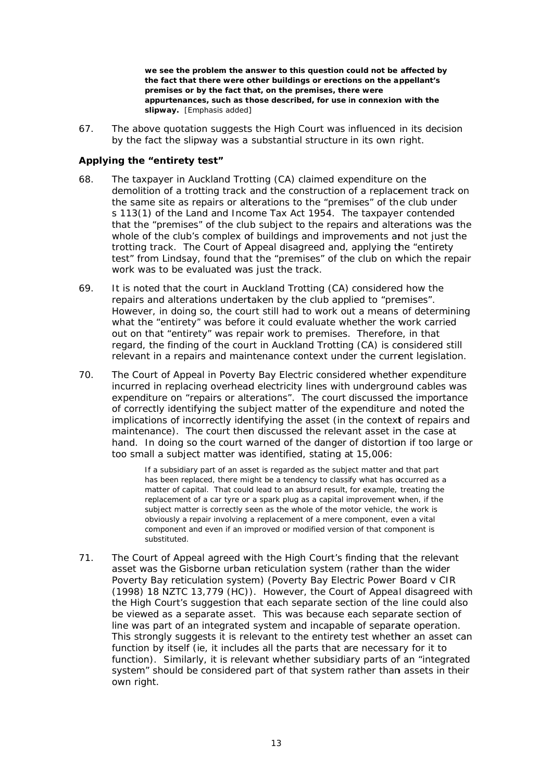we see the problem the answer to this question could not be affected by the fact that there were other buildings or erections on the appellant's premises or by the fact that, on the premises, there were appurtenances, such as those described, for use in connexion with the slipway. [Emphasis added]

67 The above quotation suggests the High Court was influenced in its decision by the fact the slipway was a substantial structure in its own right.

## Applying the "entirety test"

- 68. The taxpayer in Auckland Trotting (CA) claimed expenditure on the demolition of a trotting track and the construction of a replacement track on the same site as repairs or alterations to the "premises" of the club under s 113(1) of the Land and Income Tax Act 1954. The taxpayer contended that the "premises" of the club subject to the repairs and alterations was the whole of the club's complex of buildings and improvements and not just the trotting track. The Court of Appeal disagreed and, applying the "entirety" test" from Lindsay, found that the "premises" of the club on which the repair work was to be evaluated was just the track.
- 69. It is noted that the court in Auckland Trotting (CA) considered how the repairs and alterations undertaken by the club applied to "premises". However, in doing so, the court still had to work out a means of determining what the "entirety" was before it could evaluate whether the work carried out on that "entirety" was repair work to premises. Therefore, in that regard, the finding of the court in Auckland Trotting (CA) is considered still relevant in a repairs and maintenance context under the current legislation.
- 70. The Court of Appeal in *Poverty Bay Electric* considered whether expenditure incurred in replacing overhead electricity lines with underground cables was expenditure on "repairs or alterations". The court discussed the importance of correctly identifying the subject matter of the expenditure and noted the implications of incorrectly identifying the asset (in the context of repairs and maintenance). The court then discussed the relevant asset in the case at hand. In doing so the court warned of the danger of distortion if too large or too small a subject matter was identified, stating at 15,006:

If a subsidiary part of an asset is regarded as the subject matter and that part has been replaced, there might be a tendency to classify what has occurred as a matter of capital. That could lead to an absurd result, for example, treating the replacement of a car tyre or a spark plug as a capital improvement when, if the subject matter is correctly seen as the whole of the motor vehicle, the work is obviously a repair involving a replacement of a mere component, even a vital component and even if an improved or modified version of that component is substituted.

 $71.$ The Court of Appeal agreed with the High Court's finding that the relevant asset was the Gisborne urban reticulation system (rather than the wider Poverty Bay reticulation system) (Poverty Bay Electric Power Board v CIR (1998) 18 NZTC 13,779 (HC)). However, the Court of Appeal disagreed with the High Court's suggestion that each separate section of the line could also be viewed as a separate asset. This was because each separate section of line was part of an integrated system and incapable of separate operation. This strongly suggests it is relevant to the entirety test whether an asset can function by itself (ie, it includes all the parts that are necessary for it to function). Similarly, it is relevant whether subsidiary parts of an "integrated" system" should be considered part of that system rather than assets in their own right.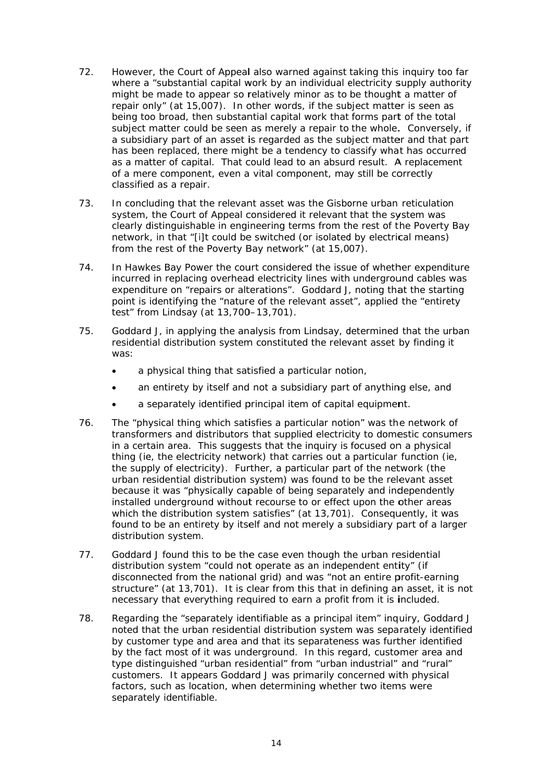- $72.$ However, the Court of Appeal also warned against taking this inquiry too far where a "substantial capital work by an individual electricity supply authority might be made to appear so relatively minor as to be thought a matter of repair only" (at 15,007). In other words, if the subject matter is seen as being too broad, then substantial capital work that forms part of the total subject matter could be seen as merely a repair to the whole. Conversely, if a subsidiary part of an asset is regarded as the subject matter and that part has been replaced, there might be a tendency to classify what has occurred as a matter of capital. That could lead to an absurd result. A replacement of a mere component, even a vital component, may still be correctly classified as a repair.
- In concluding that the relevant asset was the Gisborne urban reticulation  $73.$ system, the Court of Appeal considered it relevant that the system was clearly distinguishable in engineering terms from the rest of the Poverty Bay network, in that "[i]t could be switched (or isolated by electrical means) from the rest of the Poverty Bay network" (at 15,007).
- 74. In Hawkes Bay Power the court considered the issue of whether expenditure incurred in replacing overhead electricity lines with underground cables was expenditure on "repairs or alterations". Goddard J, noting that the starting point is identifying the "nature of the relevant asset", applied the "entirety test" from Lindsay (at 13,700-13,701).
- 75. Goddard J, in applying the analysis from *Lindsay*, determined that the urban residential distribution system constituted the relevant asset by finding it was:
	- a physical thing that satisfied a particular notion,  $\bullet$
	- an entirety by itself and not a subsidiary part of anything else, and
	- a separately identified principal item of capital equipment.  $\bullet$
- 76. The "physical thing which satisfies a particular notion" was the network of transformers and distributors that supplied electricity to domestic consumers in a certain area. This suggests that the inguiry is focused on a physical thing (ie, the electricity network) that carries out a particular function (ie, the supply of electricity). Further, a particular part of the network (the urban residential distribution system) was found to be the relevant asset because it was "physically capable of being separately and independently installed underground without recourse to or effect upon the other areas which the distribution system satisfies" (at 13,701). Consequently, it was found to be an entirety by itself and not merely a subsidiary part of a larger distribution system.
- 77. Goddard J found this to be the case even though the urban residential distribution system "could not operate as an independent entity" (if disconnected from the national grid) and was "not an entire profit-earning structure" (at 13,701). It is clear from this that in defining an asset, it is not necessary that everything required to earn a profit from it is included.
- Regarding the "separately identifiable as a principal item" inquiry, Goddard J 78. noted that the urban residential distribution system was separately identified by customer type and area and that its separateness was further identified by the fact most of it was underground. In this regard, customer area and type distinguished "urban residential" from "urban industrial" and "rural" customers. It appears Goddard J was primarily concerned with physical factors, such as location, when determining whether two items were separately identifiable.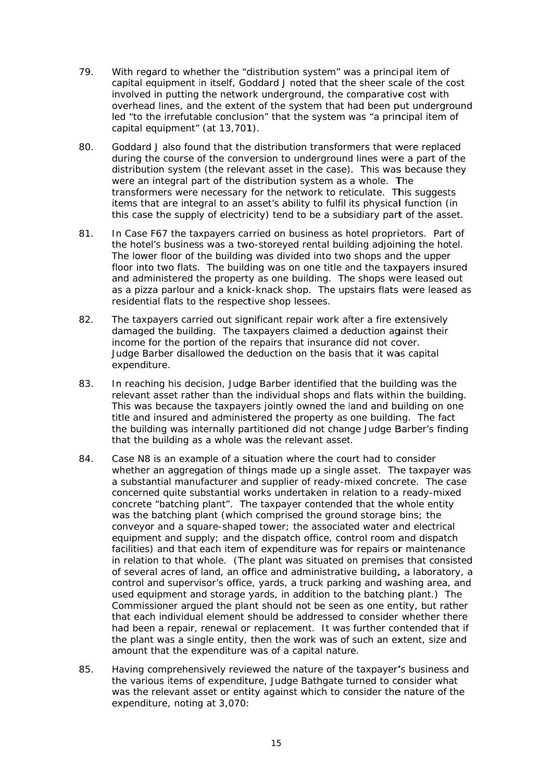- 79 With regard to whether the "distribution system" was a principal item of capital equipment in itself, Goddard J noted that the sheer scale of the cost involved in putting the network underground, the comparative cost with overhead lines, and the extent of the system that had been put underground led "to the irrefutable conclusion" that the system was "a principal item of capital equipment" (at 13,701).
- 80. Goddard J also found that the distribution transformers that were replaced during the course of the conversion to underground lines were a part of the distribution system (the relevant asset in the case). This was because they were an integral part of the distribution system as a whole. The transformers were necessary for the network to reticulate. This suggests items that are integral to an asset's ability to fulfil its physical function (in this case the supply of electricity) tend to be a subsidiary part of the asset.
- 81. In Case F67 the taxpayers carried on business as hotel proprietors. Part of the hotel's business was a two-storeved rental building adioining the hotel. The lower floor of the building was divided into two shops and the upper floor into two flats. The building was on one title and the taxpayers insured and administered the property as one building. The shops were leased out as a pizza parlour and a knick-knack shop. The upstairs flats were leased as residential flats to the respective shop lessees.
- 82. The taxpayers carried out significant repair work after a fire extensively damaged the building. The taxpayers claimed a deduction against their income for the portion of the repairs that insurance did not cover. Judge Barber disallowed the deduction on the basis that it was capital expenditure.
- In reaching his decision, Judge Barber identified that the building was the 83. relevant asset rather than the individual shops and flats within the building. This was because the taxpayers jointly owned the land and building on one title and insured and administered the property as one building. The fact the building was internally partitioned did not change Judge Barber's finding that the building as a whole was the relevant asset.
- 84. Case N8 is an example of a situation where the court had to consider whether an aggregation of things made up a single asset. The taxpayer was a substantial manufacturer and supplier of ready-mixed concrete. The case concerned quite substantial works undertaken in relation to a ready-mixed concrete "batching plant". The taxpayer contended that the whole entity was the batching plant (which comprised the ground storage bins; the conveyor and a square-shaped tower; the associated water and electrical equipment and supply; and the dispatch office, control room and dispatch facilities) and that each item of expenditure was for repairs or maintenance in relation to that whole. (The plant was situated on premises that consisted of several acres of land, an office and administrative building, a laboratory, a control and supervisor's office, yards, a truck parking and washing area, and used equipment and storage yards, in addition to the batching plant.) The Commissioner argued the plant should not be seen as one entity, but rather that each individual element should be addressed to consider whether there had been a repair, renewal or replacement. It was further contended that if the plant was a single entity, then the work was of such an extent, size and amount that the expenditure was of a capital nature.
- 85. Having comprehensively reviewed the nature of the taxpayer's business and the various items of expenditure, Judge Bathgate turned to consider what was the relevant asset or entity against which to consider the nature of the expenditure, noting at 3,070: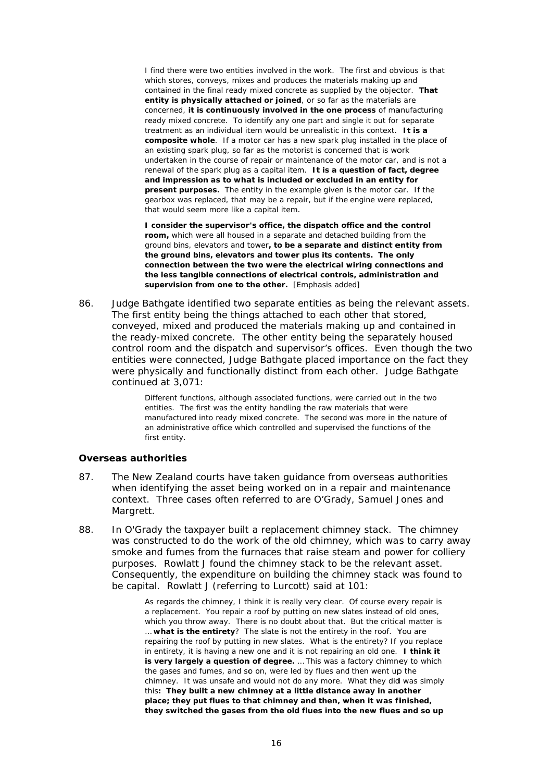I find there were two entities involved in the work. The first and obvious is that which stores, conveys, mixes and produces the materials making up and contained in the final ready mixed concrete as supplied by the objector. That **entity is physically attached or joined**, or so far as the materials are concerned, it is continuously involved in the one process of manufacturing ready mixed concrete. To identify any one part and single it out for separate treatment as an individual item would be unrealistic in this context. It is a composite whole. If a motor car has a new spark plug installed in the place of an existing spark plug, so far as the motorist is concerned that is work undertaken in the course of repair or maintenance of the motor car, and is not a renewal of the spark plug as a capital item. **It is a question of fact, degree** and impression as to what is included or excluded in an entity for **present purposes.** The entity in the example given is the motor car. If the gearbox was replaced, that may be a repair, but if the engine were replaced, that would seem more like a capital item.

**l** consider the supervisor's office, the dispatch office and the control room, which were all housed in a separate and detached building from the ground bins, elevators and tower, to be a separate and distinct entity from **the ground bins, elevators and tower plus its contents. The only** connection between the two were the electrical wiring connections and **i** the less tangible connections of electrical controls, administration and **supervision from one to the other.** [Emphasis added]

86. Judge Bathgate identified two separate entities as being the relevant assets. The first entity being the things attached to each other that stored, conveyed, mixed and produced the materials making up and contained in the ready-mixed concrete. The other entity being the separately housed control room and the dispatch and supervisor's offices. Even though the two entities were connected, Judge Bathgate placed importance on the fact they were physically and functionally distinct from each other. Judge Bathgate continued at 3,071:

> Different functions, although associated functions, were carried out in the two entities. The first was the entity handling the raw materials that were manufactured into ready mixed concrete. The second was more in the nature of an administrative office which controlled and supervised the functions of the fi rst entity.

#### *<u>Overseas</u>* authorities

- 87. The New Zealand courts have taken guidance from overseas authorities when identifying the asset being worked on in a repair and maintenance context. Three cases often referred to are *O'Grady*, *Samuel Jones* and *Margrett t*. when identifying the asset being worked on in a repair and maintenance<br>context. Three cases often referred to are *O'Grady, Samuel Jones* and<br>*Margrett*.<br>In *O'Grady* the taxpayer built a replacement chimney stack. The chi
- 88. was constructed to do the work of the old chimney, which was to carry away smoke and fumes from the furnaces that raise steam and power for colliery purposes. Rowlatt J found the chimney stack to be the relevant asset. Consequently, the expenditure on building the chimney stack was found to be capital. Rowlatt J (referring to *Lurcott*) said at 101:

As regards the chimney, I think it is really very clear. Of course every repair is a replacement. You repair a roof by putting on new slates instead of old ones, which you throw away. There is no doubt about that. But the critical matter is ... **what is the entirety**? The slate is not the entirety in the roof. You are repairing the roof by putting in new slates. What is the entirety? If you replace in entirety, it is having a new one and it is not repairing an old one. **I think it is very largely a question of degree.** ... This was a factory chimney to which the gases and fumes, and so on, were led by flues and then went up the chimney. It was unsafe and would not do any more. What they did was simply this: They built a new chimney at a little distance away in another **place; they put flues to that chimney and then, when it was finished, they switched the gases from the old flues into the new flues and so up**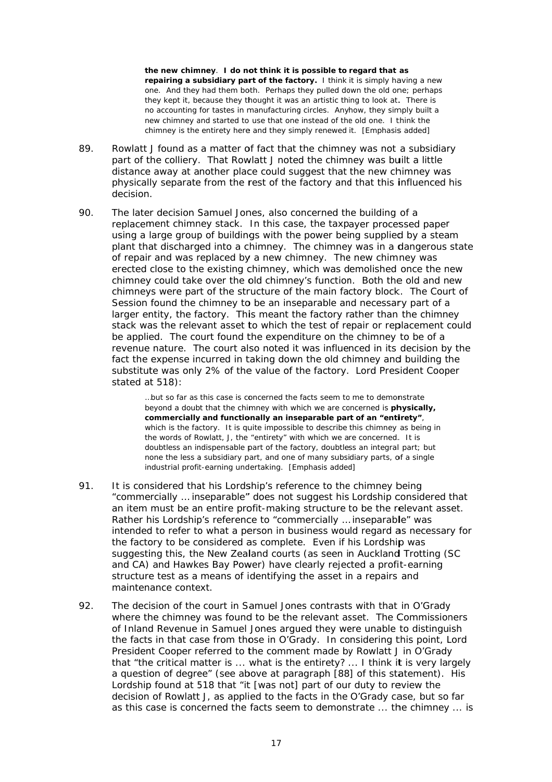the new chimney. I do not think it is possible to regard that as repairing a subsidiary part of the factory. I think it is simply having a new one. And they had them both. Perhaps they pulled down the old one; perhaps they kept it, because they thought it was an artistic thing to look at. There is no accounting for tastes in manufacturing circles. Anyhow, they simply built a new chimney and started to use that one instead of the old one. I think the chimney is the entirety here and they simply renewed it. [Emphasis added]

- 89. Rowlatt J found as a matter of fact that the chimney was not a subsidiary part of the colliery. That Rowlatt J noted the chimney was built a little distance away at another place could suggest that the new chimney was physically separate from the rest of the factory and that this influenced his decision.
- 90 The later decision Samuel Jones, also concerned the building of a replacement chimney stack. In this case, the taxpayer processed paper using a large group of buildings with the power being supplied by a steam plant that discharged into a chimney. The chimney was in a dangerous state of repair and was replaced by a new chimney. The new chimney was erected close to the existing chimney, which was demolished once the new chimney could take over the old chimney's function. Both the old and new chimneys were part of the structure of the main factory block. The Court of Session found the chimney to be an inseparable and necessary part of a larger entity, the factory. This meant the factory rather than the chimney stack was the relevant asset to which the test of repair or replacement could be applied. The court found the expenditure on the chimney to be of a revenue nature. The court also noted it was influenced in its decision by the fact the expense incurred in taking down the old chimney and building the substitute was only 2% of the value of the factory. Lord President Cooper stated at 518):

...but so far as this case is concerned the facts seem to me to demonstrate beyond a doubt that the chimney with which we are concerned is **physically**, commercially and functionally an inseparable part of an "entirety". which is the factory. It is quite impossible to describe this chimney as being in the words of Rowlatt, J, the "entirety" with which we are concerned. It is doubtless an indispensable part of the factory, doubtless an integral part; but none the less a subsidiary part, and one of many subsidiary parts, of a single industrial profit-earning undertaking. [Emphasis added]

- 91 It is considered that his Lordship's reference to the chimney being "commercially ... inseparable" does not suggest his Lordship considered that an item must be an entire profit-making structure to be the relevant asset. Rather his Lordship's reference to "commercially ... inseparable" was intended to refer to what a person in business would regard as necessary for the factory to be considered as complete. Even if his Lordship was suggesting this, the New Zealand courts (as seen in Auckland Trotting (SC and CA) and *Hawkes Bay Power*) have clearly rejected a profit-earning structure test as a means of identifying the asset in a repairs and maintenance context
- 92. The decision of the court in Samuel Jones contrasts with that in O'Grady where the chimney was found to be the relevant asset. The Commissioners of Inland Revenue in Samuel Jones argued they were unable to distinguish the facts in that case from those in O'Grady. In considering this point, Lord President Cooper referred to the comment made by Rowlatt J in O'Grady that "the critical matter is ... what is the entirety? ... I think it is very largely a question of degree" (see above at paragraph [88] of this statement). His Lordship found at 518 that "it [was not] part of our duty to review the decision of Rowlatt J, as applied to the facts in the O'Grady case, but so far as this case is concerned the facts seem to demonstrate ... the chimney ... is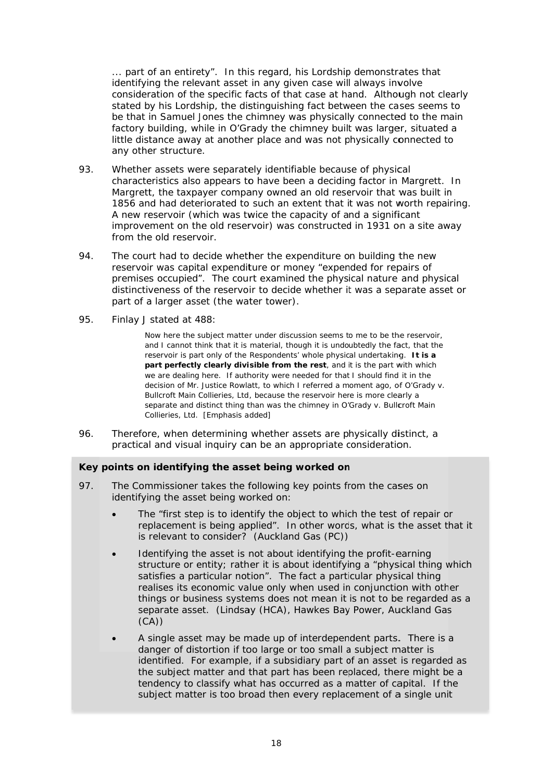... part of an entirety". In this regard, his Lordship demonstrates that identifying the relevant asset in any given case will always involve consideration of the specific facts of that case at hand. Although not clearly stated by his Lordship, the distinguishing fact between the cases seems to be that in *Samuel Jones* the chimney was physically connected to the main factory building, while in O'Grady the chimney built was larger, situated a little distance away at another place and was not physically connected to any other structure.

- 93 Whether assets were separately identifiable because of physical characteristics also appears to have been a deciding factor in Margrett. In Margrett, the taxpayer company owned an old reservoir that was built in 1856 and had deteriorated to such an extent that it was not worth repairing. A new reservoir (which was twice the capacity of and a significant improvement on the old reservoir) was constructed in 1931 on a site away from the old reservoir.
- 94. The court had to decide whether the expenditure on building the new reservoir was capital expenditure or money "expended for repairs of premises occupied". The court examined the physical nature and physical distinctiveness of the reservoir to decide whether it was a separate asset or part of a larger asset (the water tower).
- 95. Finlay J stated at 488:

Now here the subject matter under discussion seems to me to be the reservoir, and I cannot think that it is material, though it is undoubtedly the fact, that the reservoir is part only of the Respondents' whole physical undertaking. It is a part perfectly clearly divisible from the rest, and it is the part with which we are dealing here. If authority were needed for that I should find it in the decision of Mr. Justice Rowlatt, to which I referred a moment ago, of O'Grady v. Bullcroft Main Collieries, Ltd, because the reservoir here is more clearly a separate and distinct thing than was the chimney in O'Grady v. Bullcroft Main Collieries, Ltd. [Emphasis added]

96. Therefore, when determining whether assets are physically distinct, a practical and visual inquiry can be an appropriate consideration.

### Key points on identifying the asset being worked on

- 97. The Commissioner takes the following key points from the cases on identifying the asset being worked on:
	- The "first step is to identify the object to which the test of repair or replacement is being applied". In other words, what is the asset that it is relevant to consider? (Auckland Gas (PC))
	- Identifying the asset is not about identifying the profit-earning structure or entity; rather it is about identifying a "physical thing which satisfies a particular notion". The fact a particular physical thing realises its economic value only when used in conjunction with other things or business systems does not mean it is not to be regarded as a separate asset. (Lindsay (HCA), Hawkes Bay Power, Auckland Gas  $(CA))$
	- A single asset may be made up of interdependent parts. There is a  $\bullet$ danger of distortion if too large or too small a subject matter is identified. For example, if a subsidiary part of an asset is regarded as the subject matter and that part has been replaced, there might be a tendency to classify what has occurred as a matter of capital. If the subject matter is too broad then every replacement of a single unit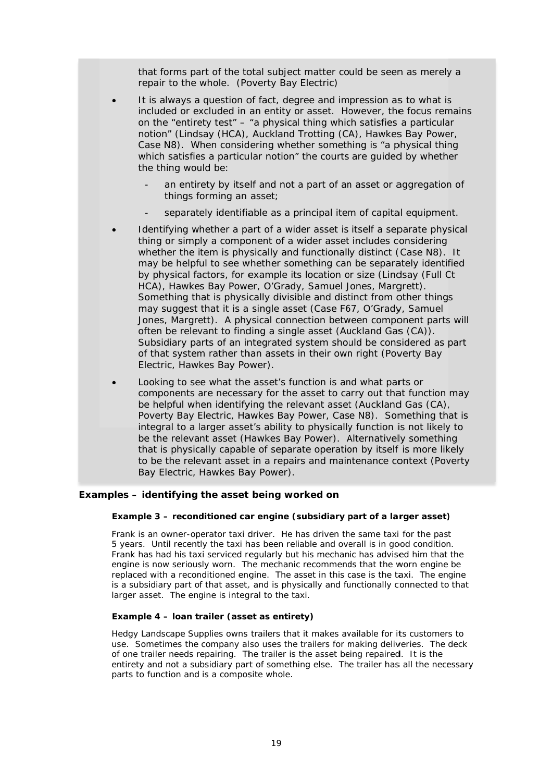that forms part of the total subject matter could be seen as merely a repair to the whole. (Poverty Bay Electric)

- It is always a question of fact, degree and impression as to what is included or excluded in an entity or asset. However, the focus remains on the "entirety test" - "a physical thing which satisfies a particular notion" (Lindsay (HCA), Auckland Trotting (CA), Hawkes Bay Power, Case N8). When considering whether something is "a physical thing which satisfies a particular notion" the courts are quided by whether the thing would be:
	- an entirety by itself and not a part of an asset or aggregation of things forming an asset;
	- separately identifiable as a principal item of capital equipment.
- Identifying whether a part of a wider asset is itself a separate physical thing or simply a component of a wider asset includes considering whether the item is physically and functionally distinct (Case N8). It may be helpful to see whether something can be separately identified by physical factors, for example its location or size (Lindsay (Full Ct HCA), Hawkes Bay Power, O'Grady, Samuel Jones, Margrett). Something that is physically divisible and distinct from other things may suggest that it is a single asset (Case F67, O'Grady, Samuel Jones, Margrett). A physical connection between component parts will often be relevant to finding a single asset (Auckland Gas (CA)). Subsidiary parts of an integrated system should be considered as part of that system rather than assets in their own right (Poverty Bay Electric, Hawkes Bay Power).
- Looking to see what the asset's function is and what parts or  $\bullet$ components are necessary for the asset to carry out that function may be helpful when identifying the relevant asset (Auckland Gas (CA), Poverty Bay Electric, Hawkes Bay Power, Case N8). Something that is integral to a larger asset's ability to physically function is not likely to be the relevant asset (Hawkes Bay Power). Alternatively something that is physically capable of separate operation by itself is more likely to be the relevant asset in a repairs and maintenance context (Poverty Bay Electric, Hawkes Bay Power).

#### Examples - identifying the asset being worked on

#### Example 3 - reconditioned car engine (subsidiary part of a larger asset)

Frank is an owner-operator taxi driver. He has driven the same taxi for the past 5 years. Until recently the taxi has been reliable and overall is in good condition. Frank has had his taxi serviced regularly but his mechanic has advised him that the engine is now seriously worn. The mechanic recommends that the worn engine be replaced with a reconditioned engine. The asset in this case is the taxi. The engine is a subsidiary part of that asset, and is physically and functionally connected to that larger asset. The engine is integral to the taxi.

#### Example 4 – Ioan trailer (asset as entirety)

Hedgy Landscape Supplies owns trailers that it makes available for its customers to use. Sometimes the company also uses the trailers for making deliveries. The deck of one trailer needs repairing. The trailer is the asset being repaired. It is the entirety and not a subsidiary part of something else. The trailer has all the necessary parts to function and is a composite whole.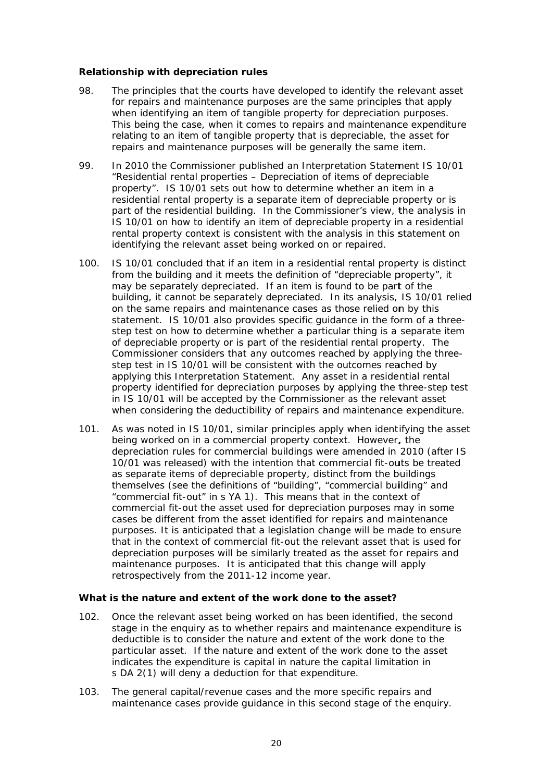### Relationship with depreciation rules

- 98 The principles that the courts have developed to identify the relevant asset for repairs and maintenance purposes are the same principles that apply when identifying an item of tangible property for depreciation purposes. This being the case, when it comes to repairs and maintenance expenditure relating to an item of tangible property that is depreciable, the asset for repairs and maintenance purposes will be generally the same item.
- 99. In 2010 the Commissioner published an Interpretation Statement IS 10/01 "Residential rental properties - Depreciation of items of depreciable property". IS 10/01 sets out how to determine whether an item in a residential rental property is a separate item of depreciable property or is part of the residential building. In the Commissioner's view, the analysis in IS 10/01 on how to identify an item of depreciable property in a residential rental property context is consistent with the analysis in this statement on identifying the relevant asset being worked on or repaired.
- $100.$ IS 10/01 concluded that if an item in a residential rental property is distinct from the building and it meets the definition of "depreciable property", it may be separately depreciated. If an item is found to be part of the building, it cannot be separately depreciated. In its analysis, IS 10/01 relied on the same repairs and maintenance cases as those relied on by this statement. IS 10/01 also provides specific guidance in the form of a threestep test on how to determine whether a particular thing is a separate item of depreciable property or is part of the residential rental property. The Commissioner considers that any outcomes reached by applying the threestep test in IS 10/01 will be consistent with the outcomes reached by applying this Interpretation Statement. Any asset in a residential rental property identified for depreciation purposes by applying the three-step test in IS 10/01 will be accepted by the Commissioner as the relevant asset when considering the deductibility of repairs and maintenance expenditure.
- $101.$ As was noted in IS 10/01, similar principles apply when identifying the asset being worked on in a commercial property context. However, the depreciation rules for commercial buildings were amended in 2010 (after IS 10/01 was released) with the intention that commercial fit-outs be treated as separate items of depreciable property, distinct from the buildings themselves (see the definitions of "building", "commercial building" and "commercial fit-out" in s YA 1). This means that in the context of commercial fit-out the asset used for depreciation purposes may in some cases be different from the asset identified for repairs and maintenance purposes. It is anticipated that a legislation change will be made to ensure that in the context of commercial fit-out the relevant asset that is used for depreciation purposes will be similarly treated as the asset for repairs and maintenance purposes. It is anticipated that this change will apply retrospectively from the 2011-12 income year.

### What is the nature and extent of the work done to the asset?

- $102.$ Once the relevant asset being worked on has been identified, the second stage in the enguiry as to whether repairs and maintenance expenditure is deductible is to consider the nature and extent of the work done to the particular asset. If the nature and extent of the work done to the asset indicates the expenditure is capital in nature the capital limitation in s DA 2(1) will deny a deduction for that expenditure.
- $103 -$ The general capital/revenue cases and the more specific repairs and maintenance cases provide quidance in this second stage of the enquiry.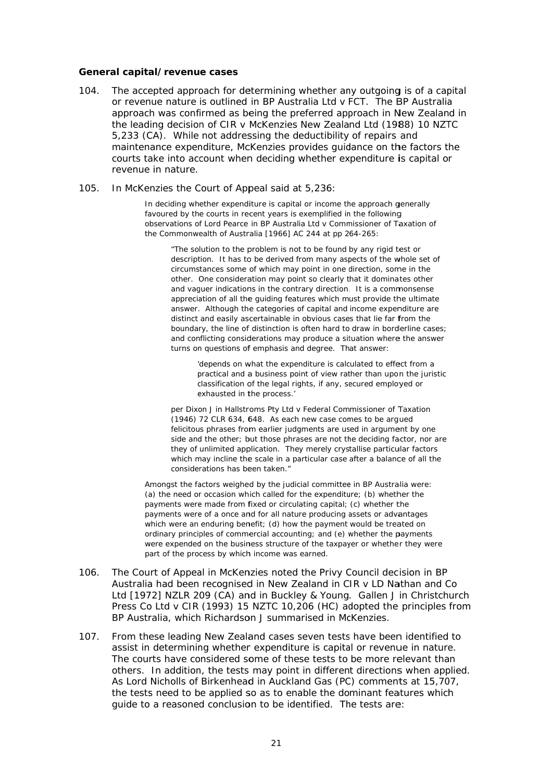#### General capital/revenue cases

- $104$ The accepted approach for determining whether any outgoing is of a capital or revenue nature is outlined in BP Australia Ltd v FCT. The BP Australia approach was confirmed as being the preferred approach in New Zealand in the leading decision of CIR v McKenzies New Zealand Ltd (1988) 10 NZTC 5,233 (CA). While not addressing the deductibility of repairs and maintenance expenditure, McKenzies provides guidance on the factors the courts take into account when deciding whether expenditure is capital or revenue in nature.
- $105.$ In McKenzies the Court of Appeal said at 5,236:

In deciding whether expenditure is capital or income the approach generally favoured by the courts in recent years is exemplified in the following observations of Lord Pearce in BP Australia Ltd v Commissioner of Taxation of the Commonwealth of Australia [1966] AC 244 at pp 264-265:

"The solution to the problem is not to be found by any rigid test or description. It has to be derived from many aspects of the whole set of circumstances some of which may point in one direction, some in the other. One consideration may point so clearly that it dominates other and vaguer indications in the contrary direction. It is a commonsense appreciation of all the guiding features which must provide the ultimate answer. Although the categories of capital and income expenditure are distinct and easily ascertainable in obvious cases that lie far from the boundary, the line of distinction is often hard to draw in borderline cases; and conflicting considerations may produce a situation where the answer turns on questions of emphasis and degree. That answer:

'depends on what the expenditure is calculated to effect from a practical and a business point of view rather than upon the juristic classification of the legal rights, if any, secured employed or exhausted in the process.'

per Dixon J in Hallstroms Pty Ltd v Federal Commissioner of Taxation (1946) 72 CLR 634, 648. As each new case comes to be argued felicitous phrases from earlier judgments are used in argument by one side and the other; but those phrases are not the deciding factor, nor are they of unlimited application. They merely crystallise particular factors which may incline the scale in a particular case after a balance of all the considerations has been taken."

Amongst the factors weighed by the judicial committee in BP Australia were: (a) the need or occasion which called for the expenditure; (b) whether the payments were made from fixed or circulating capital; (c) whether the payments were of a once and for all nature producing assets or advantages which were an enduring benefit; (d) how the payment would be treated on ordinary principles of commercial accounting; and (e) whether the payments were expended on the business structure of the taxpayer or whether they were part of the process by which income was earned.

- 106. The Court of Appeal in McKenzies noted the Privy Council decision in BP Australia had been recognised in New Zealand in CIR v LD Nathan and Co Ltd [1972] NZLR 209 (CA) and in Buckley & Young. Gallen J in Christchurch Press Co Ltd v CIR (1993) 15 NZTC 10,206 (HC) adopted the principles from BP Australia, which Richardson J summarised in McKenzies.
- $107<sub>1</sub>$ From these leading New Zealand cases seven tests have been identified to assist in determining whether expenditure is capital or revenue in nature. The courts have considered some of these tests to be more relevant than others. In addition, the tests may point in different directions when applied. As Lord Nicholls of Birkenhead in Auckland Gas (PC) comments at 15,707, the tests need to be applied so as to enable the dominant features which quide to a reasoned conclusion to be identified. The tests are: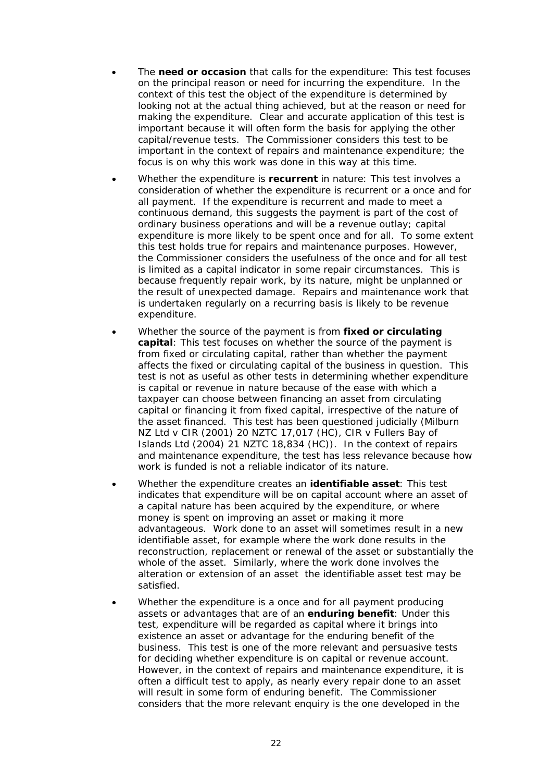- The **need or occasion** that calls for the expenditure: This test focuses on the principal reason or need for incurring the expenditure. In the context of this test the object of the expenditure is determined by looking not at the actual thing achieved, but at the reason or need for making the expenditure. Clear and accurate application of this test is important because it will often form the basis for applying the other capital/revenue tests. The Commissioner considers this test to be important in the context of repairs and maintenance expenditure; the focus is on why this work was done in this way at this time.
- Whether the expenditure is **recurrent** in nature: This test involves a consideration of whether the expenditure is recurrent or a once and for all payment. If the expenditure is recurrent and made to meet a continuous demand, this suggests the payment is part of the cost of ordinary business operations and will be a revenue outlay; capital expenditure is more likely to be spent once and for all. To some extent this test holds true for repairs and maintenance purposes. However, the Commissioner considers the usefulness of the once and for all test is limited as a capital indicator in some repair circumstances. This is because frequently repair work, by its nature, might be unplanned or the result of unexpected damage. Repairs and maintenance work that is undertaken regularly on a recurring basis is likely to be revenue expenditure.
- Whether the source of the payment is from **fixed or circulating capital**: This test focuses on whether the source of the payment is from fixed or circulating capital, rather than whether the payment affects the fixed or circulating capital of the business in question. This test is not as useful as other tests in determining whether expenditure is capital or revenue in nature because of the ease with which a taxpayer can choose between financing an asset from circulating capital or financing it from fixed capital, irrespective of the nature of the asset financed. This test has been questioned judicially (*Milburn NZ Ltd v CIR* (2001) 20 NZTC 17,017 (HC), *CIR v Fullers Bay of Islands Ltd* (2004) 21 NZTC 18,834 (HC)). In the context of repairs and maintenance expenditure, the test has less relevance because how work is funded is not a reliable indicator of its nature.
- Whether the expenditure creates an **identifiable asset**: This test indicates that expenditure will be on capital account where an asset of a capital nature has been acquired by the expenditure, or where money is spent on improving an asset or making it more advantageous. Work done to an asset will sometimes result in a new identifiable asset, for example where the work done results in the reconstruction, replacement or renewal of the asset or substantially the whole of the asset. Similarly, where the work done involves the alteration or extension of an asset the identifiable asset test may be satisfied.
- Whether the expenditure is a once and for all payment producing assets or advantages that are of an **enduring benefit**: Under this test, expenditure will be regarded as capital where it brings into existence an asset or advantage for the enduring benefit of the business. This test is one of the more relevant and persuasive tests for deciding whether expenditure is on capital or revenue account. However, in the context of repairs and maintenance expenditure, it is often a difficult test to apply, as nearly every repair done to an asset will result in some form of enduring benefit. The Commissioner considers that the more relevant enquiry is the one developed in the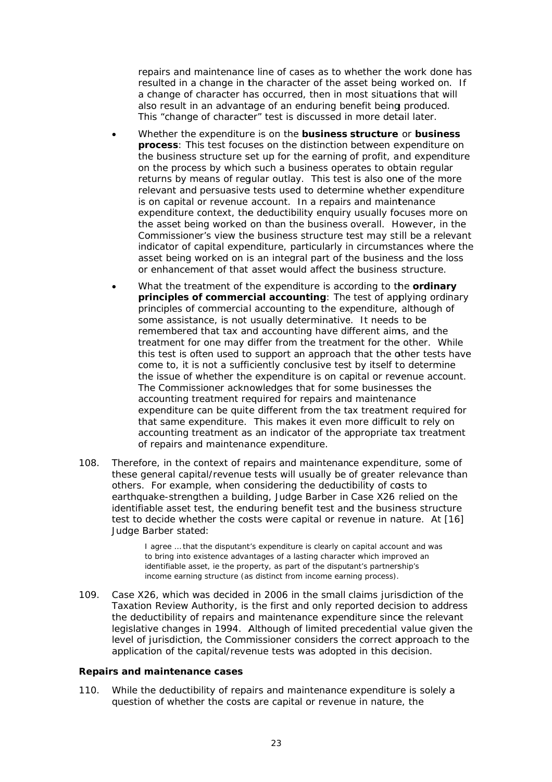repairs and maintenance line of cases as to whether the work done has resulted in a change in the character of the asset being worked on. If a change of character has occurred, then in most situations that will also result in an advantage of an enduring benefit being produced. This "change of character" test is discussed in more detail later.

- Whether the expenditure is on the business structure or business process: This test focuses on the distinction between expenditure on the business structure set up for the earning of profit, and expenditure on the process by which such a business operates to obtain regular returns by means of regular outlay. This test is also one of the more relevant and persuasive tests used to determine whether expenditure is on capital or revenue account. In a repairs and maintenance expenditure context, the deductibility enquiry usually focuses more on the asset being worked on than the business overall. However, in the Commissioner's view the business structure test may still be a relevant indicator of capital expenditure, particularly in circumstances where the asset being worked on is an integral part of the business and the loss or enhancement of that asset would affect the business structure.
- What the treatment of the expenditure is according to the ordinary principles of commercial accounting: The test of applying ordinary principles of commercial accounting to the expenditure, although of some assistance, is not usually determinative. It needs to be remembered that tax and accounting have different aims, and the treatment for one may differ from the treatment for the other. While this test is often used to support an approach that the other tests have come to, it is not a sufficiently conclusive test by itself to determine the issue of whether the expenditure is on capital or revenue account. The Commissioner acknowledges that for some businesses the accounting treatment required for repairs and maintenance expenditure can be quite different from the tax treatment required for that same expenditure. This makes it even more difficult to rely on accounting treatment as an indicator of the appropriate tax treatment of repairs and maintenance expenditure.
- 108. Therefore, in the context of repairs and maintenance expenditure, some of these general capital/revenue tests will usually be of greater relevance than others. For example, when considering the deductibility of costs to earthquake-strengthen a building, Judge Barber in Case X26 relied on the identifiable asset test, the enduring benefit test and the business structure test to decide whether the costs were capital or revenue in nature. At [16] Judge Barber stated:

I agree ... that the disputant's expenditure is clearly on capital account and was to bring into existence advantages of a lasting character which improved an identifiable asset, ie the property, as part of the disputant's partnership's income earning structure (as distinct from income earning process).

Case X26, which was decided in 2006 in the small claims jurisdiction of the  $109.$ Taxation Review Authority, is the first and only reported decision to address the deductibility of repairs and maintenance expenditure since the relevant legislative changes in 1994. Although of limited precedential value given the level of jurisdiction, the Commissioner considers the correct approach to the application of the capital/revenue tests was adopted in this decision.

#### **Repairs and maintenance cases**

While the deductibility of repairs and maintenance expenditure is solely a  $110.$ question of whether the costs are capital or revenue in nature, the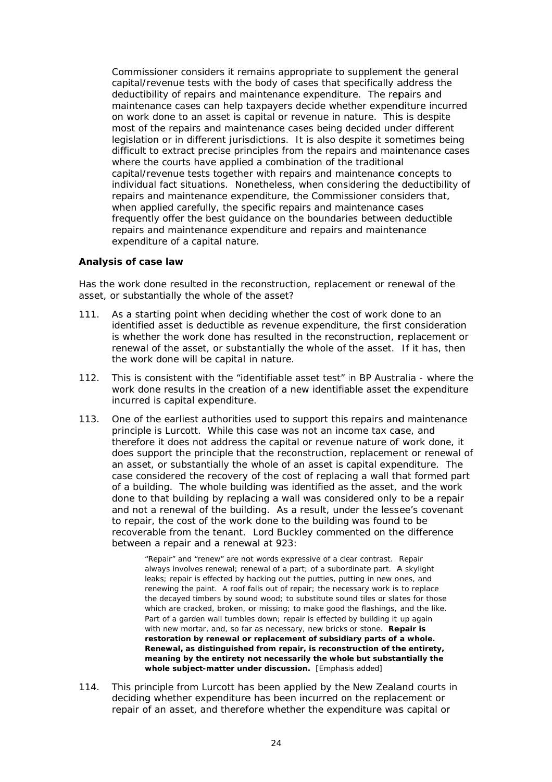Commissioner considers it remains appropriate to supplement the general capital/revenue tests with the body of cases that specifically address the deductibility of repairs and maintenance expenditure. The repairs and maintenance cases can help taxpayers decide whether expenditure incurred on work done to an asset is capital or revenue in nature. This is despite most of the repairs and maintenance cases being decided under different legislation or in different jurisdictions. It is also despite it sometimes being difficult to extract precise principles from the repairs and maintenance cases where the courts have applied a combination of the traditional capital/revenue tests together with repairs and maintenance concepts to individual fact situations. Nonetheless, when considering the deductibility of repairs and maintenance expenditure, the Commissioner considers that, when applied carefully, the specific repairs and maintenance cases frequently offer the best quidance on the boundaries between deductible repairs and maintenance expenditure and repairs and maintenance expenditure of a capital nature.

### Analysis of case law

Has the work done resulted in the reconstruction, replacement or renewal of the asset, or substantially the whole of the asset?

- As a starting point when deciding whether the cost of work done to an  $111.$ identified asset is deductible as revenue expenditure, the first consideration is whether the work done has resulted in the reconstruction, replacement or renewal of the asset, or substantially the whole of the asset. If it has, then the work done will be capital in nature.
- $112.$ This is consistent with the "identifiable asset test" in *BP Australia* - where the work done results in the creation of a new identifiable asset the expenditure incurred is capital expenditure.
- $113.$ One of the earliest authorities used to support this repairs and maintenance principle is *Lurcott*. While this case was not an income tax case, and therefore it does not address the capital or revenue nature of work done, it does support the principle that the reconstruction, replacement or renewal of an asset, or substantially the whole of an asset is capital expenditure. The case considered the recovery of the cost of replacing a wall that formed part of a building. The whole building was identified as the asset, and the work done to that building by replacing a wall was considered only to be a repair and not a renewal of the building. As a result, under the lessee's covenant to repair, the cost of the work done to the building was found to be recoverable from the tenant. Lord Buckley commented on the difference between a repair and a renewal at 923:

"Repair" and "renew" are not words expressive of a clear contrast. Repair always involves renewal; renewal of a part; of a subordinate part. A skylight leaks: repair is effected by hacking out the putties, putting in new ones, and renewing the paint. A roof falls out of repair; the necessary work is to replace the decayed timbers by sound wood; to substitute sound tiles or slates for those which are cracked, broken, or missing; to make good the flashings, and the like. Part of a garden wall tumbles down: repair is effected by building it up again with new mortar, and, so far as necessary, new bricks or stone. Repair is restoration by renewal or replacement of subsidiary parts of a whole. Renewal, as distinguished from repair, is reconstruction of the entirety, meaning by the entirety not necessarily the whole but substantially the whole subject-matter under discussion. [Emphasis added]

 $114.$ This principle from *Lurcott* has been applied by the New Zealand courts in deciding whether expenditure has been incurred on the replacement or repair of an asset, and therefore whether the expenditure was capital or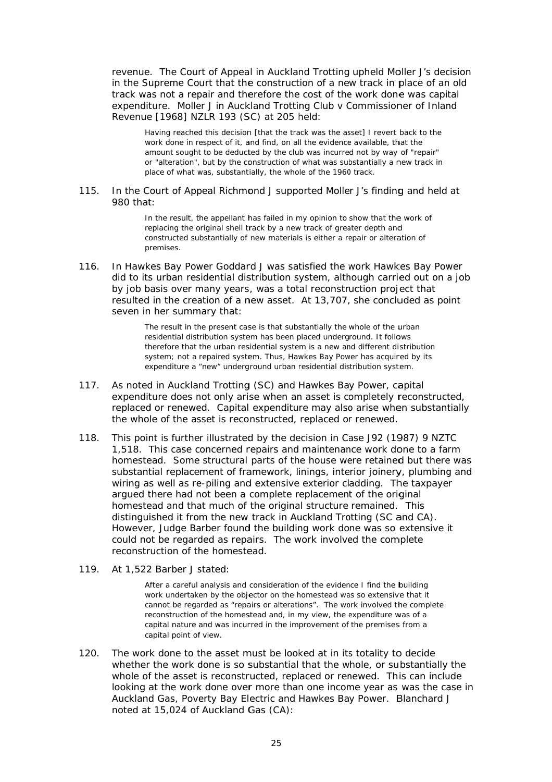revenue. The Court of Appeal in Auckland Trotting upheld Moller J's decision in the Supreme Court that the construction of a new track in place of an old track was not a repair and therefore the cost of the work done was capital expenditure. Moller J in Auckland Trotting Club v Commissioner of Inland Revenue [1968] NZLR 193 (SC) at 205 held:

Having reached this decision [that the track was the asset] I revert back to the work done in respect of it, and find, on all the evidence available, that the amount sought to be deducted by the club was incurred not by way of "repair" or "alteration", but by the construction of what was substantially a new track in place of what was, substantially, the whole of the 1960 track.

#### 115 In the Court of Appeal Richmond J supported Moller J's finding and held at 980 that:

In the result, the appellant has failed in my opinion to show that the work of replacing the original shell track by a new track of greater depth and constructed substantially of new materials is either a repair or alteration of premises.

In Hawkes Bay Power Goddard J was satisfied the work Hawkes Bay Power  $116.$ did to its urban residential distribution system, although carried out on a job by job basis over many years, was a total reconstruction project that resulted in the creation of a new asset. At 13,707, she concluded as point seven in her summary that:

> The result in the present case is that substantially the whole of the urban residential distribution system has been placed underground. It follows therefore that the urban residential system is a new and different distribution system; not a repaired system. Thus, Hawkes Bay Power has acquired by its expenditure a "new" underground urban residential distribution system.

- $117.$ As noted in Auckland Trotting (SC) and Hawkes Bay Power, capital expenditure does not only arise when an asset is completely reconstructed. replaced or renewed. Capital expenditure may also arise when substantially the whole of the asset is reconstructed, replaced or renewed.
- $118.$ This point is further illustrated by the decision in Case J92 (1987) 9 NZTC 1,518. This case concerned repairs and maintenance work done to a farm homestead. Some structural parts of the house were retained but there was substantial replacement of framework, linings, interior joinery, plumbing and wiring as well as re-piling and extensive exterior cladding. The taxpayer arqued there had not been a complete replacement of the original homestead and that much of the original structure remained. This distinguished it from the new track in Auckland Trotting (SC and CA). However, Judge Barber found the building work done was so extensive it could not be regarded as repairs. The work involved the complete reconstruction of the homestead.
- 119. At 1,522 Barber J stated:

After a careful analysis and consideration of the evidence I find the building work undertaken by the objector on the homestead was so extensive that it cannot be regarded as "repairs or alterations". The work involved the complete reconstruction of the homestead and, in my view, the expenditure was of a capital nature and was incurred in the improvement of the premises from a capital point of view.

120. The work done to the asset must be looked at in its totality to decide whether the work done is so substantial that the whole, or substantially the whole of the asset is reconstructed, replaced or renewed. This can include looking at the work done over more than one income year as was the case in Auckland Gas, Poverty Bay Electric and Hawkes Bay Power. Blanchard J noted at 15,024 of Auckland Gas (CA):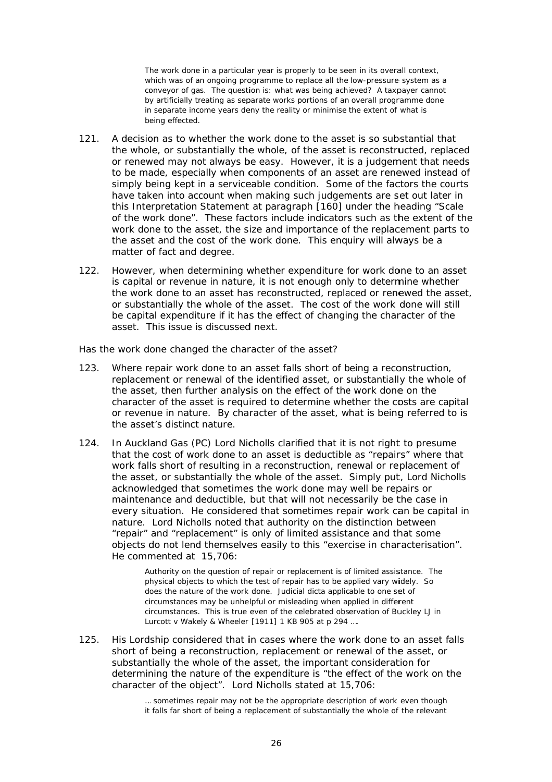The work done in a particular year is properly to be seen in its overall context. which was of an ongoing programme to replace all the low-pressure system as a conveyor of gas. The question is: what was being achieved? A taxpayer cannot by artificially treating as separate works portions of an overall programme done in separate income years deny the reality or minimise the extent of what is being effected.

- A decision as to whether the work done to the asset is so substantial that  $121.$ the whole, or substantially the whole, of the asset is reconstructed, replaced or renewed may not always be easy. However, it is a judgement that needs to be made, especially when components of an asset are renewed instead of simply being kept in a serviceable condition. Some of the factors the courts have taken into account when making such judgements are set out later in this Interpretation Statement at paragraph [160] under the heading "Scale of the work done". These factors include indicators such as the extent of the work done to the asset, the size and importance of the replacement parts to the asset and the cost of the work done. This enquiry will always be a matter of fact and degree.
- However, when determining whether expenditure for work done to an asset  $122.$ is capital or revenue in nature, it is not enough only to determine whether the work done to an asset has reconstructed, replaced or renewed the asset, or substantially the whole of the asset. The cost of the work done will still be capital expenditure if it has the effect of changing the character of the asset. This issue is discussed next.

Has the work done changed the character of the asset?

- Where repair work done to an asset falls short of being a reconstruction,  $123.$ replacement or renewal of the identified asset, or substantially the whole of the asset, then further analysis on the effect of the work done on the character of the asset is required to determine whether the costs are capital or revenue in nature. By character of the asset, what is being referred to is the asset's distinct nature.
- In Auckland Gas (PC) Lord Nicholls clarified that it is not right to presume  $124.$ that the cost of work done to an asset is deductible as "repairs" where that work falls short of resulting in a reconstruction, renewal or replacement of the asset, or substantially the whole of the asset. Simply put, Lord Nicholls acknowledged that sometimes the work done may well be repairs or maintenance and deductible, but that will not necessarily be the case in every situation. He considered that sometimes repair work can be capital in nature. Lord Nicholls noted that authority on the distinction between "repair" and "replacement" is only of limited assistance and that some objects do not lend themselves easily to this "exercise in characterisation". He commented at 15,706:

Authority on the question of repair or replacement is of limited assistance. The physical objects to which the test of repair has to be applied vary widely. So does the nature of the work done. Judicial dicta applicable to one set of circumstances may be unhelpful or misleading when applied in different circumstances. This is true even of the celebrated observation of Buckley LJ in Lurcott v Wakely & Wheeler [1911] 1 KB 905 at p 294 ....

 $125.$ His Lordship considered that in cases where the work done to an asset falls short of being a reconstruction, replacement or renewal of the asset, or substantially the whole of the asset, the important consideration for determining the nature of the expenditure is "the effect of the work on the character of the object". Lord Nicholls stated at 15,706:

> ... sometimes repair may not be the appropriate description of work even though it falls far short of being a replacement of substantially the whole of the relevant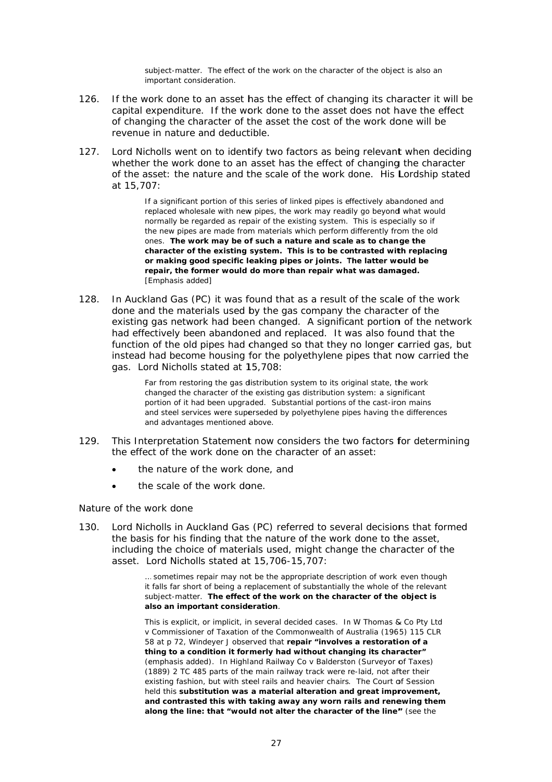subject-matter. The effect of the work on the character of the object is also an important consideration.

- If the work done to an asset has the effect of changing its character it will be  $126$ capital expenditure. If the work done to the asset does not have the effect of changing the character of the asset the cost of the work done will be revenue in nature and deductible.
- 127. Lord Nicholls went on to identify two factors as being relevant when deciding whether the work done to an asset has the effect of changing the character of the asset: the nature and the scale of the work done. His Lordship stated at 15.707:

If a significant portion of this series of linked pipes is effectively abandoned and replaced wholesale with new pipes, the work may readily go beyond what would normally be regarded as repair of the existing system. This is especially so if the new pipes are made from materials which perform differently from the old ones. The work may be of such a nature and scale as to change the character of the existing system. This is to be contrasted with replacing or making good specific leaking pipes or joints. The latter would be repair, the former would do more than repair what was damaged. [Emphasis added]

128. In Auckland Gas (PC) it was found that as a result of the scale of the work done and the materials used by the gas company the character of the existing gas network had been changed. A significant portion of the network had effectively been abandoned and replaced. It was also found that the function of the old pipes had changed so that they no longer carried gas, but instead had become housing for the polyethylene pipes that now carried the gas. Lord Nicholls stated at 15,708:

> Far from restoring the gas distribution system to its original state, the work changed the character of the existing gas distribution system: a significant portion of it had been upgraded. Substantial portions of the cast-iron mains and steel services were superseded by polyethylene pipes having the differences and advantages mentioned above.

- $129.$ This Interpretation Statement now considers the two factors for determining the effect of the work done on the character of an asset:
	- the nature of the work done, and
	- the scale of the work done.  $\bullet$

### Nature of the work done

Lord Nicholls in Auckland Gas (PC) referred to several decisions that formed  $130.$ the basis for his finding that the nature of the work done to the asset, including the choice of materials used, might change the character of the asset. Lord Nicholls stated at 15,706-15,707:

> ... sometimes repair may not be the appropriate description of work even though it falls far short of being a replacement of substantially the whole of the relevant subject-matter. The effect of the work on the character of the object is also an important consideration.

> This is explicit, or implicit, in several decided cases. In W Thomas & Co Pty Ltd v Commissioner of Taxation of the Commonwealth of Australia (1965) 115 CLR 58 at p 72, Windeyer J observed that repair "involves a restoration of a thing to a condition it formerly had without changing its character" (emphasis added). In Highland Railway Co v Balderston (Surveyor of Taxes) (1889) 2 TC 485 parts of the main railway track were re-laid, not after their existing fashion, but with steel rails and heavier chairs. The Court of Session held this substitution was a material alteration and great improvement, and contrasted this with taking away any worn rails and renewing them along the line: that "would not alter the character of the line" (see the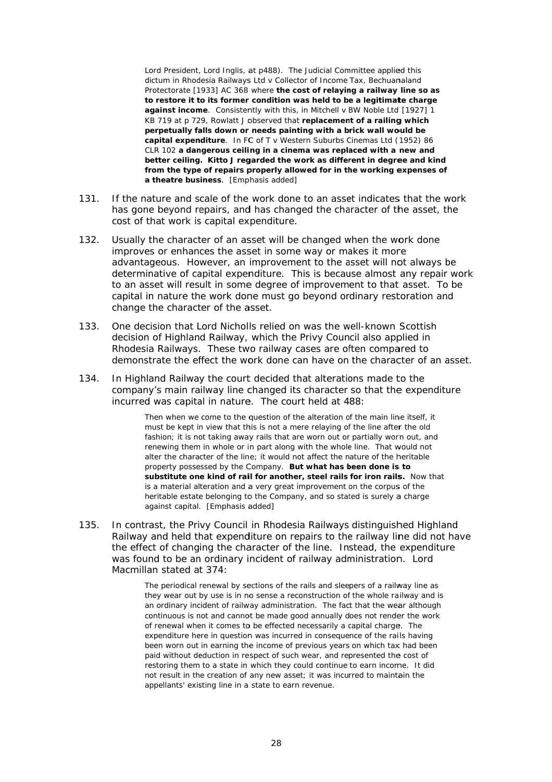Lord President, Lord Inglis, at p488). The Judicial Committee applied this dictum in Rhodesia Railways Ltd v Collector of Income Tax, Bechuanaland Protectorate [1933] AC 368 where the cost of relaying a railway line so as to restore it to its former condition was held to be a legitimate charge against income. Consistently with this, in Mitchell v BW Noble Ltd [1927] 1 KB 719 at p 729. Rowlatt J observed that replacement of a railing which perpetually falls down or needs painting with a brick wall would be capital expenditure. In FC of T v Western Suburbs Cinemas Ltd (1952) 86 CLR 102 a dangerous ceiling in a cinema was replaced with a new and better ceiling. Kitto J regarded the work as different in degree and kind from the type of repairs properly allowed for in the working expenses of a theatre business. [Emphasis added]

- $131.$ If the nature and scale of the work done to an asset indicates that the work has gone beyond repairs, and has changed the character of the asset, the cost of that work is capital expenditure.
- $132.$ Usually the character of an asset will be changed when the work done improves or enhances the asset in some way or makes it more advantageous. However, an improvement to the asset will not always be determinative of capital expenditure. This is because almost any repair work to an asset will result in some degree of improvement to that asset. To be capital in nature the work done must go beyond ordinary restoration and change the character of the asset.
- $133.$ One decision that Lord Nicholls relied on was the well-known Scottish decision of *Highland Railway*, which the Privy Council also applied in Rhodesia Railways. These two railway cases are often compared to demonstrate the effect the work done can have on the character of an asset.
- $134.$ In Highland Railway the court decided that alterations made to the company's main railway line changed its character so that the expenditure incurred was capital in nature. The court held at 488:

Then when we come to the question of the alteration of the main line itself, it must be kept in view that this is not a mere relaying of the line after the old fashion; it is not taking away rails that are worn out or partially worn out, and renewing them in whole or in part along with the whole line. That would not alter the character of the line: it would not affect the nature of the heritable property possessed by the Company. But what has been done is to substitute one kind of rail for another, steel rails for iron rails. Now that is a material alteration and a very great improvement on the corpus of the heritable estate belonging to the Company, and so stated is surely a charge against capital. [Emphasis added]

135. In contrast, the Privy Council in Rhodesia Railways distinguished Highland Railway and held that expenditure on repairs to the railway line did not have the effect of changing the character of the line. Instead, the expenditure was found to be an ordinary incident of railway administration. Lord Macmillan stated at 374:

> The periodical renewal by sections of the rails and sleepers of a railway line as they wear out by use is in no sense a reconstruction of the whole railway and is an ordinary incident of railway administration. The fact that the wear although continuous is not and cannot be made good annually does not render the work of renewal when it comes to be effected necessarily a capital charge. The expenditure here in question was incurred in consequence of the rails having been worn out in earning the income of previous years on which tax had been paid without deduction in respect of such wear, and represented the cost of restoring them to a state in which they could continue to earn income. It did not result in the creation of any new asset; it was incurred to maintain the appellants' existing line in a state to earn revenue.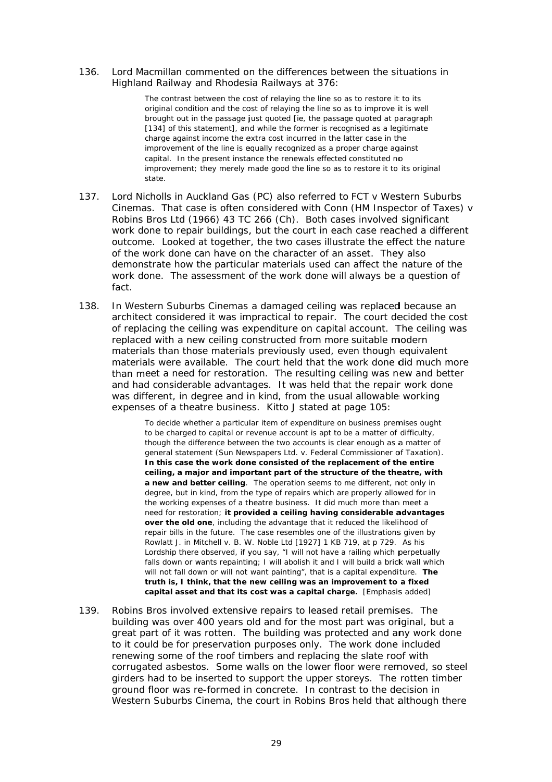#### 136. Lord Macmillan commented on the differences between the situations in Highland Railway and Rhodesia Railways at 376:

The contrast between the cost of relaying the line so as to restore it to its original condition and the cost of relaying the line so as to improve it is well brought out in the passage just quoted [ie, the passage quoted at paragraph [134] of this statement], and while the former is recognised as a legitimate charge against income the extra cost incurred in the latter case in the improvement of the line is equally recognized as a proper charge against capital. In the present instance the renewals effected constituted no improvement; they merely made good the line so as to restore it to its original state.

- 137. Lord Nicholls in Auckland Gas (PC) also referred to FCT v Western Suburbs Cinemas. That case is often considered with Conn (HM Inspector of Taxes) v Robins Bros Ltd (1966) 43 TC 266 (Ch). Both cases involved significant work done to repair buildings, but the court in each case reached a different outcome. Looked at together, the two cases illustrate the effect the nature of the work done can have on the character of an asset. They also demonstrate how the particular materials used can affect the nature of the work done. The assessment of the work done will always be a question of fact.
- 138. In Western Suburbs Cinemas a damaged ceiling was replaced because an architect considered it was impractical to repair. The court decided the cost of replacing the ceiling was expenditure on capital account. The ceiling was replaced with a new ceiling constructed from more suitable modern materials than those materials previously used, even though equivalent materials were available. The court held that the work done did much more than meet a need for restoration. The resulting ceiling was new and better and had considerable advantages. It was held that the repair work done was different, in degree and in kind, from the usual allowable working expenses of a theatre business. Kitto J stated at page 105:

To decide whether a particular item of expenditure on business premises ought to be charged to capital or revenue account is apt to be a matter of difficulty, though the difference between the two accounts is clear enough as a matter of general statement (Sun Newspapers Ltd. v. Federal Commissioner of Taxation). In this case the work done consisted of the replacement of the entire ceiling, a major and important part of the structure of the theatre, with a new and better ceiling. The operation seems to me different, not only in degree, but in kind, from the type of repairs which are properly allowed for in the working expenses of a theatre business. It did much more than meet a need for restoration; it provided a ceiling having considerable advantages over the old one, including the advantage that it reduced the likelihood of repair bills in the future. The case resembles one of the illustrations given by Rowlatt J. in Mitchell v. B. W. Noble Ltd [1927] 1 KB 719, at p 729. As his Lordship there observed, if you say, "I will not have a railing which perpetually falls down or wants repainting; I will abolish it and I will build a brick wall which will not fall down or will not want painting", that is a capital expenditure. The truth is, I think, that the new ceiling was an improvement to a fixed capital asset and that its cost was a capital charge. [Emphasis added]

 $139.$ Robins Bros involved extensive repairs to leased retail premises. The building was over 400 years old and for the most part was original, but a great part of it was rotten. The building was protected and any work done to it could be for preservation purposes only. The work done included renewing some of the roof timbers and replacing the slate roof with corrugated asbestos. Some walls on the lower floor were removed, so steel girders had to be inserted to support the upper storeys. The rotten timber ground floor was re-formed in concrete. In contrast to the decision in Western Suburbs Cinema, the court in Robins Bros held that although there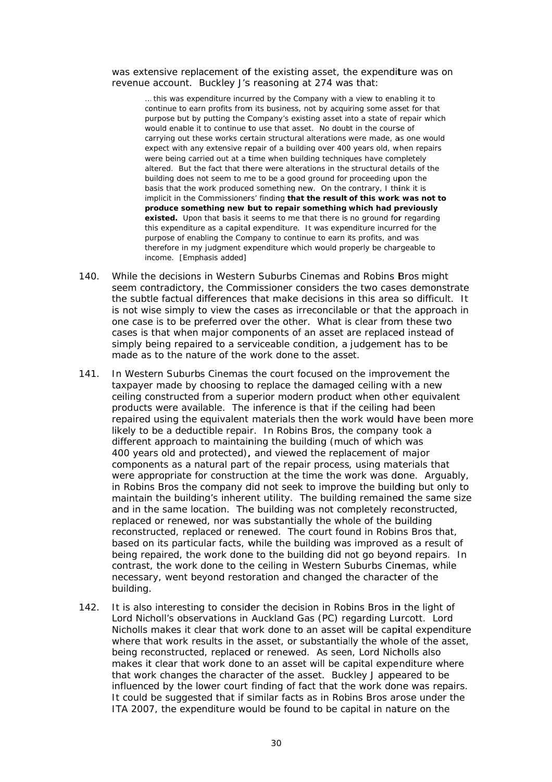#### was extensive replacement of the existing asset, the expenditure was on revenue account. Buckley J's reasoning at 274 was that:

... this was expenditure incurred by the Company with a view to enabling it to continue to earn profits from its business, not by acquiring some asset for that purpose but by putting the Company's existing asset into a state of repair which would enable it to continue to use that asset. No doubt in the course of carrying out these works certain structural alterations were made, as one would expect with any extensive repair of a building over 400 years old, when repairs were being carried out at a time when building techniques have completely altered. But the fact that there were alterations in the structural details of the building does not seem to me to be a good ground for proceeding upon the basis that the work produced something new. On the contrary, I think it is implicit in the Commissioners' finding **that the result of this work was not to produce something new but to repair something which had previously** existed. Upon that basis it seems to me that there is no ground for regarding this expenditure as a capital expenditure. It was expenditure incurred for the purpose of enabling the Company to continue to earn its profits, and was therefore in my judgment expenditure which would properly be chargeable to in ncome. [Emp hasis added]

- 140. While the decisions in *Western Suburbs Cinemas* and *Robins Bros* might seem contradictory, the Commissioner considers the two cases demonst the subtle factual differences that make decisions in this area so difficult. It is not wise simply to view the cases as irreconcilable or that the approach in one case is to be preferred over the other. What is clear from these two one case is to be preferred over the other. What is clear from these two<br>cases is that when major components of an asset are replaced instead of simply being repaired to a serviceable condition, a judgement has to be made as to the nature of the work done to the asset. n<br>trate<br>trate
- 141. In Western Suburbs Cinemas the court focused on the improvement the taxpayer made by choosing to replace the damaged ceiling with a new In Western Suburbs Cinemas the court focused on the improvement the<br>taxpayer made by choosing to replace the damaged ceiling with a new<br>ceiling constructed from a superior modern product when other equivalent products were available. The inference is that if the ceiling had been repaired using the equivalent materials then the work would have been more likely to be a deductible repair. In *Robins Bros*, the company took a different approach to maintaining the building (much of which was 400 years old and protected), and viewed the replacement of major components as a natural part of the repair process, using materials that components as a natural part of the repair process, using materials that<br>were appropriate for construction at the time the work was done. Arguably, in *Robins Bros* the company did not seek to improve the building but only to maintain the building's inherent utility. The building remained the same size and in the same location. The building was not completely reconstructed, replaced or renewed, nor was substantially the whole of the building reconstructed, replaced or renewed. The court found in *Robins Bros* that, based on its particular facts, while the building was improved as a result of being repaired, the work done to the building did not go beyond repairs. In contrast, the work done to the ceiling in *Western Suburbs Cinemas*, while necessary, went beyond restoration and changed the character of the building .
- 142. It is also interesting to consider the decision in *Robins Bros* in the light of Lord Nicholl's observations in Auckland Gas (PC) regarding *Lurcott*. Lord Lord Nicholl's observations in *Auckland Gas* (PC) regarding *Lurcott*. Lord<br>Nicholls makes it clear that work done to an asset will be capital expenditure where that work results in the asset, or substantially the whole of the asset, being reconstructed, replaced or renewed. As seen, Lord Nicholls also makes it clear that work done to an asset will be capital expenditure where that work changes the character of the asset. Buckley J appeared to be influenced by the lower court finding of fact that the work done was repairs. It could be suggested that if similar facts as in *Robins Bros* arose under the ITA 2007, the expenditure would be found to be capital in nature on the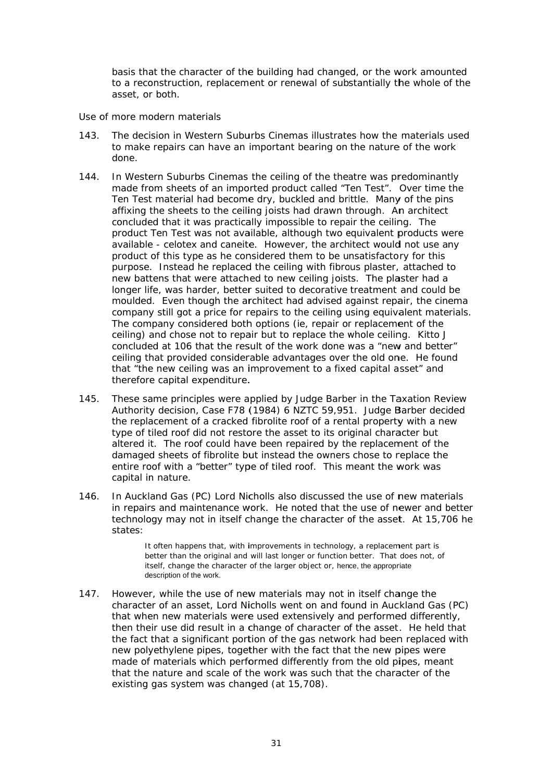basis that the character of the building had changed, or the work amounted to a reconstruction, replacement or renewal of substantially the whole of the asset, or both.

### Use of more modern materials

- $143$ The decision in Western Suburbs Cinemas illustrates how the materials used to make repairs can have an important bearing on the nature of the work done.
- In Western Suburbs Cinemas the ceiling of the theatre was predominantly  $144.$ made from sheets of an imported product called "Ten Test". Over time the Ten Test material had become dry, buckled and brittle. Many of the pins affixing the sheets to the ceiling joists had drawn through. An architect concluded that it was practically impossible to repair the ceiling. The product Ten Test was not available, although two equivalent products were available - celotex and caneite. However, the architect would not use any product of this type as he considered them to be unsatisfactory for this purpose. Instead he replaced the ceiling with fibrous plaster, attached to new battens that were attached to new ceiling joists. The plaster had a longer life, was harder, better suited to decorative treatment and could be moulded. Even though the architect had advised against repair, the cinema company still got a price for repairs to the ceiling using equivalent materials. The company considered both options (ie, repair or replacement of the ceiling) and chose not to repair but to replace the whole ceiling. Kitto J concluded at 106 that the result of the work done was a "new and better" ceiling that provided considerable advantages over the old one. He found that "the new ceiling was an improvement to a fixed capital asset" and therefore capital expenditure.
- These same principles were applied by Judge Barber in the Taxation Review  $145.$ Authority decision, Case F78 (1984) 6 NZTC 59,951. Judge Barber decided the replacement of a cracked fibrolite roof of a rental property with a new type of tiled roof did not restore the asset to its original character but altered it. The roof could have been repaired by the replacement of the damaged sheets of fibrolite but instead the owners chose to replace the entire roof with a "better" type of tiled roof. This meant the work was capital in nature.
- In Auckland Gas (PC) Lord Nicholls also discussed the use of new materials 146. in repairs and maintenance work. He noted that the use of newer and better technology may not in itself change the character of the asset. At 15,706 he states:

It often happens that, with improvements in technology, a replacement part is better than the original and will last longer or function better. That does not, of itself, change the character of the larger object or, hence, the appropriate description of the work.

 $147.$ However, while the use of new materials may not in itself change the character of an asset, Lord Nicholls went on and found in Auckland Gas (PC) that when new materials were used extensively and performed differently, then their use did result in a change of character of the asset. He held that the fact that a significant portion of the gas network had been replaced with new polyethylene pipes, together with the fact that the new pipes were made of materials which performed differently from the old pipes, meant that the nature and scale of the work was such that the character of the existing gas system was changed (at 15,708).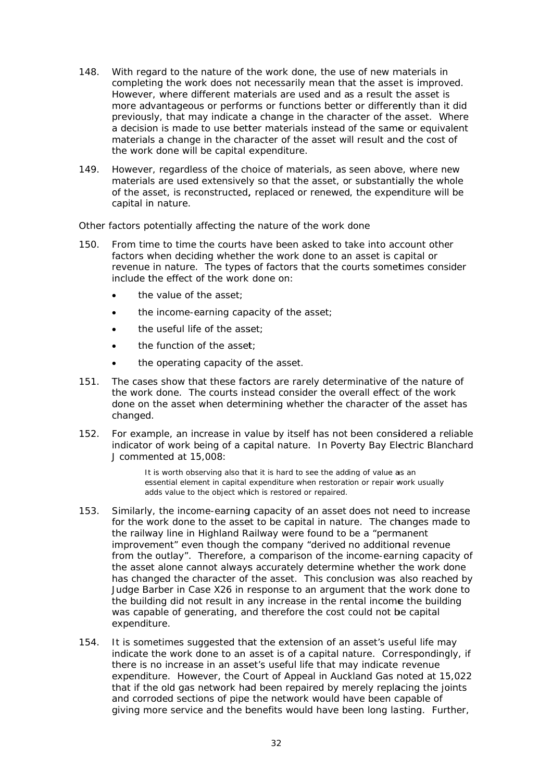- 148. With regard to the nature of the work done, the use of new materials in completing the work does not necessarily mean that the asset is improved. However, where different materials are used and as a result the asset is more advantageous or performs or functions better or differently than it did previously, that may indicate a change in the character of the asset. Where a decision is made to use better materials instead of the same or equivalent materials a change in the character of the asset will result and the cost of the work done will be capital expenditure.
- 149 However, regardless of the choice of materials, as seen above, where new materials are used extensively so that the asset, or substantially the whole of the asset, is reconstructed, replaced or renewed, the expenditure will be capital in nature.

### Other factors potentially affecting the nature of the work done

- $150.$ From time to time the courts have been asked to take into account other factors when deciding whether the work done to an asset is capital or revenue in nature. The types of factors that the courts sometimes consider include the effect of the work done on:
	- the value of the asset:
	- the income-earning capacity of the asset;  $\bullet$
	- the useful life of the asset:  $\bullet$
	- the function of the asset:
	- the operating capacity of the asset.  $\bullet$
- 151. The cases show that these factors are rarely determinative of the nature of the work done. The courts instead consider the overall effect of the work done on the asset when determining whether the character of the asset has changed.
- For example, an increase in value by itself has not been considered a reliable  $152.$ indicator of work being of a capital nature. In Poverty Bay Electric Blanchard J commented at 15,008:

It is worth observing also that it is hard to see the adding of value as an essential element in capital expenditure when restoration or repair work usually adds value to the object which is restored or repaired.

- Similarly, the income-earning capacity of an asset does not need to increase  $153.$ for the work done to the asset to be capital in nature. The changes made to the railway line in *Highland Railway* were found to be a "permanent improvement" even though the company "derived no additional revenue from the outlay". Therefore, a comparison of the income-earning capacity of the asset alone cannot always accurately determine whether the work done has changed the character of the asset. This conclusion was also reached by Judge Barber in Case X26 in response to an argument that the work done to the building did not result in any increase in the rental income the building was capable of generating, and therefore the cost could not be capital expenditure.
- $154.$ It is sometimes suggested that the extension of an asset's useful life may indicate the work done to an asset is of a capital nature. Correspondingly, if there is no increase in an asset's useful life that may indicate revenue expenditure. However, the Court of Appeal in Auckland Gas noted at 15,022 that if the old gas network had been repaired by merely replacing the joints and corroded sections of pipe the network would have been capable of giving more service and the benefits would have been long lasting. Further,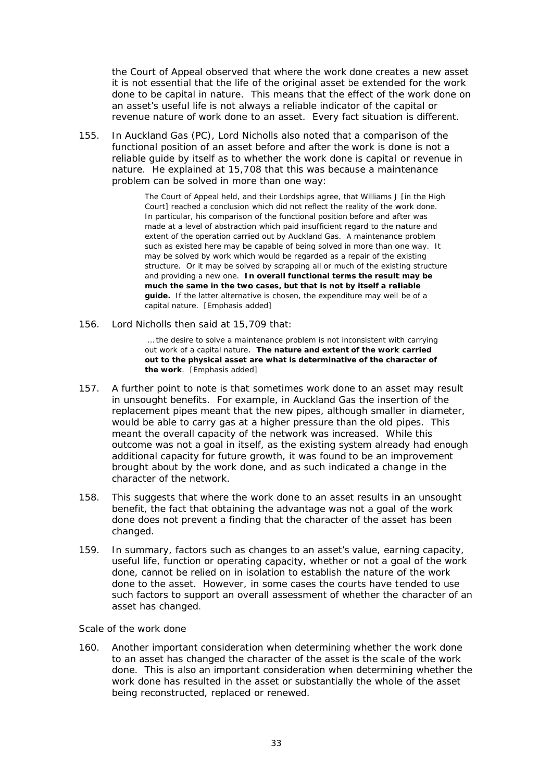the Court of Appeal observed that where the work done creates a new asset it is not essential that the life of the original asset be extended for the work done to be capital in nature. This means that the effect of the work done on an asset's useful life is not always a reliable indicator of the capital or revenue nature of work done to an asset. Every fact situation is different.

155. In *Auckland Gas* (PC), Lord Nicholls also noted that a comparison of the functional position of an asset before and after the work is done is not a reliable guide by itself as to whether the work done is capital or revenue in nature. He explained at 15,708 that this was because a maintenance problem can be solved in more than one way:

> The Court of Appeal held, and their Lordships agree, that Williams J [in the High Court] reached a conclusion which did not reflect the reality of the work done. In particular, his comparison of the functional position before and after was made at a level of abstraction which paid insufficient regard to the nature and extent of the operation carried out by Auckland Gas. A maintenance problem such as existed here may be capable of being solved in more than one way. It may be solved by work which would be regarded as a repair of the existing structure. Or it may be solved by scrapping all or much of the existing structure and providing a new one. In overall functional terms the result may be much the same in the two cases, but that is not by itself a reliable guide. If the latter alternative is chosen, the expenditure may well be of a ca apital nature. [Emphasis a added]

156. Lord Nicholls then said at 15,709 that:

> ... the desire to solve a maintenance problem is not inconsistent with carrying out work of a capital nature. The nature and extent of the work carried **o ut to the phy ysical asset are what is d determinativ ve of the cha aracter of the work**. [Emphasis added]

- 157. A further point to note is that sometimes work done to an asset may result in unsought benefits. For example, in *Auckland Gas* the insertion of the replacement pipes meant that the new pipes, although smaller in diameter, would be able to carry gas at a higher pressure than the old pipes. This meant the overall capacity of the network was increased. While this would be able to carry gas at a higher pressure than the old pipes. This<br>meant the overall capacity of the network was increased. While this<br>outcome was not a goal in itself, as the existing system already had enough additional capacity for future growth, it was found to be an improvement brought about by the work done, and as such indicated a change in the character of the network.
- 158. This suggests that where the work done to an asset results in an unsought benefit, the fact that obtaining the advantage was not a goal of the work benefit, the fact that obtaining the advantage was not a goal of the work<br>done does not prevent a finding that the character of the asset has been changed d.
- 159. In summary, factors such as changes to an asset's value, earning capacity, useful life, function or operating capacity, whether or not a goal of the work done, cannot be relied on in isolation to establish the nature of the work done, cannot be relied on in isolation to establish the nature of the work<br>done to the asset. However, in some cases the courts have tended to use such factors to support an overall assessment of whether the character of an asset ha as changed .

### **Scale of the work done**

160. Another important consideration when determining whether the work done to an asset has changed the character of the asset is the scale of the work done. This is also an important consideration when determining whether the work done has resulted in the asset or substantially the whole of the asset being reconstructed, replaced or renewed.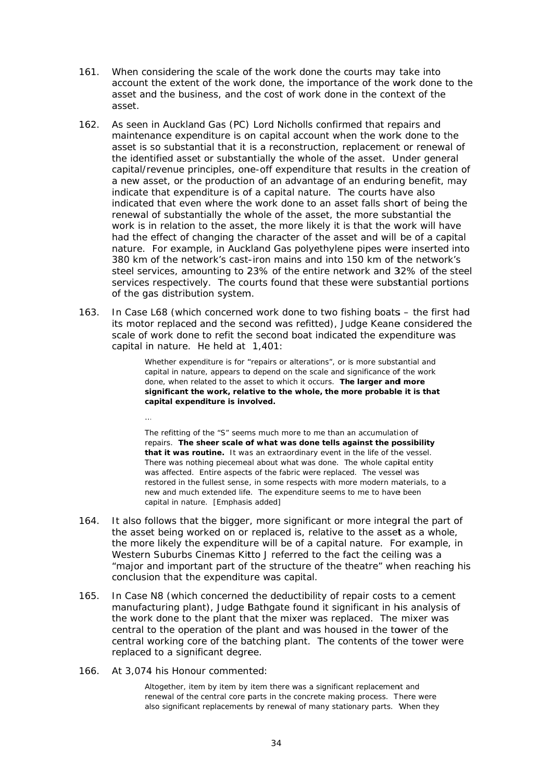- 161. When considering the scale of the work done the courts may take into account the extent of the work done, the importance of the work done to the asset and the business, and the cost of work done in the context of the asset.
- As seen in Auckland Gas (PC) Lord Nicholls confirmed that repairs and  $162.$ maintenance expenditure is on capital account when the work done to the asset is so substantial that it is a reconstruction, replacement or renewal of the identified asset or substantially the whole of the asset. Under general capital/revenue principles, one-off expenditure that results in the creation of a new asset, or the production of an advantage of an enduring benefit, may indicate that expenditure is of a capital nature. The courts have also indicated that even where the work done to an asset falls short of being the renewal of substantially the whole of the asset, the more substantial the work is in relation to the asset, the more likely it is that the work will have had the effect of changing the character of the asset and will be of a capital nature. For example, in Auckland Gas polyethylene pipes were inserted into 380 km of the network's cast-iron mains and into 150 km of the network's steel services, amounting to 23% of the entire network and 32% of the steel services respectively. The courts found that these were substantial portions of the gas distribution system.
- In Case L68 (which concerned work done to two fishing boats the first had  $163.$ its motor replaced and the second was refitted), Judge Keane considered the scale of work done to refit the second boat indicated the expenditure was capital in nature. He held at 1,401:

Whether expenditure is for "repairs or alterations", or is more substantial and capital in nature, appears to depend on the scale and significance of the work done, when related to the asset to which it occurs. The larger and more significant the work, relative to the whole, the more probable it is that capital expenditure is involved.

The refitting of the "S" seems much more to me than an accumulation of repairs. The sheer scale of what was done tells against the possibility that it was routine. It was an extraordinary event in the life of the vessel. There was nothing piecemeal about what was done. The whole capital entity was affected. Entire aspects of the fabric were replaced. The vessel was restored in the fullest sense, in some respects with more modern materials, to a new and much extended life. The expenditure seems to me to have been capital in nature. [Emphasis added]

- $164.$ It also follows that the bigger, more significant or more integral the part of the asset being worked on or replaced is, relative to the asset as a whole, the more likely the expenditure will be of a capital nature. For example, in Western Suburbs Cinemas Kitto J referred to the fact the ceiling was a "major and important part of the structure of the theatre" when reaching his conclusion that the expenditure was capital.
- In Case N8 (which concerned the deductibility of repair costs to a cement  $165.$ manufacturing plant), Judge Bathgate found it significant in his analysis of the work done to the plant that the mixer was replaced. The mixer was central to the operation of the plant and was housed in the tower of the central working core of the batching plant. The contents of the tower were replaced to a significant degree.
- $166.$ At 3,074 his Honour commented:

Altogether, item by item by item there was a significant replacement and renewal of the central core parts in the concrete making process. There were also significant replacements by renewal of many stationary parts. When they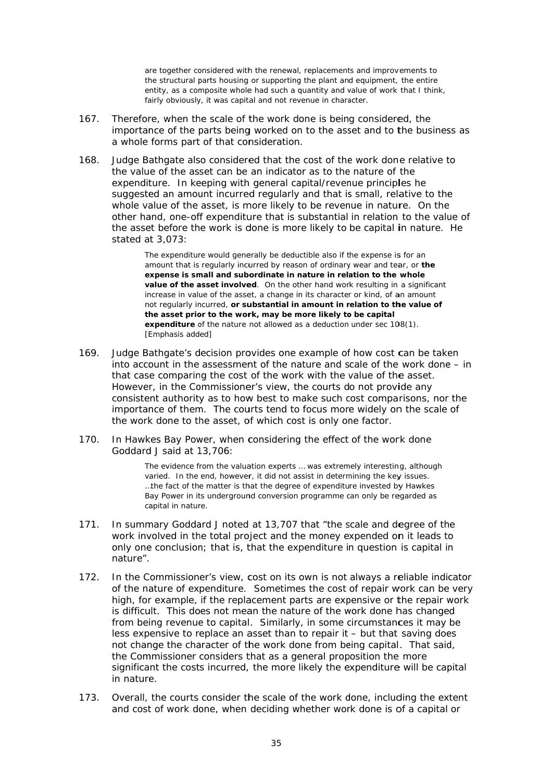are together considered with the renewal, replacements and improvements to the structural parts housing or supporting the plant and equipment, the entire entity, as a composite whole had such a quantity and value of work that I think, fairly obviously, it was capital and not revenue in character.

- $167.$ Therefore, when the scale of the work done is being considered, the importance of the parts being worked on to the asset and to the business as a whole forms part of that consideration.
- 168 Judge Bathgate also considered that the cost of the work done relative to the value of the asset can be an indicator as to the nature of the expenditure. In keeping with general capital/revenue principles he suggested an amount incurred regularly and that is small, relative to the whole value of the asset, is more likely to be revenue in nature. On the other hand, one-off expenditure that is substantial in relation to the value of the asset before the work is done is more likely to be capital in nature. He stated at 3,073:

The expenditure would generally be deductible also if the expense is for an amount that is regularly incurred by reason of ordinary wear and tear, or the expense is small and subordinate in nature in relation to the whole value of the asset involved. On the other hand work resulting in a significant increase in value of the asset, a change in its character or kind, of an amount not reqularly incurred, or substantial in amount in relation to the value of the asset prior to the work, may be more likely to be capital expenditure of the nature not allowed as a deduction under sec 108(1). [Emphasis added]

- 169. Judge Bathgate's decision provides one example of how cost can be taken into account in the assessment of the nature and scale of the work done – in that case comparing the cost of the work with the value of the asset. However, in the Commissioner's view, the courts do not provide any consistent authority as to how best to make such cost comparisons, nor the importance of them. The courts tend to focus more widely on the scale of the work done to the asset, of which cost is only one factor.
- In Hawkes Bay Power, when considering the effect of the work done  $170.$ Goddard J said at 13,706:

The evidence from the valuation experts ... was extremely interesting, although varied. In the end, however, it did not assist in determining the key issues. ...the fact of the matter is that the degree of expenditure invested by Hawkes Bay Power in its underground conversion programme can only be regarded as capital in nature.

- 171. In summary Goddard J noted at 13,707 that "the scale and degree of the work involved in the total project and the money expended on it leads to only one conclusion; that is, that the expenditure in question is capital in nature"
- In the Commissioner's view, cost on its own is not always a reliable indicator  $172$ of the nature of expenditure. Sometimes the cost of repair work can be very high, for example, if the replacement parts are expensive or the repair work is difficult. This does not mean the nature of the work done has changed from being revenue to capital. Similarly, in some circumstances it may be less expensive to replace an asset than to repair it - but that saving does not change the character of the work done from being capital. That said, the Commissioner considers that as a general proposition the more significant the costs incurred, the more likely the expenditure will be capital in nature.
- Overall, the courts consider the scale of the work done, including the extent  $173.$ and cost of work done, when deciding whether work done is of a capital or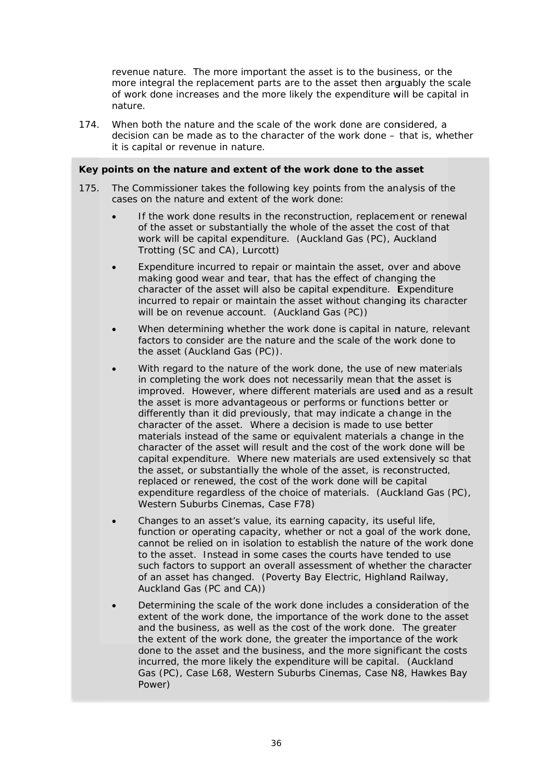revenue nature. The more important the asset is to the business, or the more integral the replacement parts are to the asset then arguably the scale of work done increases and the more likely the expenditure will be capital in nature.

 $174.$ When both the nature and the scale of the work done are considered, a decision can be made as to the character of the work done – that is, whether it is capital or revenue in nature.

### Key points on the nature and extent of the work done to the asset

- 175. The Commissioner takes the following key points from the analysis of the cases on the nature and extent of the work done:
	- If the work done results in the reconstruction, replacement or renewal of the asset or substantially the whole of the asset the cost of that work will be capital expenditure. (Auckland Gas (PC), Auckland Trotting (SC and CA), Lurcott)
	- Expenditure incurred to repair or maintain the asset, over and above making good wear and tear, that has the effect of changing the character of the asset will also be capital expenditure. Expenditure incurred to repair or maintain the asset without changing its character will be on revenue account. (Auckland Gas (PC))
	- When determining whether the work done is capital in nature, relevant factors to consider are the nature and the scale of the work done to the asset (Auckland Gas (PC)).
	- With regard to the nature of the work done, the use of new materials in completing the work does not necessarily mean that the asset is improved. However, where different materials are used and as a result the asset is more advantageous or performs or functions better or differently than it did previously, that may indicate a change in the character of the asset. Where a decision is made to use better materials instead of the same or equivalent materials a change in the character of the asset will result and the cost of the work done will be capital expenditure. Where new materials are used extensively so that the asset, or substantially the whole of the asset, is reconstructed, replaced or renewed, the cost of the work done will be capital expenditure regardless of the choice of materials. (Auckland Gas (PC), Western Suburbs Cinemas, Case F78)
	- Changes to an asset's value, its earning capacity, its useful life, function or operating capacity, whether or not a goal of the work done, cannot be relied on in isolation to establish the nature of the work done to the asset. Instead in some cases the courts have tended to use such factors to support an overall assessment of whether the character of an asset has changed. (Poverty Bay Electric, Highland Railway, Auckland Gas (PC and CA))
	- Determining the scale of the work done includes a consideration of the extent of the work done, the importance of the work done to the asset and the business, as well as the cost of the work done. The greater the extent of the work done, the greater the importance of the work done to the asset and the business, and the more significant the costs incurred, the more likely the expenditure will be capital. (Auckland Gas (PC), Case L68, Western Suburbs Cinemas, Case N8, Hawkes Bay Power)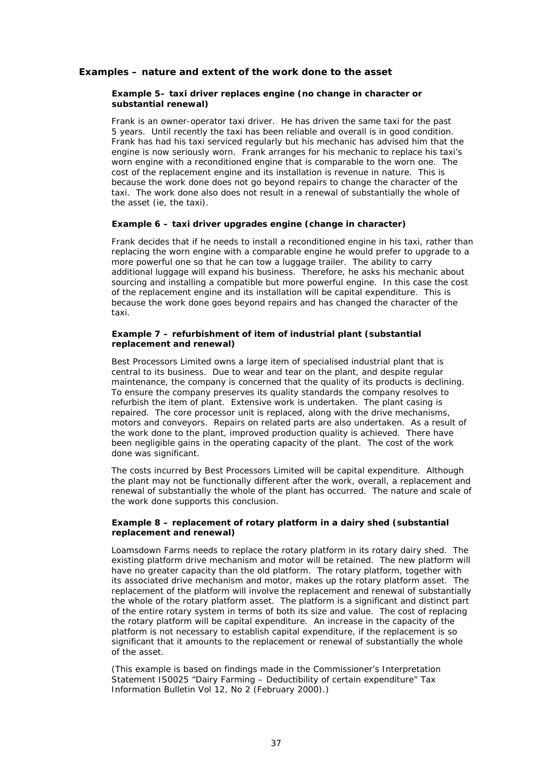### **Examples – nature and extent of the work done to the asset**

#### *Example 5– taxi driver replaces engine (no change in character or substantial renewal)*

Frank is an owner-operator taxi driver. He has driven the same taxi for the past 5 years. Until recently the taxi has been reliable and overall is in good condition. Frank has had his taxi serviced regularly but his mechanic has advised him that the engine is now seriously worn. Frank arranges for his mechanic to replace his taxi's worn engine with a reconditioned engine that is comparable to the worn one. The cost of the replacement engine and its installation is revenue in nature. This is because the work done does not go beyond repairs to change the character of the taxi. The work done also does not result in a renewal of substantially the whole of the asset (ie, the taxi).

#### *Example 6 – taxi driver upgrades engine (change in character)*

Frank decides that if he needs to install a reconditioned engine in his taxi, rather than replacing the worn engine with a comparable engine he would prefer to upgrade to a more powerful one so that he can tow a luggage trailer. The ability to carry additional luggage will expand his business. Therefore, he asks his mechanic about sourcing and installing a compatible but more powerful engine. In this case the cost of the replacement engine and its installation will be capital expenditure. This is because the work done goes beyond repairs and has changed the character of the taxi.

#### *Example 7 – refurbishment of item of industrial plant (substantial replacement and renewal)*

Best Processors Limited owns a large item of specialised industrial plant that is central to its business. Due to wear and tear on the plant, and despite regular maintenance, the company is concerned that the quality of its products is declining. To ensure the company preserves its quality standards the company resolves to refurbish the item of plant. Extensive work is undertaken. The plant casing is repaired. The core processor unit is replaced, along with the drive mechanisms, motors and conveyors. Repairs on related parts are also undertaken. As a result of the work done to the plant, improved production quality is achieved. There have been negligible gains in the operating capacity of the plant. The cost of the work done was significant.

The costs incurred by Best Processors Limited will be capital expenditure. Although the plant may not be functionally different after the work, overall, a replacement and renewal of substantially the whole of the plant has occurred. The nature and scale of the work done supports this conclusion.

#### *Example 8 – replacement of rotary platform in a dairy shed (substantial replacement and renewal)*

Loamsdown Farms needs to replace the rotary platform in its rotary dairy shed. The existing platform drive mechanism and motor will be retained. The new platform will have no greater capacity than the old platform. The rotary platform, together with its associated drive mechanism and motor, makes up the rotary platform asset. The replacement of the platform will involve the replacement and renewal of substantially the whole of the rotary platform asset. The platform is a significant and distinct part of the entire rotary system in terms of both its size and value. The cost of replacing the rotary platform will be capital expenditure. An increase in the capacity of the platform is not necessary to establish capital expenditure, if the replacement is so significant that it amounts to the replacement or renewal of substantially the whole of the asset.

(This example is based on findings made in the Commissioner's Interpretation Statement IS0025 "Dairy Farming – Deductibility of certain expenditure" *Tax Information Bulletin* Vol 12, No 2 (February 2000).)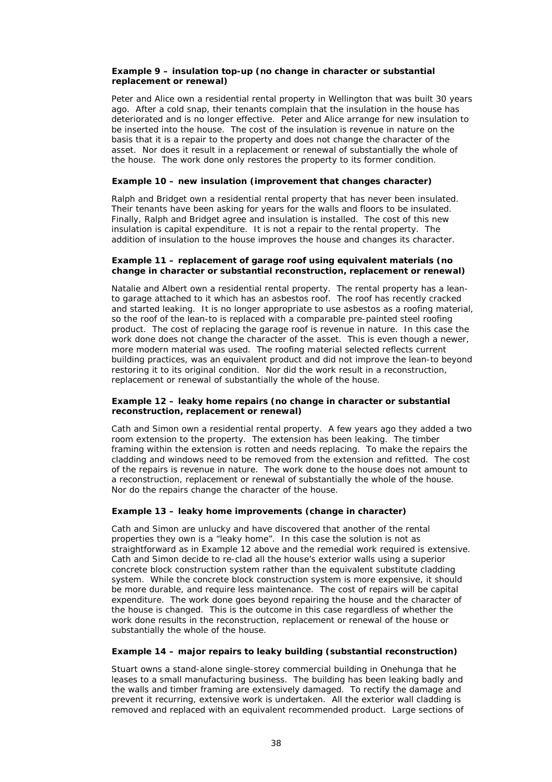#### *Example 9 – insulation top-up (no change in character or substantial replacement or renewal)*

Peter and Alice own a residential rental property in Wellington that was built 30 years ago. After a cold snap, their tenants complain that the insulation in the house has deteriorated and is no longer effective. Peter and Alice arrange for new insulation to be inserted into the house. The cost of the insulation is revenue in nature on the basis that it is a repair to the property and does not change the character of the asset. Nor does it result in a replacement or renewal of substantially the whole of the house. The work done only restores the property to its former condition.

#### *Example 10 – new insulation (improvement that changes character)*

Ralph and Bridget own a residential rental property that has never been insulated. Their tenants have been asking for years for the walls and floors to be insulated. Finally, Ralph and Bridget agree and insulation is installed. The cost of this new insulation is capital expenditure. It is not a repair to the rental property. The addition of insulation to the house improves the house and changes its character.

#### *Example 11 – replacement of garage roof using equivalent materials (no change in character or substantial reconstruction, replacement or renewal)*

Natalie and Albert own a residential rental property. The rental property has a leanto garage attached to it which has an asbestos roof. The roof has recently cracked and started leaking. It is no longer appropriate to use asbestos as a roofing material, so the roof of the lean-to is replaced with a comparable pre-painted steel roofing product. The cost of replacing the garage roof is revenue in nature. In this case the work done does not change the character of the asset. This is even though a newer, more modern material was used. The roofing material selected reflects current building practices, was an equivalent product and did not improve the lean-to beyond restoring it to its original condition. Nor did the work result in a reconstruction, replacement or renewal of substantially the whole of the house.

#### *Example 12 – leaky home repairs (no change in character or substantial reconstruction, replacement or renewal)*

Cath and Simon own a residential rental property. A few years ago they added a two room extension to the property. The extension has been leaking. The timber framing within the extension is rotten and needs replacing. To make the repairs the cladding and windows need to be removed from the extension and refitted. The cost of the repairs is revenue in nature. The work done to the house does not amount to a reconstruction, replacement or renewal of substantially the whole of the house. Nor do the repairs change the character of the house.

#### *Example 13 – leaky home improvements (change in character)*

Cath and Simon are unlucky and have discovered that another of the rental properties they own is a "leaky home". In this case the solution is not as straightforward as in Example 12 above and the remedial work required is extensive. Cath and Simon decide to re-clad all the house's exterior walls using a superior concrete block construction system rather than the equivalent substitute cladding system. While the concrete block construction system is more expensive, it should be more durable, and require less maintenance. The cost of repairs will be capital expenditure. The work done goes beyond repairing the house and the character of the house is changed. This is the outcome in this case regardless of whether the work done results in the reconstruction, replacement or renewal of the house or substantially the whole of the house.

#### *Example 14 – major repairs to leaky building (substantial reconstruction)*

Stuart owns a stand-alone single-storey commercial building in Onehunga that he leases to a small manufacturing business. The building has been leaking badly and the walls and timber framing are extensively damaged. To rectify the damage and prevent it recurring, extensive work is undertaken. All the exterior wall cladding is removed and replaced with an equivalent recommended product. Large sections of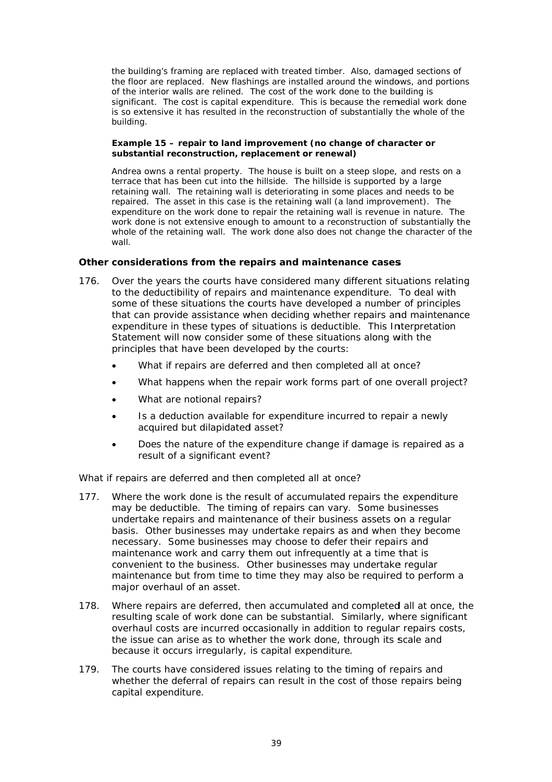the building's framing are replaced with treated timber. Also, damaged sections of the floor are replaced. New flashings are installed around the windows, and portions of the interior walls are relined. The cost of the work done to the building is significant. The cost is capital expenditure. This is because the remedial work done is so extensive it has resulted in the reconstruction of substantially the whole of the building.

### Example 15 – repair to land improvement (no change of character or substantial reconstruction, replacement or renewal)

Andrea owns a rental property. The house is built on a steep slope, and rests on a terrace that has been cut into the hillside. The hillside is supported by a large retaining wall. The retaining wall is deteriorating in some places and needs to be repaired. The asset in this case is the retaining wall (a land improvement). The expenditure on the work done to repair the retaining wall is revenue in nature. The work done is not extensive enough to amount to a reconstruction of substantially the whole of the retaining wall. The work done also does not change the character of the wall.

### Other considerations from the repairs and maintenance cases

- 176. Over the years the courts have considered many different situations relating to the deductibility of repairs and maintenance expenditure. To deal with some of these situations the courts have developed a number of principles that can provide assistance when deciding whether repairs and maintenance expenditure in these types of situations is deductible. This Interpretation Statement will now consider some of these situations along with the principles that have been developed by the courts:
	- What if repairs are deferred and then completed all at once?
	- What happens when the repair work forms part of one overall project?
	- What are notional repairs?
	- Is a deduction available for expenditure incurred to repair a newly  $\blacksquare$ acquired but dilapidated asset?
	- Does the nature of the expenditure change if damage is repaired as a  $\bullet$ result of a significant event?

### What if repairs are deferred and then completed all at once?

- $177.$ Where the work done is the result of accumulated repairs the expenditure may be deductible. The timing of repairs can vary. Some businesses undertake repairs and maintenance of their business assets on a regular basis. Other businesses may undertake repairs as and when they become necessary. Some businesses may choose to defer their repairs and maintenance work and carry them out infrequently at a time that is convenient to the business. Other businesses may undertake regular maintenance but from time to time they may also be required to perform a major overhaul of an asset.
- 178. Where repairs are deferred, then accumulated and completed all at once, the resulting scale of work done can be substantial. Similarly, where significant overhaul costs are incurred occasionally in addition to regular repairs costs, the issue can arise as to whether the work done, through its scale and because it occurs irregularly, is capital expenditure.
- 179. The courts have considered issues relating to the timing of repairs and whether the deferral of repairs can result in the cost of those repairs being capital expenditure.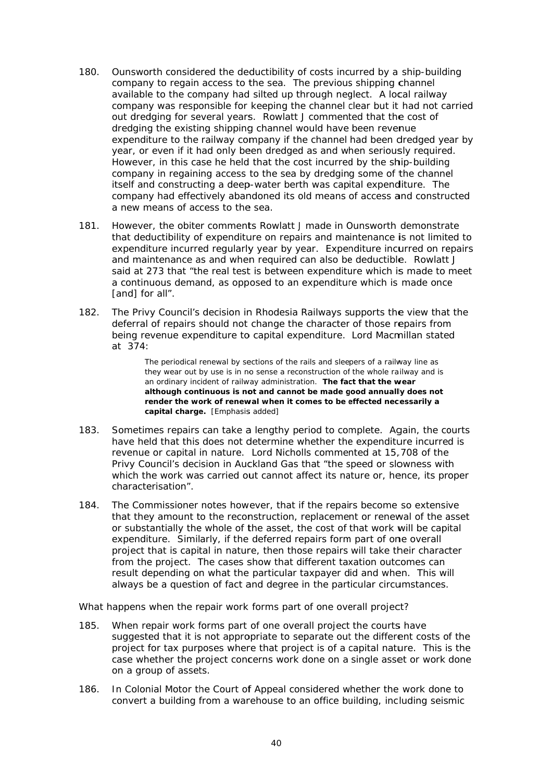- 180. Ounsworth considered the deductibility of costs incurred by a ship-building company to regain access to the sea. The previous shipping channel available to the company had silted up through neglect. A local railway company was responsible for keeping the channel clear but it had not carried out dredging for several years. Rowlatt J commented that the cost of dredging the existing shipping channel would have been revenue expenditure to the railway company if the channel had been dredged year by year, or even if it had only been dredged as and when seriously required. However, in this case he held that the cost incurred by the ship-building company in regaining access to the sea by dredging some of the channel itself and constructing a deep-water berth was capital expenditure. The company had effectively abandoned its old means of access and constructed a new means of access to the sea.
- $181.$ However, the obiter comments Rowlatt J made in *Ounsworth* demonstrate that deductibility of expenditure on repairs and maintenance is not limited to expenditure incurred regularly year by year. Expenditure incurred on repairs and maintenance as and when required can also be deductible. Rowlatt J said at 273 that "the real test is between expenditure which is made to meet a continuous demand, as opposed to an expenditure which is made once [and] for all".
- $182.$ The Privy Council's decision in Rhodesia Railways supports the view that the deferral of repairs should not change the character of those repairs from being revenue expenditure to capital expenditure. Lord Macmillan stated at 374:

The periodical renewal by sections of the rails and sleepers of a railway line as they wear out by use is in no sense a reconstruction of the whole railway and is an ordinary incident of railway administration. The fact that the wear although continuous is not and cannot be made good annually does not render the work of renewal when it comes to be effected necessarily a capital charge. [Emphasis added]

- $183.$ Sometimes repairs can take a lengthy period to complete. Again, the courts have held that this does not determine whether the expenditure incurred is revenue or capital in nature. Lord Nicholls commented at 15,708 of the Privy Council's decision in Auckland Gas that "the speed or slowness with which the work was carried out cannot affect its nature or, hence, its proper characterisation".
- The Commissioner notes however, that if the repairs become so extensive 184. that they amount to the reconstruction, replacement or renewal of the asset or substantially the whole of the asset, the cost of that work will be capital expenditure. Similarly, if the deferred repairs form part of one overall project that is capital in nature, then those repairs will take their character from the project. The cases show that different taxation outcomes can result depending on what the particular taxpayer did and when. This will always be a question of fact and degree in the particular circumstances.

#### What happens when the repair work forms part of one overall project?

- 185. When repair work forms part of one overall project the courts have suggested that it is not appropriate to separate out the different costs of the project for tax purposes where that project is of a capital nature. This is the case whether the project concerns work done on a single asset or work done on a group of assets.
- 186 In Colonial Motor the Court of Appeal considered whether the work done to convert a building from a warehouse to an office building, including seismic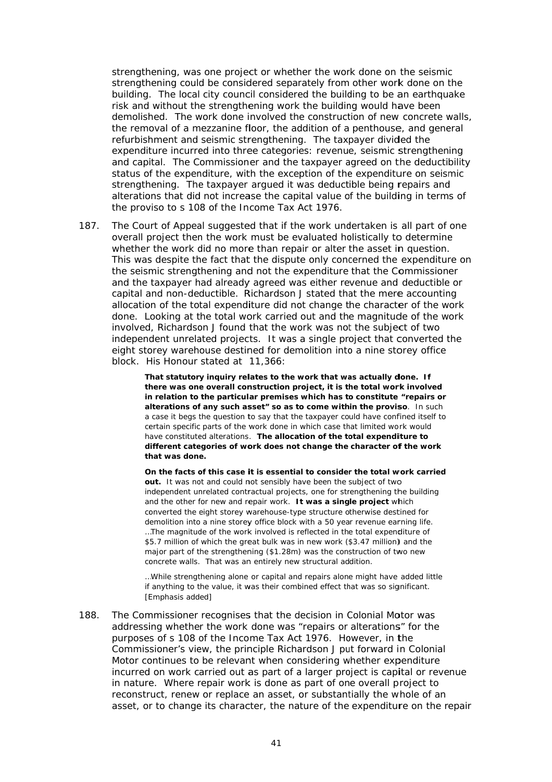strengthening, was one project or whether the work done on the seismic strengthening could be considered separately from other work done on the building. The local city council considered the building to be an earthquake risk and without the strengthening work the building would have been demolished. The work done involved the construction of new concrete walls, the removal of a mezzanine floor, the addition of a penthouse, and general refurbishment and seismic strengthening. The taxpayer divided the expenditure incurred into three categories: revenue, seismic strengthening and capital. The Commissioner and the taxpayer agreed on the deductibility status of the expenditure, with the exception of the expenditure on seismic strengthening. The taxpayer argued it was deductible being repairs and alterations that did not increase the capital value of the building in terms of the proviso to s 108 of the Income Tax Act 1976.

The Court of Appeal suggested that if the work undertaken is all part of one 187. overall project then the work must be evaluated holistically to determine whether the work did no more than repair or alter the asset in question. This was despite the fact that the dispute only concerned the expenditure on the seismic strengthening and not the expenditure that the Commissioner and the taxpayer had already agreed was either revenue and deductible or capital and non-deductible. Richardson J stated that the mere accounting allocation of the total expenditure did not change the character of the work done. Looking at the total work carried out and the magnitude of the work involved, Richardson J found that the work was not the subject of two independent unrelated projects. It was a single project that converted the eight storey warehouse destined for demolition into a nine storey office block. His Honour stated at 11,366:

> That statutory inquiry relates to the work that was actually done. If there was one overall construction project, it is the total work involved in relation to the particular premises which has to constitute "repairs or alterations of any such asset" so as to come within the proviso. In such a case it begs the question to say that the taxpayer could have confined itself to certain specific parts of the work done in which case that limited work would have constituted alterations. The allocation of the total expenditure to different categories of work does not change the character of the work that was done.

> On the facts of this case it is essential to consider the total work carried out. It was not and could not sensibly have been the subject of two independent unrelated contractual projects, one for strengthening the building and the other for new and repair work. It was a single project which converted the eight storey warehouse-type structure otherwise destined for demolition into a nine storey office block with a 50 year revenue earning life. ...The magnitude of the work involved is reflected in the total expenditure of \$5.7 million of which the great bulk was in new work (\$3.47 million) and the major part of the strengthening (\$1.28m) was the construction of two new concrete walls. That was an entirely new structural addition.

...While strengthening alone or capital and repairs alone might have added little if anything to the value, it was their combined effect that was so significant. [Emphasis added]

188. The Commissioner recognises that the decision in *Colonial Motor* was addressing whether the work done was "repairs or alterations" for the purposes of s 108 of the Income Tax Act 1976. However, in the Commissioner's view, the principle Richardson J put forward in Colonial Motor continues to be relevant when considering whether expenditure incurred on work carried out as part of a larger project is capital or revenue in nature. Where repair work is done as part of one overall project to reconstruct, renew or replace an asset, or substantially the whole of an asset, or to change its character, the nature of the expenditure on the repair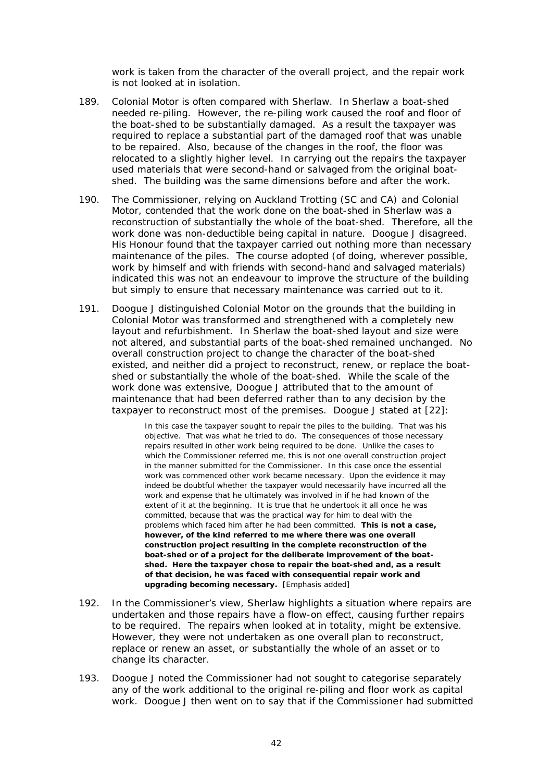work is taken from the character of the overall project, and the repair work is not looked at in isolation.

- 189. Colonial Motor is often compared with *Sherlaw*. In *Sherlaw* a boat-shed needed re-piling. However, the re-piling work caused the roof and floor of the boat-shed to be substantially damaged. As a result the taxpayer was required to replace a substantial part of the damaged roof that was unable to be repaired. Also, because of the changes in the roof, the floor was relocated to a slightly higher level. In carrying out the repairs the taxpayer used materials that were second-hand or salvaged from the original boatshed. The building was the same dimensions before and after the work.
- 190. The Commissioner, relying on *Auckland Trotting* (SC and CA) and *Colonial Motor*, contended that the work done on the boat-shed in *Sherlaw* was a reconstruction of substantially the whole of the boat-shed. Therefore, all the work done was non-deductible being capital in nature. Doogue J disagreed. His Honour found that the taxpayer carried out nothing more than necessary maintenance of the piles. The course adopted (of doing, wherever possible, work by himself and with friends with second-hand and salvaged materials) indicated this was not an endeavour to improve the structure of the building but simply to ensure that necessary maintenance was carried out to it.
- 191. Doogue J distinguished *Colonial Motor* on the grounds that the building in Colonial Motor was transformed and strengthened with a completely new Colonial Motor was transformed and strengthened with a completely new<br>layout and refurbishment. In Sherlaw the boat-shed layout and size were not altered, and substantial parts of the boat-shed remained unchanged. No overall construction project to change the character of the boat-shed existed, and neither did a project to reconstruct, renew, or replace the boatshed or substantially the whole of the boat-shed. While the scale of the work done was extensive, Doogue J attributed that to the amount of maintenance that had been deferred rather than to any decision by the taxpayer to reconstruct most of the premises. Doogue J stated at [22]:

In this case the taxpayer sought to repair the piles to the building. That was his objective. That was what he tried to do. The consequences of those necessary repairs resulted in other work being required to be done. Unlike the cases to which the Commissioner referred me, this is not one overall construction project in the manner submitted for the Commissioner. In this case once the essential work was commenced other work became necessary. Upon the evidence it may indeed be doubtful whether the taxpayer would necessarily have incurred all the work and expense that he ultimately was involved in if he had known of the extent of it at the beginning. It is true that he undertook it all once he was committed, because that was the practical way for him to deal with the problems which faced him after he had been committed. This is not a case, however, of the kind referred to me where there was one overall construction project resulting in the complete reconstruction of the **boat-shed or of a project for the deliberate improvement of the boat**shed. Here the taxpayer chose to repair the boat-shed and, as a result of that decision, he was faced with consequential repair work and **u pgrading be coming nece essary.** [Emp phasis added]

- 192. In the Commissioner's view, *Sherlaw* highlights a situation where repairs are undertaken and those repairs have a flow-on effect, causing further repairs to be required. The repairs when looked at in totality, might be extensive. However, they were not undertaken as one overall plan to reconstruct, replace or renew an asset, or substantially the whole of an asset or to change its character.
- 193. Doogue J noted the Commissioner had not sought to categorise separately any of the work additional to the original re-piling and floor work as capital work. Doogue J then went on to say that if the Commissioner had submitted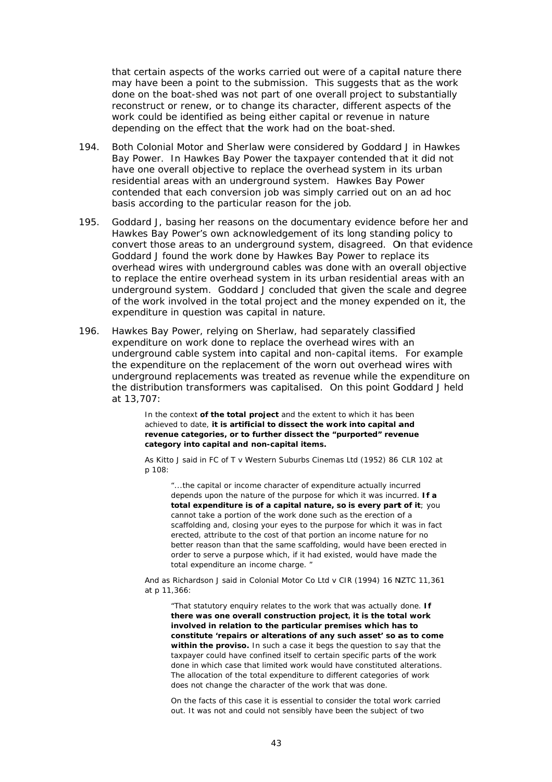that certain aspects of the works carried out were of a capital nature there may have been a point to the submission. This suggests that as the work done on the boat-shed was not part of one overall project to substantially reconstruct or renew, or to change its character, different aspects of the work could be identified as being either capital or revenue in nature depending on the effect that the work had on the boat-shed.

- 194. Both Colonial Motor and Sherlaw were considered by Goddard J in Hawkes Bay Power. In Hawkes Bay Power the taxpayer contended that it did not have one overall objective to replace the overhead system in its urban residential areas with an underground system. Hawkes Bay Power contended that each conversion job was simply carried out on an ad hoc basis according to the particular reason for the job.
- 195 Goddard J, basing her reasons on the documentary evidence before her and Hawkes Bay Power's own acknowledgement of its long standing policy to convert those areas to an underground system, disagreed. On that evidence Goddard J found the work done by Hawkes Bay Power to replace its overhead wires with underground cables was done with an overall objective to replace the entire overhead system in its urban residential areas with an underground system. Goddard J concluded that given the scale and degree of the work involved in the total project and the money expended on it, the expenditure in question was capital in nature.
- 196. Hawkes Bay Power, relying on Sherlaw, had separately classified expenditure on work done to replace the overhead wires with an underground cable system into capital and non-capital items. For example the expenditure on the replacement of the worn out overhead wires with underground replacements was treated as revenue while the expenditure on the distribution transformers was capitalised. On this point Goddard J held at 13,707:

In the context of the total project and the extent to which it has been achieved to date, it is artificial to dissect the work into capital and revenue categories, or to further dissect the "purported" revenue category into capital and non-capital items.

As Kitto J said in FC of T v Western Suburbs Cinemas Ltd (1952) 86 CLR 102 at p 108:

"...the capital or income character of expenditure actually incurred depends upon the nature of the purpose for which it was incurred. If a total expenditure is of a capital nature, so is every part of it; you cannot take a portion of the work done such as the erection of a scaffolding and, closing your eyes to the purpose for which it was in fact erected, attribute to the cost of that portion an income nature for no better reason than that the same scaffolding, would have been erected in order to serve a purpose which, if it had existed, would have made the total expenditure an income charge. "

And as Richardson J said in Colonial Motor Co Ltd v CIR (1994) 16 NZTC 11,361 at p 11,366:

"That statutory enquiry relates to the work that was actually done. If there was one overall construction project, it is the total work involved in relation to the particular premises which has to constitute 'repairs or alterations of any such asset' so as to come within the proviso. In such a case it begs the question to say that the taxpayer could have confined itself to certain specific parts of the work done in which case that limited work would have constituted alterations. The allocation of the total expenditure to different categories of work does not change the character of the work that was done.

On the facts of this case it is essential to consider the total work carried out. It was not and could not sensibly have been the subject of two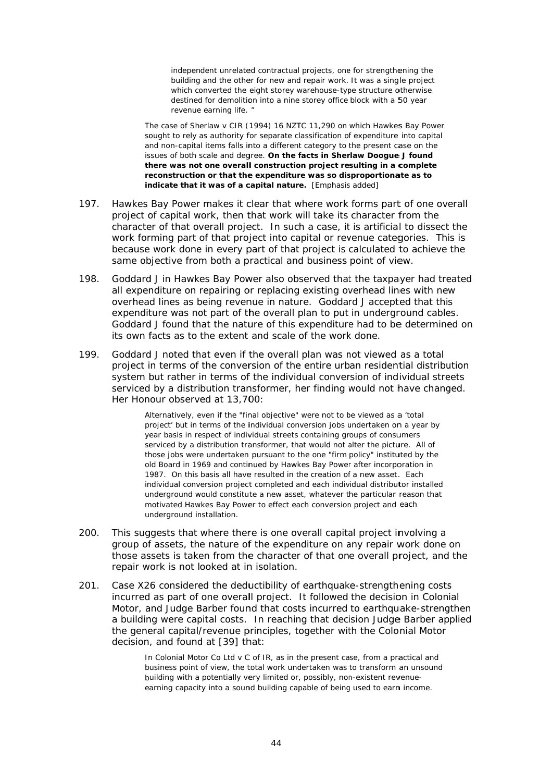independent unrelated contractual projects, one for strengthening the building and the other for new and repair work. It was a single project which converted the eight storey warehouse-type structure otherwise destined for demolition into a nine storey office block with a 50 year revenue earning life.

The case of Sherlaw v CIR (1994) 16 NZTC 11,290 on which Hawkes Bay Power sought to rely as authority for separate classification of expenditure into capital and non-capital items falls into a different category to the present case on the issues of both scale and degree. On the facts in Sherlaw Doogue J found there was not one overall construction project resulting in a complete reconstruction or that the expenditure was so disproportionate as to indicate that it was of a capital nature. [Emphasis added]

- 197 Hawkes Bay Power makes it clear that where work forms part of one overall project of capital work, then that work will take its character from the character of that overall project. In such a case, it is artificial to dissect the work forming part of that project into capital or revenue categories. This is because work done in every part of that project is calculated to achieve the same objective from both a practical and business point of view.
- Goddard J in Hawkes Bay Power also observed that the taxpayer had treated 198 all expenditure on repairing or replacing existing overhead lines with new overhead lines as being revenue in nature. Goddard J accepted that this expenditure was not part of the overall plan to put in underground cables. Goddard J found that the nature of this expenditure had to be determined on its own facts as to the extent and scale of the work done.
- 199. Goddard J noted that even if the overall plan was not viewed as a total project in terms of the conversion of the entire urban residential distribution system but rather in terms of the individual conversion of individual streets serviced by a distribution transformer, her finding would not have changed. Her Honour observed at 13,700:

Alternatively, even if the "final objective" were not to be viewed as a 'total project' but in terms of the individual conversion jobs undertaken on a year by year basis in respect of individual streets containing groups of consumers serviced by a distribution transformer, that would not alter the picture. All of those jobs were undertaken pursuant to the one "firm policy" instituted by the old Board in 1969 and continued by Hawkes Bay Power after incorporation in 1987. On this basis all have resulted in the creation of a new asset. Each individual conversion project completed and each individual distributor installed underground would constitute a new asset, whatever the particular reason that motivated Hawkes Bay Power to effect each conversion project and each underground installation.

- $200.$ This suggests that where there is one overall capital project involving a group of assets, the nature of the expenditure on any repair work done on those assets is taken from the character of that one overall project, and the repair work is not looked at in isolation.
- Case X26 considered the deductibility of earthquake-strengthening costs  $201$ incurred as part of one overall project. It followed the decision in *Colonial* Motor, and Judge Barber found that costs incurred to earthquake-strengthen a building were capital costs. In reaching that decision Judge Barber applied the general capital/revenue principles, together with the Colonial Motor decision, and found at [39] that:

In Colonial Motor Co Ltd  $v C$  of IR, as in the present case, from a practical and business point of view, the total work undertaken was to transform an unsound building with a potentially very limited or, possibly, non-existent revenueearning capacity into a sound building capable of being used to earn income.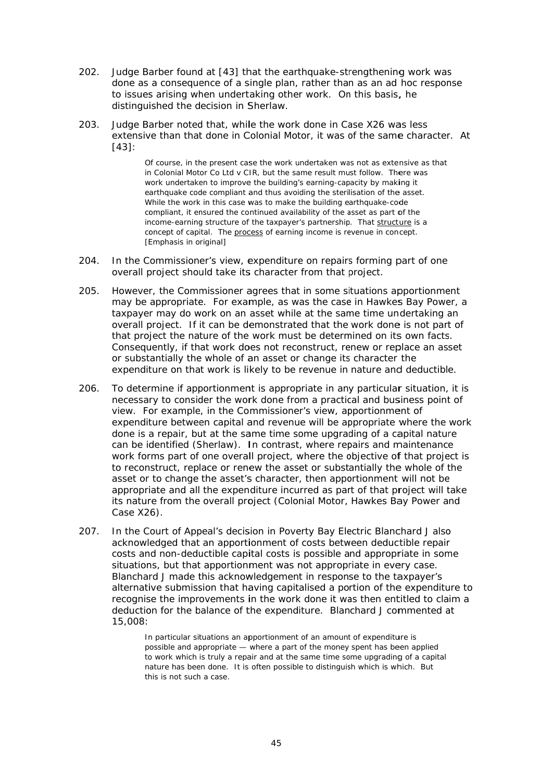- 202. Judge Barber found at [43] that the earthquake-strengthening work was Judge Barber found at [43] that the earthquake-strengthening work was<br>done as a consequence of a single plan, rather than as an ad hoc response to issues arising when undertaking other work. On this basis, he distinguished the decision in *Sherlaw.*
- 203. Judge Barber noted that, while the work done in *Case X26* was less extensive than that done in *Colonial Motor*, it was of the same character. At [43]:

Of course, in the present case the work undertaken was not as extensive as that in *Colonial Motor Co Ltd v CIR*, but the same result must follow. There was work undertaken to improve the building's earning-capacity by making it earthquake code compliant and thus avoiding the sterilisation of the asset. While the work in this case was to make the building earthquake-code compliant, it ensured the continued availability of the asset as part of the income-earning structure of the taxpayer's partnership. That structure is a concept of capital. The process of earning income is revenue in concept. [E Emphasis in o riginal]

- 204. In the Commissioner's view, expenditure on repairs forming part of one overall project should take its character from that project.
- 205. However, the Commissioner agrees that in some situations apportionment may be appropriate. For example, as was the case in *Hawkes Bay Power*, a taxpayer may do work on an asset while at the same time undertaking an overall project. If it can be demonstrated that the work done is not part of that project the nature of the work must be determined on its own facts. Consequently, if that work does not reconstruct, renew or replace an asset or substantially the whole of an asset or change its character the expenditure on that work is likely to be revenue in nature and deductible.
- 206. To determine if apportionment is appropriate in any particular situation, it is necessary to consider the work done from a practical and business point of view. For example, in the Commissioner's view, apportionment of expenditure between capital and revenue will be appropriate where the work done is a repair, but at the same time some upgrading of a capital nature can be identified (*Sherlaw*). In contrast, where repairs and maintenance work forms part of one overall project, where the objective of that project is to reconstruct, replace or renew the asset or substantially the whole of the asset or to change the asset's character, then apportionment will not be appropriate and all the expenditure incurred as part of that project will take its nature from the overall project (*Colonial Motor, Hawkes Bay Power* and *Case X2 6*).
- 207. In the Court of Appeal's decision in *Poverty Bay Electric* Blanchard J also acknowledged that an apportionment of costs between deductible repair In the Court of Appeal's decision in *Poverty Bay Electric* Blanchard J also<br>acknowledged that an apportionment of costs between deductible repair<br>costs and non-deductible capital costs is possible and appropriate in some situations, but that apportionment was not appropriate in every case. Blanchard J made this acknowledgement in response to the taxpayer's alternative submission that having capitalised a portion of the expenditure to recognise the improvements in the work done it was then entitled to claim a deduction for the balance of the expenditure. Blanchard J commented at 15,008:

In particular situations an apportionment of an amount of expenditure is possible and appropriate — where a part of the money spent has been applied to work which is truly a repair and at the same time some upgrading of a capital nature has been done. It is often possible to distinguish which is which. But th his is not such h a case.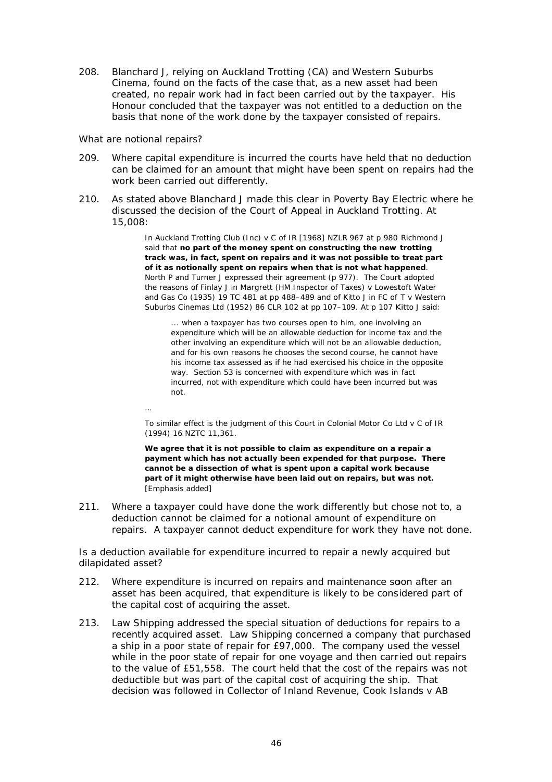208. Blanchard J, relying on Auckland Trotting (CA) and Western Suburbs Cinema, found on the facts of the case that, as a new asset had been created, no repair work had in fact been carried out by the taxpayer. His Honour concluded that the taxpayer was not entitled to a deduction on the basis that none of the work done by the taxpayer consisted of repairs.

#### What are notional repairs?

- 209. Where capital expenditure is incurred the courts have held that no deduction can be claimed for an amount that might have been spent on repairs had the work been carried out differently.
- As stated above Blanchard J made this clear in Poverty Bay Electric where he  $210.$ discussed the decision of the Court of Appeal in Auckland Trotting. At 15,008:

In Auckland Trotting Club (Inc) v C of IR [1968] NZLR 967 at p 980 Richmond J said that no part of the money spent on constructing the new trotting track was, in fact, spent on repairs and it was not possible to treat part of it as notionally spent on repairs when that is not what happened. North P and Turner J expressed their agreement (p 977). The Court adopted the reasons of Finlay J in Margrett (HM Inspector of Taxes) v Lowestoft Water and Gas Co (1935) 19 TC 481 at pp 488-489 and of Kitto J in FC of T v Western Suburbs Cinemas Ltd (1952) 86 CLR 102 at pp 107-109. At p 107 Kitto J said:

... when a taxpayer has two courses open to him, one involving an expenditure which will be an allowable deduction for income tax and the other involving an expenditure which will not be an allowable deduction. and for his own reasons he chooses the second course, he cannot have his income tax assessed as if he had exercised his choice in the opposite way. Section 53 is concerned with expenditure which was in fact incurred, not with expenditure which could have been incurred but was  $not$ 

To similar effect is the judgment of this Court in Colonial Motor Co Ltd v C of IR (1994) 16 NZTC 11,361.

We agree that it is not possible to claim as expenditure on a repair a payment which has not actually been expended for that purpose. There cannot be a dissection of what is spent upon a capital work because part of it might otherwise have been laid out on repairs, but was not. [Emphasis added]

 $211$ Where a taxpayer could have done the work differently but chose not to, a deduction cannot be claimed for a notional amount of expenditure on repairs. A taxpayer cannot deduct expenditure for work they have not done.

Is a deduction available for expenditure incurred to repair a newly acquired but dilapidated asset?

- Where expenditure is incurred on repairs and maintenance soon after an 212. asset has been acquired, that expenditure is likely to be considered part of the capital cost of acquiring the asset.
- $213.$ Law Shipping addressed the special situation of deductions for repairs to a recently acquired asset. Law Shipping concerned a company that purchased a ship in a poor state of repair for £97,000. The company used the vessel while in the poor state of repair for one voyage and then carried out repairs to the value of £51,558. The court held that the cost of the repairs was not deductible but was part of the capital cost of acquiring the ship. That decision was followed in Collector of Inland Revenue, Cook Islands v AB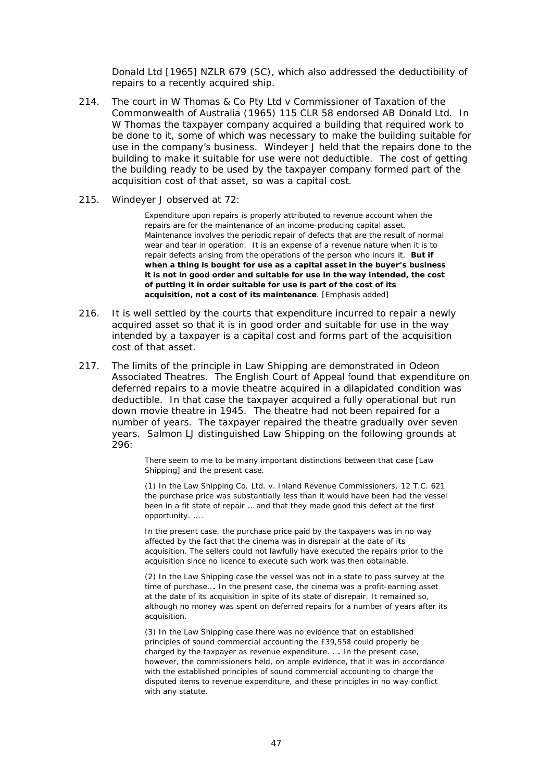Donald Ltd [1965] NZLR 679 (SC), which also addressed the deductibility of repairs to a recently acquired ship.

- 214. The court in *W Thomas & Co Pty Ltd v Commissioner of Taxation of the Commonwealth of Australia* (1965) 115 CLR 58 endorsed *AB Donald Ltd.* In W Thomas the taxpayer company acquired a building that required work to be done to it, some of which was necessary to make the building suitable for use in the company's business. Windeyer J held that the repairs done to the building to make it suitable for use were not deductible. The cost of getting the building ready to be used by the taxpayer company formed part of the acquisition cost of that asset, so was a capital cost.
- 215. *Windeyer J observed at 72:*

Expenditure upon repairs is properly attributed to revenue account when the repairs are for the maintenance of an income-producing capital asset. Maintenance involves the periodic repair of defects that are the result of normal wear and tear in operation. It is an expense of a revenue nature when it is to repair defects arising from the operations of the person who incurs it. But if when a thing is bought for use as a capital asset in the buyer's business it is not in good order and suitable for use in the way intended, the cost **of putting it in order suitable for use is part of the cost of its acquisition, not a cost of its maintenance**. [Emphasis added]

- 216. It is well settled by the courts that expenditure incurred to repair a newly acquired asset so that it is in good order and suitable for use in the way intended by a taxpayer is a capital cost and forms part of the acquisition cost of that asset.
- 217. The limits of the principle in *Law Shipping* are demonstrated in *Odeon Ferended by a taxpayer is a capital cost and forms part of the acquisition*<br> *Cost of that asset.*<br>
The limits of the principle in *Law Shipping* are demonstrated in *Odeon*<br> *Associated Theatres.* The English Court of Ap deferred repairs to a movie theatre acquired in a dilapidated condition was deductible. In that case the taxpayer acquired a fully operational but run down movie theatre in 1945. The theatre had not been repaired for a number of years. The taxpayer repaired the theatre gradually over seven years. Salmon LJ distinguished Law Shipping on the following grounds at 296:

There seem to me to be many important distinctions between that case [Law Shipping] and the present case.

(1 1) In the *Law Shipping Co. Ltd. v. Inland d Revenue Com mmissioners, 12 T.C. 621* the purchase price was substantially less than it would have been had the vessel been in a fit state of repair ... and that they made good this defect at the first o pportunity. … .

In the present case, the purchase price paid by the taxpayers was in no way affected by the fact that the cinema was in disrepair at the date of its acquisition. The sellers could not lawfully have executed the repairs prior to the acquisition since no licence to execute such work was then obtainable.

(2) In the *Law Shipping* case the vessel was not in a state to pass survey at the time of purchase.... In the present case, the cinema was a profit-earning asset at the date of its acquisition in spite of its state of disrepair. It remained so, although no money was spent on deferred repairs for a number of years after its ac cquisition.

(3) In the Law Shipping case there was no evidence that on established principles of sound commercial accounting the £39,558 could properly be charged by the taxpayer as revenue expenditure. .... In the present case, however, the commissioners held, on ample evidence, that it was in accordance with the established principles of sound commercial accounting to charge the disputed items to revenue expenditure, and these principles in no way conflict with any statute.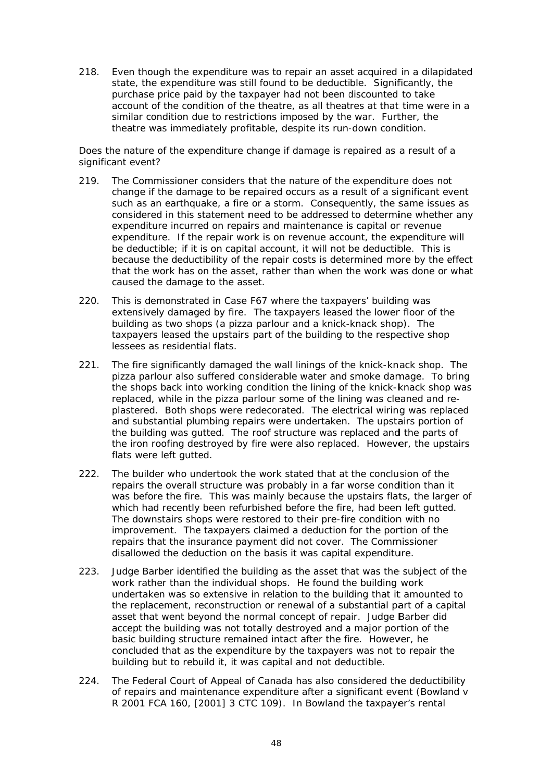218. Even though the expenditure was to repair an asset acquired in a dilapidated state, the expenditure was still found to be deductible. Significantly, the purchase price paid by the taxpayer had not been discounted to take account of the condition of the theatre, as all theatres at that time were in a similar condition due to restrictions imposed by the war. Further, the theatre was immediately profitable, despite its run-down condition.

### Does the nature of the expenditure change if damage is repaired as a result of a significant event?

- 219 The Commissioner considers that the nature of the expenditure does not change if the damage to be repaired occurs as a result of a significant event such as an earthquake, a fire or a storm. Consequently, the same issues as considered in this statement need to be addressed to determine whether any expenditure incurred on repairs and maintenance is capital or revenue expenditure. If the repair work is on revenue account, the expenditure will be deductible; if it is on capital account, it will not be deductible. This is because the deductibility of the repair costs is determined more by the effect that the work has on the asset, rather than when the work was done or what caused the damage to the asset.
- $220.$ This is demonstrated in Case F67 where the taxpayers' building was extensively damaged by fire. The taxpayers leased the lower floor of the building as two shops (a pizza parlour and a knick-knack shop). The taxpayers leased the upstairs part of the building to the respective shop lessees as residential flats.
- $221.$ The fire significantly damaged the wall linings of the knick-knack shop. The pizza parlour also suffered considerable water and smoke damage. To bring the shops back into working condition the lining of the knick-knack shop was replaced, while in the pizza parlour some of the lining was cleaned and replastered. Both shops were redecorated. The electrical wiring was replaced and substantial plumbing repairs were undertaken. The upstairs portion of the building was gutted. The roof structure was replaced and the parts of the iron roofing destroyed by fire were also replaced. However, the upstairs flats were left gutted.
- $222.$ The builder who undertook the work stated that at the conclusion of the repairs the overall structure was probably in a far worse condition than it was before the fire. This was mainly because the upstairs flats, the larger of which had recently been refurbished before the fire, had been left gutted. The downstairs shops were restored to their pre-fire condition with no improvement. The taxpayers claimed a deduction for the portion of the repairs that the insurance payment did not cover. The Commissioner disallowed the deduction on the basis it was capital expenditure.
- Judge Barber identified the building as the asset that was the subject of the 223. work rather than the individual shops. He found the building work undertaken was so extensive in relation to the building that it amounted to the replacement, reconstruction or renewal of a substantial part of a capital asset that went beyond the normal concept of repair. Judge Barber did accept the building was not totally destroved and a major portion of the basic building structure remained intact after the fire. However, he concluded that as the expenditure by the taxpayers was not to repair the building but to rebuild it, it was capital and not deductible.
- $224.$ The Federal Court of Appeal of Canada has also considered the deductibility of repairs and maintenance expenditure after a significant event (Bowland v R 2001 FCA 160, [2001] 3 CTC 109). In Bowland the taxpayer's rental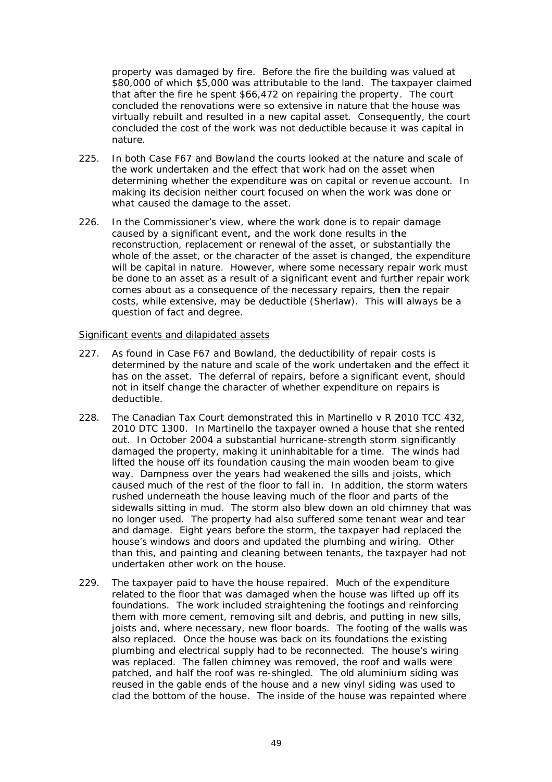property was damaged by fire. Before the fire the building was valued at \$80,000 of which \$5,000 was attributable to the land. The taxpayer claimed that after the fire he spent \$66,472 on repairing the property. The court concluded the renovations were so extensive in nature that the house was virtually rebuilt and resulted in a new capital asset. Consequently, the court concluded the cost of the work was not deductible because it was capital in nature

- In both Case F67 and Bowland the courts looked at the nature and scale of  $225.$ the work undertaken and the effect that work had on the asset when determining whether the expenditure was on capital or revenue account. In making its decision neither court focused on when the work was done or what caused the damage to the asset.
- In the Commissioner's view, where the work done is to repair damage  $226.$ caused by a significant event, and the work done results in the reconstruction, replacement or renewal of the asset, or substantially the whole of the asset, or the character of the asset is changed, the expenditure will be capital in nature. However, where some necessary repair work must be done to an asset as a result of a significant event and further repair work comes about as a consequence of the necessary repairs, then the repair costs, while extensive, may be deductible (Sherlaw). This will always be a question of fact and degree.

### Significant events and dilapidated assets

- As found in Case F67 and Bowland, the deductibility of repair costs is  $227.$ determined by the nature and scale of the work undertaken and the effect it has on the asset. The deferral of repairs, before a significant event, should not in itself change the character of whether expenditure on repairs is deductible.
- 228. The Canadian Tax Court demonstrated this in *Martinello v R* 2010 TCC 432. 2010 DTC 1300. In Martinello the taxpayer owned a house that she rented out. In October 2004 a substantial hurricane-strength storm significantly damaged the property, making it uninhabitable for a time. The winds had lifted the house off its foundation causing the main wooden beam to give way. Dampness over the years had weakened the sills and joists, which caused much of the rest of the floor to fall in. In addition, the storm waters rushed underneath the house leaving much of the floor and parts of the sidewalls sitting in mud. The storm also blew down an old chimney that was no longer used. The property had also suffered some tenant wear and tear and damage. Eight years before the storm, the taxpayer had replaced the house's windows and doors and updated the plumbing and wiring. Other than this, and painting and cleaning between tenants, the taxpayer had not undertaken other work on the house.
- 229. The taxpayer paid to have the house repaired. Much of the expenditure related to the floor that was damaged when the house was lifted up off its foundations. The work included straightening the footings and reinforcing them with more cement, removing silt and debris, and putting in new sills, joists and, where necessary, new floor boards. The footing of the walls was also replaced. Once the house was back on its foundations the existing plumbing and electrical supply had to be reconnected. The house's wiring was replaced. The fallen chimney was removed, the roof and walls were patched, and half the roof was re-shingled. The old aluminium siding was reused in the gable ends of the house and a new vinyl siding was used to clad the bottom of the house. The inside of the house was repainted where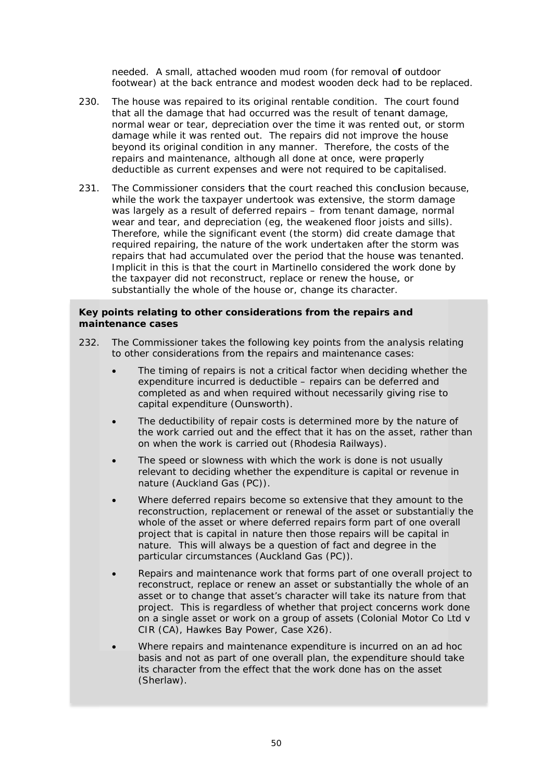needed. A small, attached wooden mud room (for removal of outdoor footwear) at the back entrance and modest wooden deck had to be replaced.

- 230. The house was repaired to its original rentable condition. The court found that all the damage that had occurred was the result of tenant damage, normal wear or tear, depreciation over the time it was rented out, or storm damage while it was rented out. The repairs did not improve the house beyond its original condition in any manner. Therefore, the costs of the repairs and maintenance, although all done at once, were properly deductible as current expenses and were not required to be capitalised.
- $231.$ The Commissioner considers that the court reached this conclusion because, while the work the taxpayer undertook was extensive, the storm damage was largely as a result of deferred repairs – from tenant damage, normal wear and tear, and depreciation (eq, the weakened floor joists and sills). Therefore, while the significant event (the storm) did create damage that required repairing, the nature of the work undertaken after the storm was repairs that had accumulated over the period that the house was tenanted. Implicit in this is that the court in *Martinello* considered the work done by the taxpayer did not reconstruct, replace or renew the house, or substantially the whole of the house or, change its character.

### Key points relating to other considerations from the repairs and maintenance cases

- The Commissioner takes the following key points from the analysis relating  $232$ to other considerations from the repairs and maintenance cases:
	- The timing of repairs is not a critical factor when deciding whether the  $\bullet$ expenditure incurred is deductible - repairs can be deferred and completed as and when required without necessarily giving rise to capital expenditure (Ounsworth).
	- The deductibility of repair costs is determined more by the nature of the work carried out and the effect that it has on the asset, rather than on when the work is carried out (Rhodesia Railways).
	- The speed or slowness with which the work is done is not usually relevant to deciding whether the expenditure is capital or revenue in nature (Auckland Gas (PC)).
	- Where deferred repairs become so extensive that they amount to the reconstruction, replacement or renewal of the asset or substantially the whole of the asset or where deferred repairs form part of one overall project that is capital in nature then those repairs will be capital in nature. This will always be a question of fact and degree in the particular circumstances (Auckland Gas (PC)).
	- Repairs and maintenance work that forms part of one overall project to reconstruct, replace or renew an asset or substantially the whole of an asset or to change that asset's character will take its nature from that project. This is regardless of whether that project concerns work done on a single asset or work on a group of assets (Colonial Motor Co Ltd v CIR (CA), Hawkes Bay Power, Case X26).
	- Where repairs and maintenance expenditure is incurred on an ad hoc basis and not as part of one overall plan, the expenditure should take its character from the effect that the work done has on the asset (Sherlaw).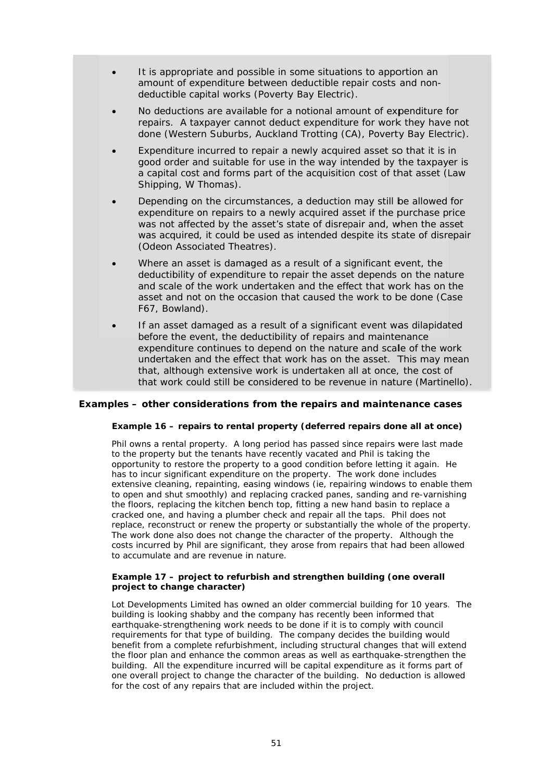- It is appropriate and possible in some situations to apportion an amount of expenditure between deductible repair costs and nondeductible capital works (Poverty Bay Electric).
- No deductions are available for a notional amount of expenditure for repairs. A taxpayer cannot deduct expenditure for work they have not done (Western Suburbs, Auckland Trotting (CA), Poverty Bay Electric).
- Expenditure incurred to repair a newly acquired asset so that it is in good order and suitable for use in the way intended by the taxpayer is a capital cost and forms part of the acquisition cost of that asset (Law Shipping, W Thomas).
- Depending on the circumstances, a deduction may still be allowed for expenditure on repairs to a newly acquired asset if the purchase price was not affected by the asset's state of disrepair and, when the asset was acquired, it could be used as intended despite its state of disrepair (Odeon Associated Theatres).
- Where an asset is damaged as a result of a significant event, the deductibility of expenditure to repair the asset depends on the nature and scale of the work undertaken and the effect that work has on the asset and not on the occasion that caused the work to be done (Case F67, Bowland).
- If an asset damaged as a result of a significant event was dilapidated before the event, the deductibility of repairs and maintenance expenditure continues to depend on the nature and scale of the work undertaken and the effect that work has on the asset. This may mean that, although extensive work is undertaken all at once, the cost of that work could still be considered to be revenue in nature (Martinello).

#### Examples – other considerations from the repairs and maintenance cases

#### Example 16 - repairs to rental property (deferred repairs done all at once)

Phil owns a rental property. A long period has passed since repairs were last made to the property but the tenants have recently vacated and Phil is taking the opportunity to restore the property to a good condition before letting it again. He has to incur significant expenditure on the property. The work done includes extensive cleaning, repainting, easing windows (ie, repairing windows to enable them to open and shut smoothly) and replacing cracked panes, sanding and re-varnishing the floors, replacing the kitchen bench top, fitting a new hand basin to replace a cracked one, and having a plumber check and repair all the taps. Phil does not replace, reconstruct or renew the property or substantially the whole of the property. The work done also does not change the character of the property. Although the costs incurred by Phil are significant, they arose from repairs that had been allowed to accumulate and are revenue in nature.

#### Example 17 - project to refurbish and strengthen building (one overall project to change character)

Lot Developments Limited has owned an older commercial building for 10 years. The building is looking shabby and the company has recently been informed that earthquake-strengthening work needs to be done if it is to comply with council requirements for that type of building. The company decides the building would benefit from a complete refurbishment, including structural changes that will extend the floor plan and enhance the common areas as well as earthquake-strengthen the building. All the expenditure incurred will be capital expenditure as it forms part of one overall project to change the character of the building. No deduction is allowed for the cost of any repairs that are included within the project.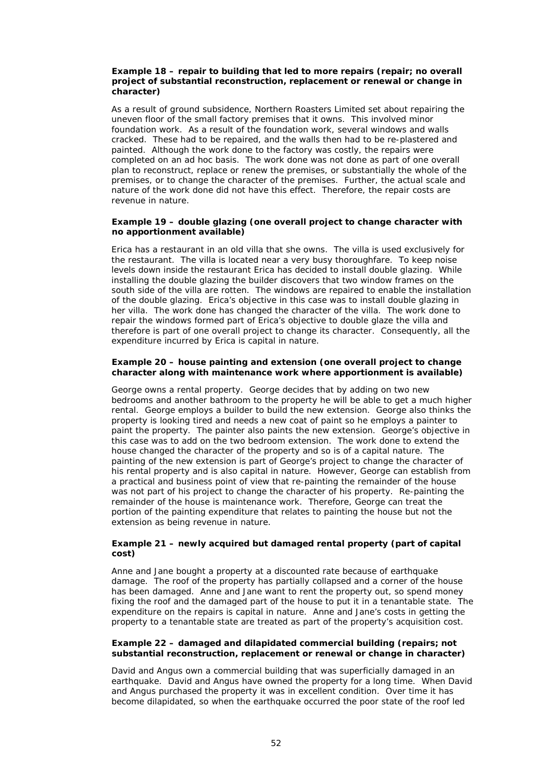#### *Example 18 – repair to building that led to more repairs (repair; no overall project of substantial reconstruction, replacement or renewal or change in character)*

As a result of ground subsidence, Northern Roasters Limited set about repairing the uneven floor of the small factory premises that it owns. This involved minor foundation work. As a result of the foundation work, several windows and walls cracked. These had to be repaired, and the walls then had to be re-plastered and painted. Although the work done to the factory was costly, the repairs were completed on an ad hoc basis. The work done was not done as part of one overall plan to reconstruct, replace or renew the premises, or substantially the whole of the premises, or to change the character of the premises. Further, the actual scale and nature of the work done did not have this effect. Therefore, the repair costs are revenue in nature.

#### *Example 19 – double glazing (one overall project to change character with no apportionment available)*

Erica has a restaurant in an old villa that she owns. The villa is used exclusively for the restaurant. The villa is located near a very busy thoroughfare. To keep noise levels down inside the restaurant Erica has decided to install double glazing. While installing the double glazing the builder discovers that two window frames on the south side of the villa are rotten. The windows are repaired to enable the installation of the double glazing. Erica's objective in this case was to install double glazing in her villa. The work done has changed the character of the villa. The work done to repair the windows formed part of Erica's objective to double glaze the villa and therefore is part of one overall project to change its character. Consequently, all the expenditure incurred by Erica is capital in nature.

#### *Example 20 – house painting and extension (one overall project to change character along with maintenance work where apportionment is available)*

George owns a rental property. George decides that by adding on two new bedrooms and another bathroom to the property he will be able to get a much higher rental. George employs a builder to build the new extension. George also thinks the property is looking tired and needs a new coat of paint so he employs a painter to paint the property. The painter also paints the new extension. George's objective in this case was to add on the two bedroom extension. The work done to extend the house changed the character of the property and so is of a capital nature. The painting of the new extension is part of George's project to change the character of his rental property and is also capital in nature. However, George can establish from a practical and business point of view that re-painting the remainder of the house was not part of his project to change the character of his property. Re-painting the remainder of the house is maintenance work. Therefore, George can treat the portion of the painting expenditure that relates to painting the house but not the extension as being revenue in nature.

#### *Example 21 – newly acquired but damaged rental property (part of capital cost)*

Anne and Jane bought a property at a discounted rate because of earthquake damage. The roof of the property has partially collapsed and a corner of the house has been damaged. Anne and Jane want to rent the property out, so spend money fixing the roof and the damaged part of the house to put it in a tenantable state. The expenditure on the repairs is capital in nature. Anne and Jane's costs in getting the property to a tenantable state are treated as part of the property's acquisition cost.

#### *Example 22 – damaged and dilapidated commercial building (repairs; not substantial reconstruction, replacement or renewal or change in character)*

David and Angus own a commercial building that was superficially damaged in an earthquake. David and Angus have owned the property for a long time. When David and Angus purchased the property it was in excellent condition. Over time it has become dilapidated, so when the earthquake occurred the poor state of the roof led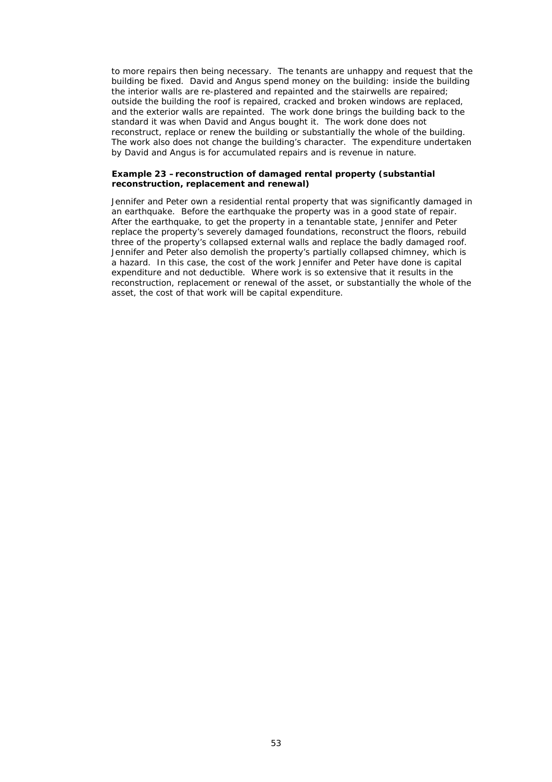to more repairs then being necessary. The tenants are unhappy and request that the building be fixed. David and Angus spend money on the building: inside the building the interior walls are re-plastered and repainted and the stairwells are repaired; outside the building the roof is repaired, cracked and broken windows are replaced, and the exterior walls are repainted. The work done brings the building back to the standard it was when David and Angus bought it. The work done does not reconstruct, replace or renew the building or substantially the whole of the building. The work also does not change the building's character. The expenditure undertaken by David and Angus is for accumulated repairs and is revenue in nature.

#### *Example 23 –reconstruction of damaged rental property (substantial reconstruction, replacement and renewal)*

Jennifer and Peter own a residential rental property that was significantly damaged in an earthquake. Before the earthquake the property was in a good state of repair. After the earthquake, to get the property in a tenantable state, Jennifer and Peter replace the property's severely damaged foundations, reconstruct the floors, rebuild three of the property's collapsed external walls and replace the badly damaged roof. Jennifer and Peter also demolish the property's partially collapsed chimney, which is a hazard. In this case, the cost of the work Jennifer and Peter have done is capital expenditure and not deductible. Where work is so extensive that it results in the reconstruction, replacement or renewal of the asset, or substantially the whole of the asset, the cost of that work will be capital expenditure.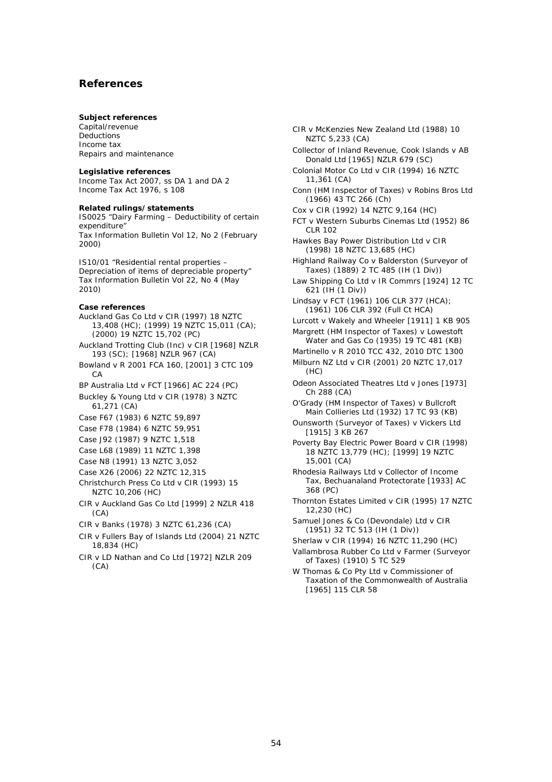### **References**

#### **Subject references**

Capital/revenue Deductions Income tax Repairs and maintenance

#### **Legislative references**

Income Tax Act 2007, ss DA 1 and DA 2 Income Tax Act 1976, s 108

#### **Related rulings/statements**

IS0025 "Dairy Farming – Deductibility of certain expenditure" *Tax Information Bulletin* Vol 12, No 2 (February 2000)

IS10/01 "Residential rental properties – Depreciation of items of depreciable property" *Tax Information Bulletin* Vol 22, No 4 (May 2010)

#### **Case references**

*Auckland Gas Co Ltd v CIR* (1997) 18 NZTC 13,408 (HC); (1999) 19 NZTC 15,011 (CA); (2000) 19 NZTC 15,702 (PC) *Auckland Trotting Club (Inc) v CIR* [1968] NZLR

193 (SC); [1968] NZLR 967 (CA) *Bowland v R* 2001 FCA 160, [2001] 3 CTC 109

 $\cap$   $\triangle$ 

*BP Australia Ltd v FCT* [1966] AC 224 (PC)

*Buckley & Young Ltd v CIR* (1978) 3 NZTC 61,271 (CA)

*Case F67* (1983) 6 NZTC 59,897

*Case F78 (1984)* 6 NZTC 59,951

*Case J92 (1987)* 9 NZTC 1,518

*Case L68* (1989) 11 NZTC 1,398

*Case N8* (1991) 13 NZTC 3,052

*Case X26* (2006) 22 NZTC 12,315

*Christchurch Press Co Ltd v CIR* (1993) 15 NZTC 10,206 (HC)

*CIR v Auckland Gas Co Ltd* [1999] 2 NZLR 418  $(CA)$ 

*CIR v Banks* (1978) 3 NZTC 61,236 (CA)

*CIR v Fullers Bay of Islands Ltd* (2004) 21 NZTC 18,834 (HC)

*CIR v LD Nathan and Co Ltd* [1972] NZLR 209  $(CA)$ 

*CIR v McKenzies New Zealand Ltd* (1988) 10 NZTC 5,233 (CA)

- *Collector of Inland Revenue, Cook Islands v AB Donald Ltd* [1965] NZLR 679 (SC)
- *Colonial Motor Co Ltd v CIR* (1994) 16 NZTC 11,361 (CA)

*Conn (HM Inspector of Taxes) v Robins Bros Ltd (*1966) 43 TC 266 (Ch)

*Cox v CIR* (1992) 14 NZTC 9,164 (HC)

*FCT v Western Suburbs Cinemas Ltd* (1952) 86 CLR 102

*Hawkes Bay Power Distribution Ltd v CIR* (1998) 18 NZTC 13,685 (HC)

*Highland Railway Co v Balderston (Surveyor of Taxes)* (1889) 2 TC 485 (IH (1 Div))

*Law Shipping Co Ltd v IR Commrs* [1924] 12 TC  $621$  (IH (1 Div))

*Lindsay v FCT* (1961) 106 CLR 377 (HCA); (1961) 106 CLR 392 (Full Ct HCA)

*Lurcott v Wakely and Wheeler* [1911] 1 KB 905 *Margrett (HM Inspector of Taxes) v Lowestoft* 

*Water and Gas Co* (1935) 19 TC 481 (KB) *Martinello v R* 2010 TCC 432, 2010 DTC 1300

*Milburn NZ Ltd v CIR* (2001) 20 NZTC 17,017  $(HC)$ 

*Odeon Associated Theatres Ltd v Jones* [1973] Ch 288 (CA)

*O'Grady (HM Inspector of Taxes) v Bullcroft Main Collieries Ltd* (1932) 17 TC 93 (KB)

*Ounsworth (Surveyor of Taxes) v Vickers Ltd*  [1915] 3 KB 267

*Poverty Bay Electric Power Board v CIR* (1998) 18 NZTC 13,779 (HC); [1999] 19 NZTC 15,001 (CA)

*Rhodesia Railways Ltd v Collector of Income Tax, Bechuanaland Protectorate* [1933] AC 368 (PC)

*Thornton Estates Limited v CIR* (1995) 17 NZTC 12,230 (HC)

*Samuel Jones & Co (Devondale) Ltd v CIR*  (1951) 32 TC 513 (IH (1 Div))

*Sherlaw v CIR* (1994) 16 NZTC 11,290 (HC)

*Vallambrosa Rubber Co Ltd v Farmer (Surveyor of Taxes) (*1910) 5 TC 529

*W Thomas & Co Pty Ltd v Commissioner of Taxation of the Commonwealth of Australia* [1965] 115 CLR 58